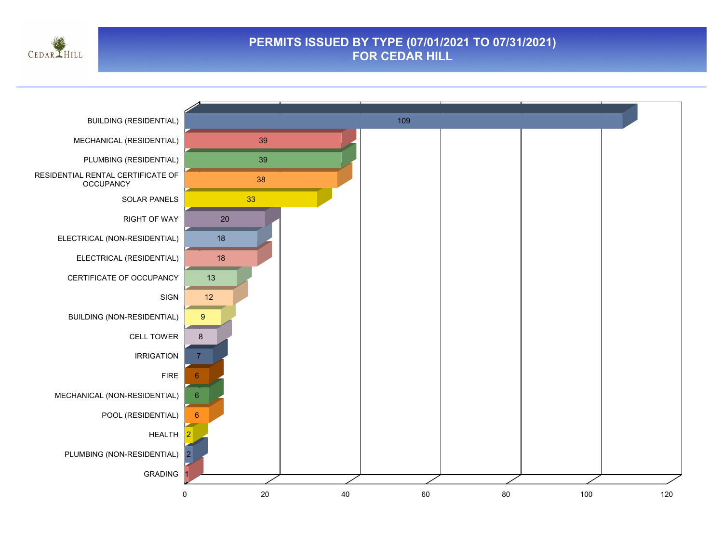

### **PERMITS ISSUED BY TYPE (07/01/2021 TO 07/31/2021) FOR CEDAR HILL**

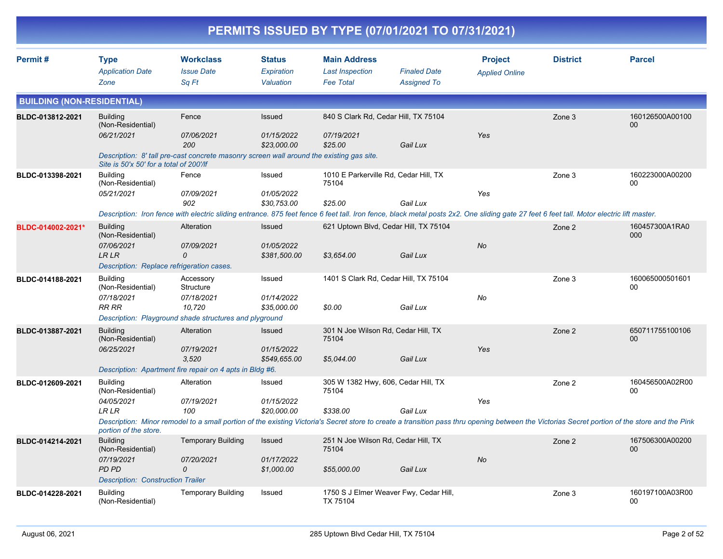|                                   |                                                                                                          |                                                                                                                                                                                                                                  |                                          | PERMITS ISSUED BY TYPE (07/01/2021 TO 07/31/2021)                 |                                           |                                         |                 |                           |
|-----------------------------------|----------------------------------------------------------------------------------------------------------|----------------------------------------------------------------------------------------------------------------------------------------------------------------------------------------------------------------------------------|------------------------------------------|-------------------------------------------------------------------|-------------------------------------------|-----------------------------------------|-----------------|---------------------------|
| Permit#                           | <b>Type</b><br><b>Application Date</b><br>Zone                                                           | <b>Workclass</b><br><b>Issue Date</b><br>Sq Ft                                                                                                                                                                                   | <b>Status</b><br>Expiration<br>Valuation | <b>Main Address</b><br><b>Last Inspection</b><br><b>Fee Total</b> | <b>Finaled Date</b><br><b>Assigned To</b> | <b>Project</b><br><b>Applied Online</b> | <b>District</b> | <b>Parcel</b>             |
| <b>BUILDING (NON-RESIDENTIAL)</b> |                                                                                                          |                                                                                                                                                                                                                                  |                                          |                                                                   |                                           |                                         |                 |                           |
| BLDC-013812-2021                  | <b>Building</b><br>(Non-Residential)<br>06/21/2021<br>Site is 50'x 50' for a total of 200'/lf            | Fence<br>07/06/2021<br>200<br>Description: 8' tall pre-cast concrete masonry screen wall around the existing gas site.                                                                                                           | Issued<br>01/15/2022<br>\$23,000.00      | 840 S Clark Rd, Cedar Hill, TX 75104<br>07/19/2021<br>\$25.00     | Gail Lux                                  | Yes                                     | Zone 3          | 160126500A00100<br>00     |
| BLDC-013398-2021                  | <b>Building</b><br>(Non-Residential)<br>05/21/2021                                                       | Fence<br>07/09/2021<br>902<br>Description: Iron fence with electric sliding entrance. 875 feet fence 6 feet tall. Iron fence, black metal posts 2x2. One sliding gate 27 feet 6 feet tall. Motor electric lift master.           | Issued<br>01/05/2022<br>\$30,753.00      | 1010 E Parkerville Rd, Cedar Hill, TX<br>75104<br>\$25.00         | Gail Lux                                  | Yes                                     | Zone 3          | 160223000A00200<br>00     |
| BLDC-014002-2021*                 | <b>Building</b><br>(Non-Residential)<br>07/06/2021<br>LR LR<br>Description: Replace refrigeration cases. | Alteration<br>07/09/2021<br>0                                                                                                                                                                                                    | Issued<br>01/05/2022<br>\$381,500.00     | 621 Uptown Blvd, Cedar Hill, TX 75104<br>\$3,654.00               | Gail Lux                                  | No                                      | Zone 2          | 160457300A1RA0<br>000     |
| BLDC-014188-2021                  | <b>Building</b><br>(Non-Residential)<br>07/18/2021<br><b>RR RR</b>                                       | Accessory<br>Structure<br>07/18/2021<br>10,720<br>Description: Playground shade structures and plyground                                                                                                                         | Issued<br>01/14/2022<br>\$35,000.00      | 1401 S Clark Rd, Cedar Hill, TX 75104<br>\$0.00                   | Gail Lux                                  | No                                      | Zone 3          | 160065000501601<br>00     |
| BLDC-013887-2021                  | <b>Building</b><br>(Non-Residential)<br>06/25/2021                                                       | Alteration<br>07/19/2021<br>3,520<br>Description: Apartment fire repair on 4 apts in Bldg #6.                                                                                                                                    | Issued<br>01/15/2022<br>\$549,655.00     | 301 N Joe Wilson Rd, Cedar Hill, TX<br>75104<br>\$5,044.00        | Gail Lux                                  | Yes                                     | Zone 2          | 650711755100106<br>$00\,$ |
| BLDC-012609-2021                  | <b>Building</b><br>(Non-Residential)<br>04/05/2021<br><b>LR LR</b><br>portion of the store.              | Alteration<br>07/19/2021<br>100<br>Description: Minor remodel to a small portion of the existing Victoria's Secret store to create a transition pass thru opening between the Victorias Secret portion of the store and the Pink | Issued<br>01/15/2022<br>\$20,000.00      | 305 W 1382 Hwy, 606, Cedar Hill, TX<br>75104<br>\$338.00          | Gail Lux                                  | Yes                                     | Zone 2          | 160456500A02R00<br>00     |
| BLDC-014214-2021                  | <b>Building</b><br>(Non-Residential)<br>07/19/2021<br>PD PD<br><b>Description: Construction Trailer</b>  | <b>Temporary Building</b><br>07/20/2021<br>0                                                                                                                                                                                     | Issued<br>01/17/2022<br>\$1,000.00       | 251 N Joe Wilson Rd, Cedar Hill, TX<br>75104<br>\$55,000.00       | Gail Lux                                  | No                                      | Zone 2          | 167506300A00200<br>$00\,$ |
| BLDC-014228-2021                  | <b>Building</b><br>(Non-Residential)                                                                     | <b>Temporary Building</b>                                                                                                                                                                                                        | Issued                                   | 1750 S J Elmer Weaver Fwy, Cedar Hill,<br>TX 75104                |                                           |                                         | Zone 3          | 160197100A03R00<br>00     |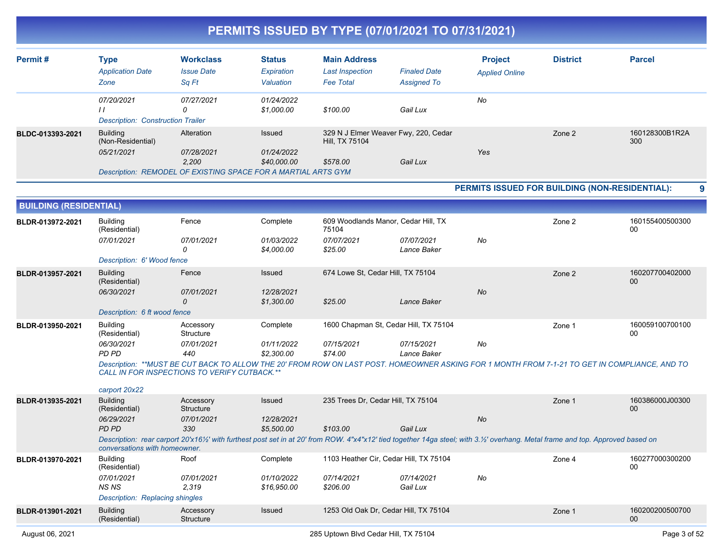| Permit#                       | <b>Type</b>                                    | <b>Workclass</b>                                              | <b>Status</b> | <b>Main Address</b>                  |                                        | <b>Project</b>                                                                                                                                                                   | <b>District</b> | <b>Parcel</b>                                                                                                                                 |
|-------------------------------|------------------------------------------------|---------------------------------------------------------------|---------------|--------------------------------------|----------------------------------------|----------------------------------------------------------------------------------------------------------------------------------------------------------------------------------|-----------------|-----------------------------------------------------------------------------------------------------------------------------------------------|
|                               | <b>Application Date</b>                        | <b>Issue Date</b>                                             | Expiration    | <b>Last Inspection</b>               | <b>Finaled Date</b>                    | <b>Applied Online</b>                                                                                                                                                            |                 |                                                                                                                                               |
|                               | Zone                                           | Sq Ft                                                         | Valuation     | <b>Fee Total</b>                     | <b>Assigned To</b>                     |                                                                                                                                                                                  |                 |                                                                                                                                               |
|                               | 07/20/2021                                     | 07/27/2021                                                    | 01/24/2022    |                                      |                                        | No                                                                                                                                                                               |                 |                                                                                                                                               |
|                               | $\frac{1}{2}$                                  | $\Omega$                                                      | \$1,000.00    | \$100.00                             | Gail Lux                               |                                                                                                                                                                                  |                 |                                                                                                                                               |
|                               | <b>Description: Construction Trailer</b>       |                                                               |               |                                      |                                        |                                                                                                                                                                                  |                 |                                                                                                                                               |
| BLDC-013393-2021              | <b>Building</b><br>(Non-Residential)           | Alteration                                                    | Issued        | Hill, TX 75104                       | 329 N J Elmer Weaver Fwy, 220, Cedar   |                                                                                                                                                                                  | Zone 2          | 160128300B1R2A<br>300                                                                                                                         |
|                               | 05/21/2021                                     | 07/28/2021                                                    | 01/24/2022    |                                      |                                        | Yes                                                                                                                                                                              |                 |                                                                                                                                               |
|                               |                                                | 2,200                                                         | \$40,000.00   | \$578.00                             | Gail Lux                               |                                                                                                                                                                                  |                 |                                                                                                                                               |
|                               |                                                | Description: REMODEL OF EXISTING SPACE FOR A MARTIAL ARTS GYM |               |                                      |                                        |                                                                                                                                                                                  |                 |                                                                                                                                               |
|                               |                                                |                                                               |               |                                      |                                        | PERMITS ISSUED FOR BUILDING (NON-RESIDENTIAL):                                                                                                                                   |                 | 9                                                                                                                                             |
| <b>BUILDING (RESIDENTIAL)</b> |                                                |                                                               |               |                                      |                                        |                                                                                                                                                                                  |                 |                                                                                                                                               |
| BLDR-013972-2021              | Building<br>(Residential)                      | Fence                                                         | Complete      | 75104                                | 609 Woodlands Manor, Cedar Hill, TX    |                                                                                                                                                                                  | Zone 2          | 160155400500300<br>00                                                                                                                         |
|                               | 07/01/2021                                     | 07/01/2021                                                    | 01/03/2022    | 07/07/2021                           | 07/07/2021                             | No                                                                                                                                                                               |                 |                                                                                                                                               |
|                               |                                                | $\Omega$                                                      | \$4,000.00    | \$25.00                              | Lance Baker                            |                                                                                                                                                                                  |                 |                                                                                                                                               |
|                               | Description: 6' Wood fence                     |                                                               |               |                                      |                                        |                                                                                                                                                                                  |                 |                                                                                                                                               |
| BLDR-013957-2021              | <b>Building</b><br>(Residential)               | Fence                                                         | Issued        | 674 Lowe St, Cedar Hill, TX 75104    |                                        |                                                                                                                                                                                  | Zone 2          | 160207700402000<br>$00\,$                                                                                                                     |
|                               | 06/30/2021                                     | 07/01/2021                                                    | 12/28/2021    |                                      |                                        | No                                                                                                                                                                               |                 |                                                                                                                                               |
|                               |                                                | $\Omega$                                                      | \$1,300.00    | \$25.00                              | Lance Baker                            |                                                                                                                                                                                  |                 |                                                                                                                                               |
|                               | Description: 6 ft wood fence                   |                                                               |               |                                      |                                        |                                                                                                                                                                                  |                 |                                                                                                                                               |
| BLDR-013950-2021              | <b>Building</b><br>(Residential)               | Accessory<br>Structure                                        | Complete      |                                      | 1600 Chapman St, Cedar Hill, TX 75104  |                                                                                                                                                                                  | Zone 1          | 160059100700100<br>00                                                                                                                         |
|                               | 06/30/2021                                     | 07/01/2021                                                    | 01/11/2022    | 07/15/2021                           | 07/15/2021                             | No                                                                                                                                                                               |                 |                                                                                                                                               |
|                               | PD PD                                          | 440                                                           | \$2,300.00    | \$74.00                              | Lance Baker                            |                                                                                                                                                                                  |                 |                                                                                                                                               |
|                               |                                                | CALL IN FOR INSPECTIONS TO VERIFY CUTBACK.**                  |               |                                      |                                        |                                                                                                                                                                                  |                 | Description: **MUST BE CUT BACK TO ALLOW THE 20' FROM ROW ON LAST POST. HOMEOWNER ASKING FOR 1 MONTH FROM 7-1-21 TO GET IN COMPLIANCE, AND TO |
|                               | carport 20x22                                  |                                                               |               |                                      |                                        |                                                                                                                                                                                  |                 |                                                                                                                                               |
| BLDR-013935-2021              | <b>Building</b><br>(Residential)               | Accessory<br><b>Structure</b>                                 | Issued        | 235 Trees Dr, Cedar Hill, TX 75104   |                                        |                                                                                                                                                                                  | Zone 1          | 160386000J00300<br>00                                                                                                                         |
|                               | 06/29/2021                                     | 07/01/2021                                                    | 12/28/2021    |                                      |                                        | No                                                                                                                                                                               |                 |                                                                                                                                               |
|                               | PD PD                                          | 330                                                           | \$5,500.00    | \$103.00                             | Gail Lux                               |                                                                                                                                                                                  |                 |                                                                                                                                               |
|                               | conversations with homeowner.                  |                                                               |               |                                      |                                        | Description: rear carport 20'x161/2' with furthest post set in at 20' from ROW. 4"x4"x12' tied together 14ga steel; with 3.1/2' overhang. Metal frame and top. Approved based on |                 |                                                                                                                                               |
| BLDR-013970-2021              | <b>Building</b><br>(Residential)               | Roof                                                          | Complete      |                                      | 1103 Heather Cir, Cedar Hill, TX 75104 |                                                                                                                                                                                  | Zone 4          | 160277000300200<br>00                                                                                                                         |
|                               | 07/01/2021                                     | 07/01/2021                                                    | 01/10/2022    | 07/14/2021                           | 07/14/2021                             | No                                                                                                                                                                               |                 |                                                                                                                                               |
|                               | <b>NSNS</b><br>Description: Replacing shingles | 2,319                                                         | \$16,950.00   | \$206.00                             | Gail Lux                               |                                                                                                                                                                                  |                 |                                                                                                                                               |
| BLDR-013901-2021              | <b>Building</b>                                | Accessory                                                     | Issued        |                                      | 1253 Old Oak Dr, Cedar Hill, TX 75104  |                                                                                                                                                                                  | Zone 1          | 160200200500700                                                                                                                               |
|                               | (Residential)                                  | Structure                                                     |               |                                      |                                        |                                                                                                                                                                                  |                 | $00\,$                                                                                                                                        |
| August 06, 2021               |                                                |                                                               |               | 285 Uptown Blvd Cedar Hill, TX 75104 |                                        |                                                                                                                                                                                  |                 | Page 3 of 52                                                                                                                                  |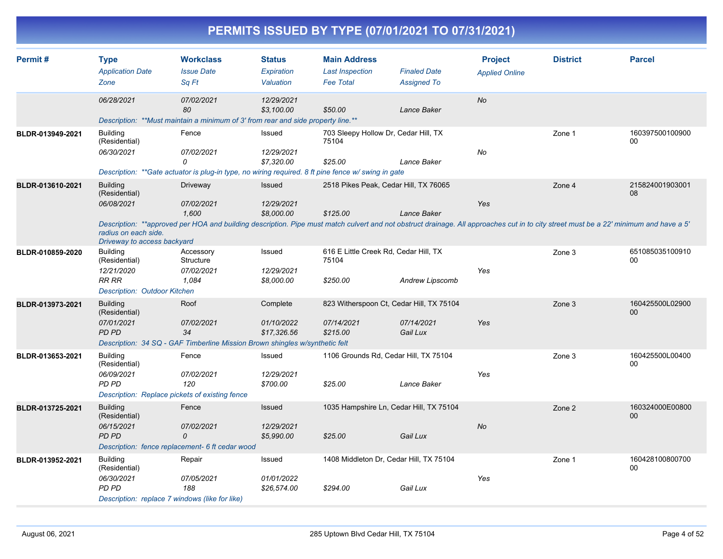|                  |                                                                                                       |                                                                                                                                                                                                                          |                                          | PERMITS ISSUED BY TYPE (07/01/2021 TO 07/31/2021)                 |                                                                    |                                         |                 |                       |
|------------------|-------------------------------------------------------------------------------------------------------|--------------------------------------------------------------------------------------------------------------------------------------------------------------------------------------------------------------------------|------------------------------------------|-------------------------------------------------------------------|--------------------------------------------------------------------|-----------------------------------------|-----------------|-----------------------|
| Permit#          | <b>Type</b><br><b>Application Date</b><br>Zone                                                        | <b>Workclass</b><br><b>Issue Date</b><br>Sa Ft                                                                                                                                                                           | <b>Status</b><br>Expiration<br>Valuation | <b>Main Address</b><br><b>Last Inspection</b><br><b>Fee Total</b> | <b>Finaled Date</b><br><b>Assigned To</b>                          | <b>Project</b><br><b>Applied Online</b> | <b>District</b> | <b>Parcel</b>         |
|                  | 06/28/2021                                                                                            | 07/02/2021<br>80<br>Description: **Must maintain a minimum of 3' from rear and side property line.**                                                                                                                     | 12/29/2021<br>\$3.100.00                 | \$50.00                                                           | Lance Baker                                                        | No                                      |                 |                       |
| BLDR-013949-2021 | <b>Building</b><br>(Residential)<br>06/30/2021                                                        | Fence<br>07/02/2021<br>0<br>Description: **Gate actuator is plug-in type, no wiring required. 8 ft pine fence w/ swing in gate                                                                                           | Issued<br>12/29/2021<br>\$7,320.00       | 703 Sleepy Hollow Dr, Cedar Hill, TX<br>75104<br>\$25.00          | Lance Baker                                                        | No                                      | Zone 1          | 160397500100900<br>00 |
| BLDR-013610-2021 | <b>Building</b><br>(Residential)<br>06/08/2021<br>radius on each side.<br>Driveway to access backyard | Driveway<br>07/02/2021<br>1,600<br>Description: **approved per HOA and building description. Pipe must match culvert and not obstruct drainage. All approaches cut in to city street must be a 22' minimum and have a 5' | Issued<br>12/29/2021<br>\$8,000.00       | 2518 Pikes Peak, Cedar Hill, TX 76065<br>\$125.00                 | Lance Baker                                                        | Yes                                     | Zone 4          | 215824001903001<br>08 |
| BLDR-010859-2020 | <b>Building</b><br>(Residential)<br>12/21/2020<br><b>RR RR</b><br>Description: Outdoor Kitchen        | Accessory<br>Structure<br>07/02/2021<br>1.084                                                                                                                                                                            | Issued<br>12/29/2021<br>\$8,000.00       | 616 E Little Creek Rd, Cedar Hill, TX<br>75104<br>\$250.00        | Andrew Lipscomb                                                    | Yes                                     | Zone 3          | 651085035100910<br>00 |
| BLDR-013973-2021 | <b>Building</b><br>(Residential)<br>07/01/2021<br>PD PD                                               | Roof<br>07/02/2021<br>34<br>Description: 34 SQ - GAF Timberline Mission Brown shingles w/synthetic felt                                                                                                                  | Complete<br>01/10/2022<br>\$17,326.56    | 07/14/2021<br>\$215.00                                            | 823 Witherspoon Ct, Cedar Hill, TX 75104<br>07/14/2021<br>Gail Lux | Yes                                     | Zone 3          | 160425500L02900<br>00 |
| BLDR-013653-2021 | <b>Building</b><br>(Residential)<br>06/09/2021<br>PD PD                                               | Fence<br>07/02/2021<br>120<br>Description: Replace pickets of existing fence                                                                                                                                             | Issued<br>12/29/2021<br>\$700.00         | \$25.00                                                           | 1106 Grounds Rd, Cedar Hill, TX 75104<br>Lance Baker               | Yes                                     | Zone 3          | 160425500L00400<br>00 |
| BLDR-013725-2021 | <b>Building</b><br>(Residential)<br>06/15/2021<br>PD PD                                               | Fence<br>07/02/2021<br>0<br>Description: fence replacement- 6 ft cedar wood                                                                                                                                              | Issued<br>12/29/2021<br>\$5,990.00       | \$25.00                                                           | 1035 Hampshire Ln, Cedar Hill, TX 75104<br>Gail Lux                | No                                      | Zone 2          | 160324000E00800<br>00 |
| BLDR-013952-2021 | <b>Building</b><br>(Residential)<br>06/30/2021<br>PD PD                                               | Repair<br>07/05/2021<br>188<br>Description: replace 7 windows (like for like)                                                                                                                                            | Issued<br>01/01/2022<br>\$26,574.00      | \$294.00                                                          | 1408 Middleton Dr, Cedar Hill, TX 75104<br>Gail Lux                | Yes                                     | Zone 1          | 160428100800700<br>00 |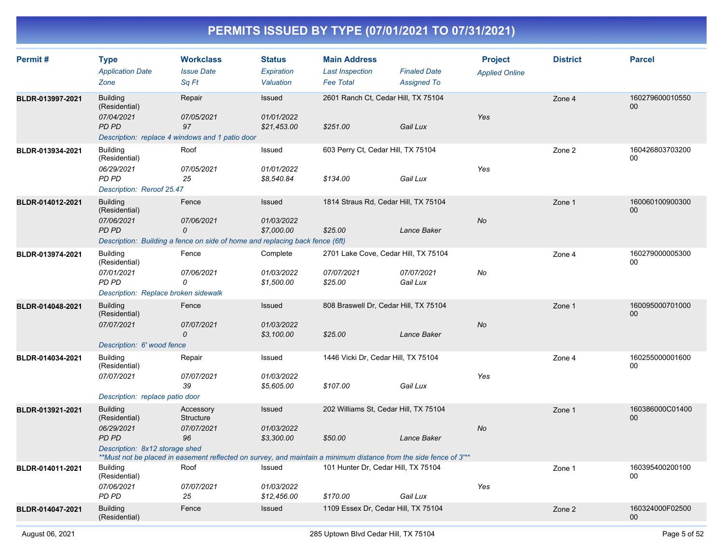| Permit#          | <b>Type</b><br><b>Application Date</b><br>Zone                                                  | <b>Workclass</b><br><b>Issue Date</b><br>Sq Ft                                                                                                                  | <b>Status</b><br>Expiration<br>Valuation | <b>Main Address</b><br><b>Last Inspection</b><br><b>Fee Total</b> | <b>Finaled Date</b><br><b>Assigned To</b> | <b>Project</b><br><b>Applied Online</b> | <b>District</b> | <b>Parcel</b>                      |
|------------------|-------------------------------------------------------------------------------------------------|-----------------------------------------------------------------------------------------------------------------------------------------------------------------|------------------------------------------|-------------------------------------------------------------------|-------------------------------------------|-----------------------------------------|-----------------|------------------------------------|
| BLDR-013997-2021 | <b>Building</b><br>(Residential)<br>07/04/2021<br>PD PD                                         | Repair<br>07/05/2021<br>97<br>Description: replace 4 windows and 1 patio door                                                                                   | Issued<br>01/01/2022<br>\$21,453.00      | 2601 Ranch Ct, Cedar Hill, TX 75104<br>\$251.00                   | Gail Lux                                  | Yes                                     | Zone 4          | 160279600010550<br>$00\,$          |
| BLDR-013934-2021 | <b>Building</b><br>(Residential)<br>06/29/2021<br>PD PD<br>Description: Reroof 25.47            | Roof<br>07/05/2021<br>25                                                                                                                                        | Issued<br>01/01/2022<br>\$8,540.84       | 603 Perry Ct, Cedar Hill, TX 75104<br>\$134.00                    | Gail Lux                                  | Yes                                     | Zone 2          | 160426803703200<br>$00\,$          |
| BLDR-014012-2021 | <b>Building</b><br>(Residential)<br>07/06/2021<br><b>PD PD</b>                                  | Fence<br>07/06/2021<br>0<br>Description: Building a fence on side of home and replacing back fence (6ft)                                                        | Issued<br>01/03/2022<br>\$7,000.00       | 1814 Straus Rd, Cedar Hill, TX 75104<br>\$25.00                   | Lance Baker                               | <b>No</b>                               | Zone 1          | 160060100900300<br>00 <sub>0</sub> |
| BLDR-013974-2021 | <b>Building</b><br>(Residential)<br>07/01/2021<br>PD PD<br>Description: Replace broken sidewalk | Fence<br>07/06/2021<br>0                                                                                                                                        | Complete<br>01/03/2022<br>\$1,500.00     | 2701 Lake Cove, Cedar Hill, TX 75104<br>07/07/2021<br>\$25.00     | 07/07/2021<br>Gail Lux                    | No                                      | Zone 4          | 160279000005300<br>00              |
| BLDR-014048-2021 | <b>Building</b><br>(Residential)<br>07/07/2021<br>Description: 6' wood fence                    | Fence<br>07/07/2021<br>$\mathcal{O}$                                                                                                                            | Issued<br>01/03/2022<br>\$3,100.00       | 808 Braswell Dr, Cedar Hill, TX 75104<br>\$25.00                  | Lance Baker                               | <b>No</b>                               | Zone 1          | 160095000701000<br>00              |
| BLDR-014034-2021 | <b>Building</b><br>(Residential)<br>07/07/2021<br>Description: replace patio door               | Repair<br>07/07/2021<br>39                                                                                                                                      | Issued<br>01/03/2022<br>\$5,605.00       | 1446 Vicki Dr, Cedar Hill, TX 75104<br>\$107.00                   | Gail Lux                                  | Yes                                     | Zone 4          | 160255000001600<br>$00\,$          |
| BLDR-013921-2021 | <b>Building</b><br>(Residential)<br>06/29/2021<br>PD PD<br>Description: 8x12 storage shed       | Accessory<br>Structure<br>07/07/2021<br>96<br>**Must not be placed in easement reflected on survey, and maintain a minimum distance from the side fence of 3"** | Issued<br>01/03/2022<br>\$3,300.00       | 202 Williams St, Cedar Hill, TX 75104<br>\$50.00                  | Lance Baker                               | No                                      | Zone 1          | 160386000C01400<br>00              |
| BLDR-014011-2021 | <b>Building</b><br>(Residential)<br>07/06/2021<br>PD PD                                         | Roof<br>07/07/2021<br>25                                                                                                                                        | Issued<br>01/03/2022<br>\$12,456.00      | 101 Hunter Dr, Cedar Hill, TX 75104<br>\$170.00                   | Gail Lux                                  | Yes                                     | Zone 1          | 160395400200100<br>00              |
| BLDR-014047-2021 | <b>Building</b><br>(Residential)                                                                | Fence                                                                                                                                                           | Issued                                   | 1109 Essex Dr, Cedar Hill, TX 75104                               |                                           |                                         | Zone 2          | 160324000F02500<br>$00\,$          |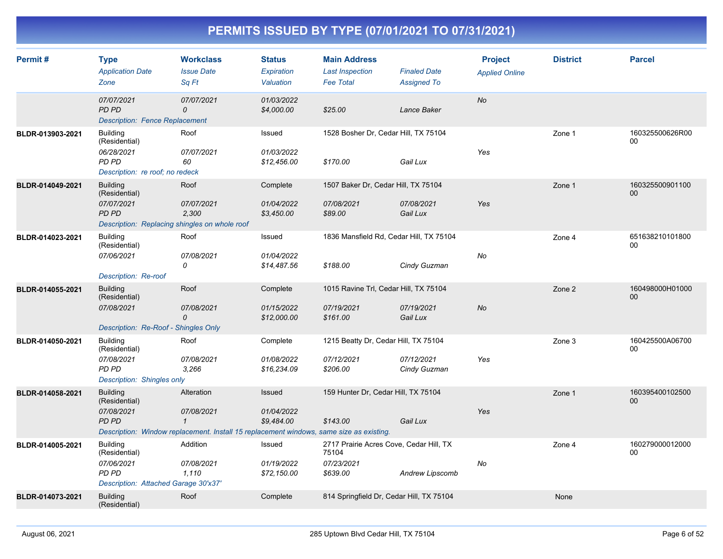| Permit#          | <b>Type</b><br><b>Application Date</b><br>Zone                                                                  | <b>Workclass</b><br><b>Issue Date</b><br>Sq Ft                                                                                      | <b>Status</b><br>Expiration<br>Valuation | <b>Main Address</b><br><b>Last Inspection</b><br><b>Fee Total</b>          | <b>Finaled Date</b><br><b>Assigned To</b> | <b>Project</b><br><b>Applied Online</b> | <b>District</b> | <b>Parcel</b>         |
|------------------|-----------------------------------------------------------------------------------------------------------------|-------------------------------------------------------------------------------------------------------------------------------------|------------------------------------------|----------------------------------------------------------------------------|-------------------------------------------|-----------------------------------------|-----------------|-----------------------|
|                  | 07/07/2021<br><b>PD PD</b><br><b>Description: Fence Replacement</b>                                             | 07/07/2021<br>0                                                                                                                     | 01/03/2022<br>\$4,000.00                 | \$25.00                                                                    | Lance Baker                               | <b>No</b>                               |                 |                       |
| BLDR-013903-2021 | <b>Building</b><br>(Residential)<br>06/28/2021<br>PD PD<br>Description: re roof; no redeck                      | Roof<br>07/07/2021<br>60                                                                                                            | Issued<br>01/03/2022<br>\$12,456.00      | 1528 Bosher Dr, Cedar Hill, TX 75104<br>\$170.00                           | Gail Lux                                  | Yes                                     | Zone 1          | 160325500626R00<br>00 |
| BLDR-014049-2021 | <b>Building</b><br>(Residential)<br>07/07/2021<br><b>PD PD</b><br>Description: Replacing shingles on whole roof | Roof<br>07/07/2021<br>2,300                                                                                                         | Complete<br>01/04/2022<br>\$3,450.00     | 1507 Baker Dr, Cedar Hill, TX 75104<br>07/08/2021<br>\$89.00               | 07/08/2021<br>Gail Lux                    | Yes                                     | Zone 1          | 160325500901100<br>00 |
| BLDR-014023-2021 | <b>Building</b><br>(Residential)<br>07/06/2021<br><b>Description: Re-roof</b>                                   | Roof<br>07/08/2021<br>0                                                                                                             | Issued<br>01/04/2022<br>\$14,487.56      | 1836 Mansfield Rd, Cedar Hill, TX 75104<br>\$188.00                        | Cindy Guzman                              | No                                      | Zone 4          | 651638210101800<br>00 |
| BLDR-014055-2021 | <b>Building</b><br>(Residential)<br>07/08/2021<br>Description: Re-Roof - Shingles Only                          | Roof<br>07/08/2021<br>0                                                                                                             | Complete<br>01/15/2022<br>\$12,000.00    | 1015 Ravine Trl, Cedar Hill, TX 75104<br>07/19/2021<br>\$161.00            | 07/19/2021<br>Gail Lux                    | <b>No</b>                               | Zone 2          | 160498000H01000<br>00 |
| BLDR-014050-2021 | <b>Building</b><br>(Residential)<br>07/08/2021<br>PD PD<br>Description: Shingles only                           | Roof<br>07/08/2021<br>3,266                                                                                                         | Complete<br>01/08/2022<br>\$16,234.09    | 1215 Beatty Dr, Cedar Hill, TX 75104<br>07/12/2021<br>\$206.00             | 07/12/2021<br>Cindy Guzman                | Yes                                     | Zone 3          | 160425500A06700<br>00 |
| BLDR-014058-2021 | <b>Building</b><br>(Residential)<br>07/08/2021<br><b>PD PD</b>                                                  | Alteration<br>07/08/2021<br>$\mathcal I$<br>Description: Window replacement. Install 15 replacement windows, same size as existing. | Issued<br>01/04/2022<br>\$9,484.00       | 159 Hunter Dr, Cedar Hill, TX 75104<br>\$143.00                            | Gail Lux                                  | Yes                                     | Zone 1          | 160395400102500<br>00 |
| BLDR-014005-2021 | <b>Building</b><br>(Residential)<br>07/06/2021<br>PD PD<br>Description: Attached Garage 30'x37'                 | Addition<br>07/08/2021<br>1,110                                                                                                     | Issued<br>01/19/2022<br>\$72,150.00      | 2717 Prairie Acres Cove, Cedar Hill, TX<br>75104<br>07/23/2021<br>\$639.00 | Andrew Lipscomb                           | No                                      | Zone 4          | 160279000012000<br>00 |
| BLDR-014073-2021 | <b>Building</b><br>(Residential)                                                                                | Roof                                                                                                                                | Complete                                 | 814 Springfield Dr, Cedar Hill, TX 75104                                   |                                           |                                         | None            |                       |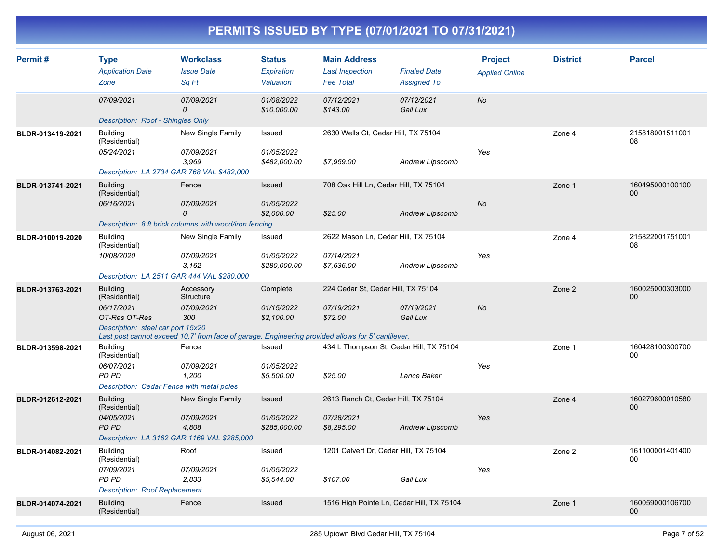| Permit#          | <b>Type</b><br><b>Application Date</b><br>Zone  | <b>Workclass</b><br><b>Issue Date</b><br>Sq Ft                                                    | <b>Status</b><br>Expiration<br>Valuation | <b>Main Address</b><br><b>Last Inspection</b><br><b>Fee Total</b> | <b>Finaled Date</b><br><b>Assigned To</b> | <b>Project</b><br><b>Applied Online</b> | <b>District</b> | <b>Parcel</b>         |
|------------------|-------------------------------------------------|---------------------------------------------------------------------------------------------------|------------------------------------------|-------------------------------------------------------------------|-------------------------------------------|-----------------------------------------|-----------------|-----------------------|
|                  | 07/09/2021<br>Description: Roof - Shingles Only | 07/09/2021<br>$\Omega$                                                                            | 01/08/2022<br>\$10,000.00                | 07/12/2021<br>\$143.00                                            | 07/12/2021<br>Gail Lux                    | No                                      |                 |                       |
|                  |                                                 |                                                                                                   |                                          |                                                                   |                                           |                                         |                 |                       |
| BLDR-013419-2021 | <b>Building</b><br>(Residential)<br>05/24/2021  | New Single Family<br>07/09/2021                                                                   | Issued<br>01/05/2022                     | 2630 Wells Ct, Cedar Hill, TX 75104                               |                                           | Yes                                     | Zone 4          | 215818001511001<br>08 |
|                  | Description: LA 2734 GAR 768 VAL \$482,000      | 3.969                                                                                             | \$482,000.00                             | \$7,959.00                                                        | <b>Andrew Lipscomb</b>                    |                                         |                 |                       |
| BLDR-013741-2021 | <b>Building</b><br>(Residential)                | Fence                                                                                             | Issued                                   | 708 Oak Hill Ln, Cedar Hill, TX 75104                             |                                           |                                         | Zone 1          | 160495000100100<br>00 |
|                  | 06/16/2021                                      | 07/09/2021<br>$\mathcal{O}$                                                                       | 01/05/2022<br>\$2,000.00                 | \$25.00                                                           | <b>Andrew Lipscomb</b>                    | No                                      |                 |                       |
|                  |                                                 | Description: 8 ft brick columns with wood/iron fencing                                            |                                          |                                                                   |                                           |                                         |                 |                       |
| BLDR-010019-2020 | <b>Building</b><br>(Residential)                | New Single Family                                                                                 | Issued                                   | 2622 Mason Ln, Cedar Hill, TX 75104                               |                                           |                                         | Zone 4          | 215822001751001<br>08 |
|                  | 10/08/2020                                      | 07/09/2021<br>3,162                                                                               | 01/05/2022<br>\$280,000.00               | 07/14/2021<br>\$7,636.00                                          | <b>Andrew Lipscomb</b>                    | Yes                                     |                 |                       |
|                  | Description: LA 2511 GAR 444 VAL \$280,000      |                                                                                                   |                                          |                                                                   |                                           |                                         |                 |                       |
| BLDR-013763-2021 | <b>Building</b><br>(Residential)                | Accessory<br><b>Structure</b>                                                                     | Complete                                 | 224 Cedar St, Cedar Hill, TX 75104                                |                                           |                                         | Zone 2          | 160025000303000<br>00 |
|                  | 06/17/2021<br>OT-Res OT-Res                     | 07/09/2021<br>300                                                                                 | 01/15/2022<br>\$2,100.00                 | 07/19/2021<br>\$72.00                                             | 07/19/2021<br>Gail Lux                    | <b>No</b>                               |                 |                       |
|                  | Description: steel car port 15x20               | Last post cannot exceed 10.7' from face of garage. Engineering provided allows for 5' cantilever. |                                          |                                                                   |                                           |                                         |                 |                       |
| BLDR-013598-2021 | <b>Building</b><br>(Residential)                | Fence                                                                                             | Issued                                   | 434 L Thompson St, Cedar Hill, TX 75104                           |                                           |                                         | Zone 1          | 160428100300700<br>00 |
|                  | 06/07/2021<br>PD PD                             | 07/09/2021<br>1,200                                                                               | 01/05/2022<br>\$5,500.00                 | \$25.00                                                           | Lance Baker                               | Yes                                     |                 |                       |
|                  | Description: Cedar Fence with metal poles       |                                                                                                   |                                          |                                                                   |                                           |                                         |                 |                       |
| BLDR-012612-2021 | <b>Building</b><br>(Residential)                | New Single Family                                                                                 | Issued                                   | 2613 Ranch Ct, Cedar Hill, TX 75104                               |                                           |                                         | Zone 4          | 160279600010580<br>00 |
|                  | 04/05/2021<br>PD PD                             | 07/09/2021<br>4,808                                                                               | 01/05/2022<br>\$285,000.00               | 07/28/2021<br>\$8,295.00                                          | <b>Andrew Lipscomb</b>                    | Yes                                     |                 |                       |
|                  |                                                 | Description: LA 3162 GAR 1169 VAL \$285,000                                                       |                                          |                                                                   |                                           |                                         |                 |                       |
| BLDR-014082-2021 | <b>Building</b><br>(Residential)                | Roof                                                                                              | Issued                                   | 1201 Calvert Dr, Cedar Hill, TX 75104                             |                                           |                                         | Zone 2          | 161100001401400<br>00 |
|                  | 07/09/2021<br><b>PD PD</b>                      | 07/09/2021<br>2.833                                                                               | 01/05/2022<br>\$5,544.00                 | \$107.00                                                          | Gail Lux                                  | Yes                                     |                 |                       |
|                  | <b>Description: Roof Replacement</b>            |                                                                                                   |                                          |                                                                   |                                           |                                         |                 |                       |
| BLDR-014074-2021 | <b>Building</b><br>(Residential)                | Fence                                                                                             | Issued                                   | 1516 High Pointe Ln, Cedar Hill, TX 75104                         |                                           |                                         | Zone 1          | 160059000106700<br>00 |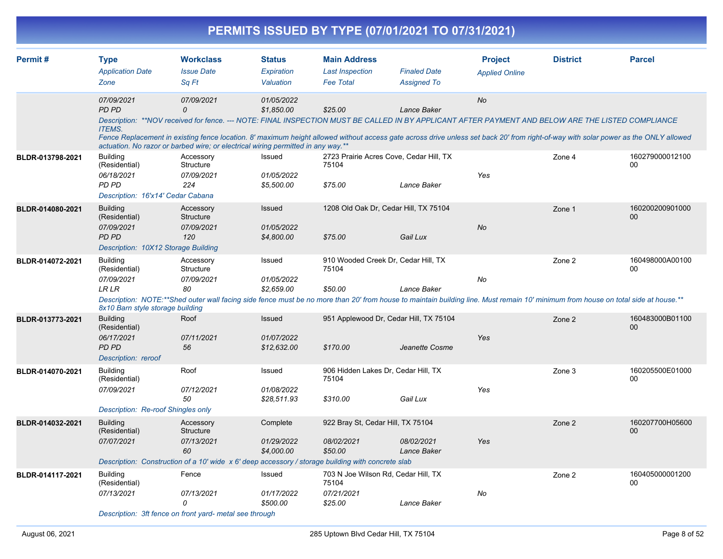|                  |                                                                                                    |                                                                                                                                                                                                                                                                         |                                           | PERMITS ISSUED BY TYPE (07/01/2021 TO 07/31/2021)                     |                                           |                                         |                 |                           |
|------------------|----------------------------------------------------------------------------------------------------|-------------------------------------------------------------------------------------------------------------------------------------------------------------------------------------------------------------------------------------------------------------------------|-------------------------------------------|-----------------------------------------------------------------------|-------------------------------------------|-----------------------------------------|-----------------|---------------------------|
| Permit#          | <b>Type</b><br><b>Application Date</b><br>Zone                                                     | <b>Workclass</b><br><b>Issue Date</b><br>Sq Ft                                                                                                                                                                                                                          | <b>Status</b><br>Expiration<br>Valuation  | <b>Main Address</b><br><b>Last Inspection</b><br><b>Fee Total</b>     | <b>Finaled Date</b><br><b>Assigned To</b> | <b>Project</b><br><b>Applied Online</b> | <b>District</b> | <b>Parcel</b>             |
|                  | 07/09/2021<br><b>PD PD</b><br><b>ITEMS.</b>                                                        | 07/09/2021<br>$\Omega$<br>Description: **NOV received for fence. --- NOTE: FINAL INSPECTION MUST BE CALLED IN BY APPLICANT AFTER PAYMENT AND BELOW ARE THE LISTED COMPLIANCE                                                                                            | 01/05/2022<br>\$1,850.00                  | \$25.00                                                               | Lance Baker                               | No                                      |                 |                           |
|                  |                                                                                                    | Fence Replacement in existing fence location. 8' maximum height allowed without access gate across drive unless set back 20' from right-of-way with solar power as the ONLY allowed<br>actuation. No razor or barbed wire; or electrical wiring permitted in any way.** |                                           |                                                                       |                                           |                                         |                 |                           |
| BLDR-013798-2021 | <b>Building</b><br>(Residential)<br>06/18/2021<br><b>PD PD</b>                                     | Accessory<br>Structure<br>07/09/2021<br>224                                                                                                                                                                                                                             | Issued<br>01/05/2022<br>\$5,500.00        | 2723 Prairie Acres Cove, Cedar Hill, TX<br>75104<br>\$75.00           | Lance Baker                               | Yes                                     | Zone 4          | 160279000012100<br>00     |
|                  | Description: 16'x14' Cedar Cabana                                                                  |                                                                                                                                                                                                                                                                         |                                           |                                                                       |                                           |                                         |                 |                           |
| BLDR-014080-2021 | <b>Building</b><br>(Residential)<br>07/09/2021<br>PD PD<br>Description: 10X12 Storage Building     | Accessory<br>Structure<br>07/09/2021<br>120                                                                                                                                                                                                                             | <b>Issued</b><br>01/05/2022<br>\$4,800.00 | 1208 Old Oak Dr, Cedar Hill, TX 75104<br>\$75.00                      | Gail Lux                                  | No                                      | Zone 1          | 160200200901000<br>00     |
| BLDR-014072-2021 | <b>Building</b><br>(Residential)<br>07/09/2021<br><b>LR LR</b><br>8x10 Barn style storage building | Accessory<br>Structure<br>07/09/2021<br>80<br>Description: NOTE:**Shed outer wall facing side fence must be no more than 20' from house to maintain building line. Must remain 10' minimum from house on total side at house.**                                         | Issued<br>01/05/2022<br>\$2,659.00        | 910 Wooded Creek Dr, Cedar Hill, TX<br>75104<br>\$50.00               | Lance Baker                               | No                                      | Zone 2          | 160498000A00100<br>00     |
| BLDR-013773-2021 | <b>Building</b><br>(Residential)<br>06/17/2021<br><b>PD PD</b><br>Description: reroof              | Roof<br>07/11/2021<br>56                                                                                                                                                                                                                                                | Issued<br>01/07/2022<br>\$12,632.00       | 951 Applewood Dr, Cedar Hill, TX 75104<br>\$170.00                    | Jeanette Cosme                            | Yes                                     | Zone 2          | 160483000B01100<br>$00\,$ |
| BLDR-014070-2021 | <b>Building</b><br>(Residential)<br>07/09/2021<br><b>Description: Re-roof Shingles only</b>        | Roof<br>07/12/2021<br>50                                                                                                                                                                                                                                                | Issued<br>01/08/2022<br>\$28,511.93       | 906 Hidden Lakes Dr, Cedar Hill, TX<br>75104<br>\$310.00              | Gail Lux                                  | Yes                                     | Zone 3          | 160205500E01000<br>00     |
| BLDR-014032-2021 | <b>Building</b><br>(Residential)<br>07/07/2021                                                     | Accessory<br>Structure<br>07/13/2021<br>60<br>Description: Construction of a 10' wide x 6' deep accessory / storage building with concrete slab                                                                                                                         | Complete<br>01/29/2022<br>\$4,000.00      | 922 Bray St, Cedar Hill, TX 75104<br>08/02/2021<br>\$50.00            | 08/02/2021<br>Lance Baker                 | Yes                                     | Zone 2          | 160207700H05600<br>$00\,$ |
| BLDR-014117-2021 | Building<br>(Residential)<br>07/13/2021                                                            | Fence<br>07/13/2021<br>0                                                                                                                                                                                                                                                | Issued<br>01/17/2022<br>\$500.00          | 703 N Joe Wilson Rd, Cedar Hill, TX<br>75104<br>07/21/2021<br>\$25.00 | Lance Baker                               | No                                      | Zone 2          | 160405000001200<br>00     |

*Description: 3ft fence on front yard- metal see through*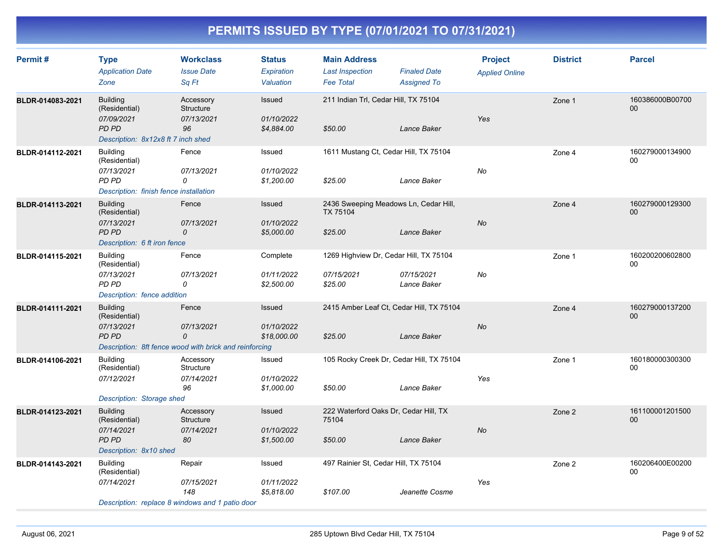| Permit#          | <b>Type</b><br><b>Application Date</b><br>Zone                                                       | <b>Workclass</b><br><b>Issue Date</b><br>Sa Ft                                     | <b>Status</b><br>Expiration<br>Valuation | <b>Main Address</b><br><b>Last Inspection</b><br><b>Fee Total</b> | <b>Finaled Date</b><br><b>Assigned To</b> | <b>Project</b><br><b>Applied Online</b> | <b>District</b> | <b>Parcel</b>             |
|------------------|------------------------------------------------------------------------------------------------------|------------------------------------------------------------------------------------|------------------------------------------|-------------------------------------------------------------------|-------------------------------------------|-----------------------------------------|-----------------|---------------------------|
| BLDR-014083-2021 | <b>Building</b><br>(Residential)<br>07/09/2021<br><b>PD PD</b><br>Description: 8x12x8 ft 7 inch shed | Accessory<br>Structure<br>07/13/2021<br>96                                         | Issued<br>01/10/2022<br>\$4,884.00       | 211 Indian Trl, Cedar Hill, TX 75104<br>\$50.00                   | Lance Baker                               | Yes                                     | Zone 1          | 160386000B00700<br>00     |
| BLDR-014112-2021 | <b>Building</b><br>(Residential)<br>07/13/2021<br>PD PD<br>Description: finish fence installation    | Fence<br>07/13/2021<br>0                                                           | Issued<br>01/10/2022<br>\$1,200.00       | 1611 Mustang Ct, Cedar Hill, TX 75104<br>\$25.00                  | Lance Baker                               | No                                      | Zone 4          | 160279000134900<br>00     |
| BLDR-014113-2021 | <b>Building</b><br>(Residential)<br>07/13/2021<br><b>PD PD</b><br>Description: 6 ft iron fence       | Fence<br>07/13/2021<br>0                                                           | Issued<br>01/10/2022<br>\$5,000.00       | 2436 Sweeping Meadows Ln, Cedar Hill,<br>TX 75104<br>\$25.00      | Lance Baker                               | <b>No</b>                               | Zone 4          | 160279000129300<br>00     |
| BLDR-014115-2021 | <b>Building</b><br>(Residential)<br>07/13/2021<br><b>PD PD</b><br>Description: fence addition        | Fence<br>07/13/2021<br>0                                                           | Complete<br>01/11/2022<br>\$2,500.00     | 1269 Highview Dr, Cedar Hill, TX 75104<br>07/15/2021<br>\$25.00   | 07/15/2021<br>Lance Baker                 | No                                      | Zone 1          | 160200200602800<br>00     |
| BLDR-014111-2021 | <b>Building</b><br>(Residential)<br>07/13/2021<br>PD PD                                              | Fence<br>07/13/2021<br>0<br>Description: 8ft fence wood with brick and reinforcing | Issued<br>01/10/2022<br>\$18,000.00      | 2415 Amber Leaf Ct, Cedar Hill, TX 75104<br>\$25.00               | Lance Baker                               | <b>No</b>                               | Zone 4          | 160279000137200<br>$00\,$ |
| BLDR-014106-2021 | <b>Building</b><br>(Residential)<br>07/12/2021<br>Description: Storage shed                          | Accessory<br>Structure<br>07/14/2021<br>96                                         | Issued<br>01/10/2022<br>\$1,000.00       | 105 Rocky Creek Dr, Cedar Hill, TX 75104<br>\$50.00               | Lance Baker                               | Yes                                     | Zone 1          | 160180000300300<br>00     |
| BLDR-014123-2021 | <b>Building</b><br>(Residential)<br>07/14/2021<br><b>PD PD</b><br>Description: 8x10 shed             | Accessory<br>Structure<br>07/14/2021<br>80                                         | Issued<br>01/10/2022<br>\$1,500.00       | 222 Waterford Oaks Dr, Cedar Hill, TX<br>75104<br>\$50.00         | Lance Baker                               | No                                      | Zone 2          | 161100001201500<br>00     |
| BLDR-014143-2021 | <b>Building</b><br>(Residential)<br>07/14/2021                                                       | Repair<br>07/15/2021<br>148<br>Description: replace 8 windows and 1 patio door     | Issued<br>01/11/2022<br>\$5,818.00       | 497 Rainier St, Cedar Hill, TX 75104<br>\$107.00                  | Jeanette Cosme                            | Yes                                     | Zone 2          | 160206400E00200<br>00     |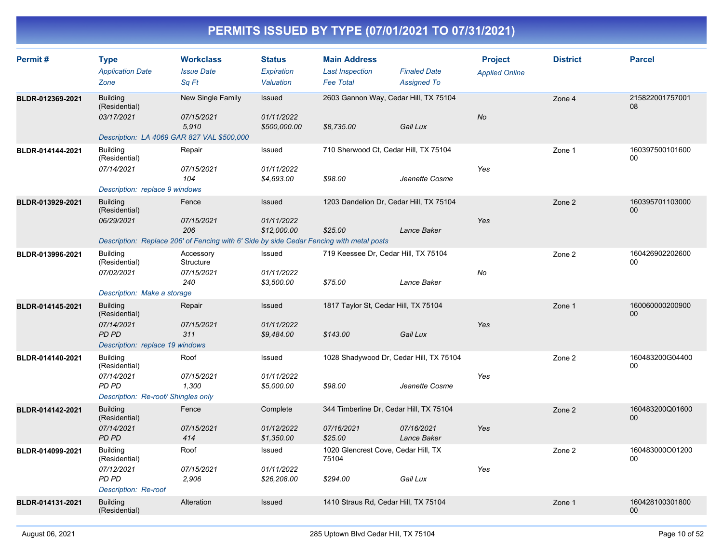| Permit#          | <b>Type</b><br><b>Application Date</b><br>Zone                                                 | <b>Workclass</b><br><b>Issue Date</b><br>Sa Ft                                                                         | <b>Status</b><br>Expiration<br>Valuation   | <b>Main Address</b><br><b>Last Inspection</b><br><b>Fee Total</b> | <b>Finaled Date</b><br><b>Assigned To</b> | <b>Project</b><br><b>Applied Online</b> | <b>District</b> | <b>Parcel</b>             |
|------------------|------------------------------------------------------------------------------------------------|------------------------------------------------------------------------------------------------------------------------|--------------------------------------------|-------------------------------------------------------------------|-------------------------------------------|-----------------------------------------|-----------------|---------------------------|
| BLDR-012369-2021 | <b>Building</b><br>(Residential)<br>03/17/2021                                                 | New Single Family<br>07/15/2021<br>5,910<br>Description: LA 4069 GAR 827 VAL \$500,000                                 | Issued<br>01/11/2022<br>\$500,000.00       | 2603 Gannon Way, Cedar Hill, TX 75104<br>\$8,735.00               | Gail Lux                                  | <b>No</b>                               | Zone 4          | 215822001757001<br>08     |
| BLDR-014144-2021 | <b>Building</b><br>(Residential)<br>07/14/2021<br>Description: replace 9 windows               | Repair<br>07/15/2021<br>104                                                                                            | Issued<br>01/11/2022<br>\$4,693.00         | 710 Sherwood Ct, Cedar Hill, TX 75104<br>\$98.00                  | Jeanette Cosme                            | Yes                                     | Zone 1          | 160397500101600<br>00     |
| BLDR-013929-2021 | <b>Building</b><br>(Residential)<br>06/29/2021                                                 | Fence<br>07/15/2021<br>206<br>Description: Replace 206' of Fencing with 6' Side by side Cedar Fencing with metal posts | <b>Issued</b><br>01/11/2022<br>\$12,000.00 | 1203 Dandelion Dr, Cedar Hill, TX 75104<br>\$25.00                | Lance Baker                               | Yes                                     | Zone 2          | 160395701103000<br>00     |
| BLDR-013996-2021 | <b>Building</b><br>(Residential)<br>07/02/2021<br>Description: Make a storage                  | Accessory<br>Structure<br>07/15/2021<br>240                                                                            | Issued<br>01/11/2022<br>\$3,500.00         | 719 Keessee Dr, Cedar Hill, TX 75104<br>\$75.00                   | Lance Baker                               | No                                      | Zone 2          | 160426902202600<br>00     |
| BLDR-014145-2021 | <b>Building</b><br>(Residential)<br>07/14/2021<br>PD PD<br>Description: replace 19 windows     | Repair<br>07/15/2021<br>311                                                                                            | Issued<br>01/11/2022<br>\$9,484.00         | 1817 Taylor St, Cedar Hill, TX 75104<br>\$143.00                  | Gail Lux                                  | <b>Yes</b>                              | Zone 1          | 160060000200900<br>00     |
| BLDR-014140-2021 | <b>Building</b><br>(Residential)<br>07/14/2021<br>PD PD<br>Description: Re-roof/ Shingles only | Roof<br>07/15/2021<br>1,300                                                                                            | Issued<br>01/11/2022<br>\$5,000.00         | 1028 Shadywood Dr, Cedar Hill, TX 75104<br>\$98.00                | Jeanette Cosme                            | Yes                                     | Zone 2          | 160483200G04400<br>$00\,$ |
| BLDR-014142-2021 | <b>Building</b><br>(Residential)<br>07/14/2021<br>PD PD                                        | Fence<br>07/15/2021<br>414                                                                                             | Complete<br>01/12/2022<br>\$1,350.00       | 344 Timberline Dr, Cedar Hill, TX 75104<br>07/16/2021<br>\$25.00  | 07/16/2021<br>Lance Baker                 | Yes                                     | Zone 2          | 160483200Q01600<br>00     |
| BLDR-014099-2021 | <b>Building</b><br>(Residential)<br>07/12/2021<br>PD PD<br>Description: Re-roof                | Roof<br>07/15/2021<br>2,906                                                                                            | Issued<br>01/11/2022<br>\$26,208.00        | 1020 Glencrest Cove, Cedar Hill, TX<br>75104<br>\$294.00          | Gail Lux                                  | Yes                                     | Zone 2          | 160483000O01200<br>00     |
| BLDR-014131-2021 | <b>Building</b><br>(Residential)                                                               | Alteration                                                                                                             | Issued                                     | 1410 Straus Rd, Cedar Hill, TX 75104                              |                                           |                                         | Zone 1          | 160428100301800<br>00     |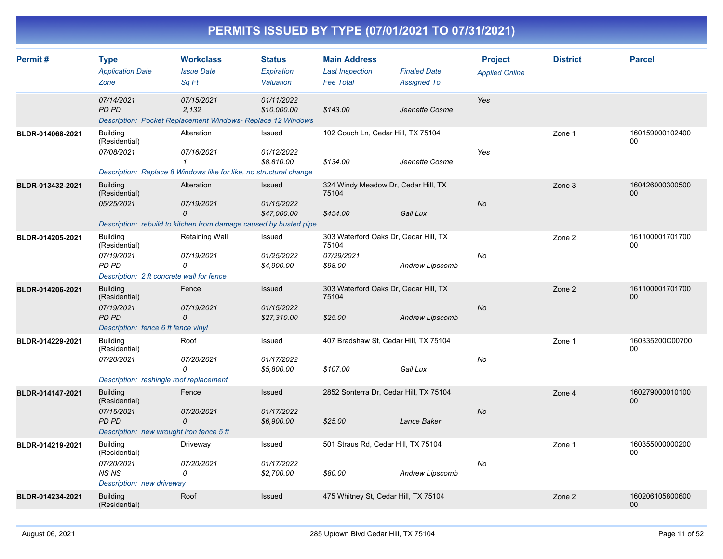| Permit#          | <b>Type</b><br><b>Application Date</b><br>Zone                                                             | <b>Workclass</b><br><b>Issue Date</b><br>Sa Ft                                                                 | <b>Status</b><br>Expiration<br>Valuation   | <b>Main Address</b><br><b>Last Inspection</b><br><b>Fee Total</b>       | <b>Finaled Date</b><br><b>Assigned To</b> | <b>Project</b><br><b>Applied Online</b> | <b>District</b> | <b>Parcel</b>             |
|------------------|------------------------------------------------------------------------------------------------------------|----------------------------------------------------------------------------------------------------------------|--------------------------------------------|-------------------------------------------------------------------------|-------------------------------------------|-----------------------------------------|-----------------|---------------------------|
|                  | 07/14/2021<br><b>PD PD</b>                                                                                 | 07/15/2021<br>2,132<br>Description: Pocket Replacement Windows- Replace 12 Windows                             | 01/11/2022<br>\$10,000.00                  | \$143.00                                                                | Jeanette Cosme                            | Yes                                     |                 |                           |
| BLDR-014068-2021 | <b>Building</b><br>(Residential)<br>07/08/2021                                                             | Alteration<br>07/16/2021<br>$\mathcal I$<br>Description: Replace 8 Windows like for like, no structural change | Issued<br>01/12/2022<br>\$8,810.00         | 102 Couch Ln, Cedar Hill, TX 75104<br>\$134.00                          | Jeanette Cosme                            | Yes                                     | Zone 1          | 160159000102400<br>00     |
| BLDR-013432-2021 | <b>Building</b><br>(Residential)<br>05/25/2021                                                             | Alteration<br>07/19/2021<br>0<br>Description: rebuild to kitchen from damage caused by busted pipe             | <b>Issued</b><br>01/15/2022<br>\$47,000.00 | 324 Windy Meadow Dr, Cedar Hill, TX<br>75104<br>\$454.00                | Gail Lux                                  | <b>No</b>                               | Zone 3          | 160426000300500<br>$00\,$ |
| BLDR-014205-2021 | <b>Building</b><br>(Residential)<br>07/19/2021<br>PD PD<br>Description: 2 ft concrete wall for fence       | Retaining Wall<br>07/19/2021<br>0                                                                              | Issued<br>01/25/2022<br>\$4,900.00         | 303 Waterford Oaks Dr, Cedar Hill, TX<br>75104<br>07/29/2021<br>\$98.00 | Andrew Lipscomb                           | No                                      | Zone 2          | 161100001701700<br>00     |
| BLDR-014206-2021 | <b>Building</b><br>(Residential)<br>07/19/2021<br><b>PD PD</b><br>Description: fence 6 ft fence vinyl      | Fence<br>07/19/2021<br>0                                                                                       | <b>Issued</b><br>01/15/2022<br>\$27,310.00 | 303 Waterford Oaks Dr, Cedar Hill, TX<br>75104<br>\$25.00               | <b>Andrew Lipscomb</b>                    | No                                      | Zone 2          | 161100001701700<br>00     |
| BLDR-014229-2021 | <b>Building</b><br>(Residential)<br>07/20/2021<br>Description: reshingle roof replacement                  | Roof<br>07/20/2021<br>0                                                                                        | Issued<br>01/17/2022<br>\$5,800.00         | 407 Bradshaw St, Cedar Hill, TX 75104<br>\$107.00                       | Gail Lux                                  | No                                      | Zone 1          | 160335200C00700<br>00     |
| BLDR-014147-2021 | <b>Building</b><br>(Residential)<br>07/15/2021<br><b>PD PD</b><br>Description: new wrought iron fence 5 ft | Fence<br>07/20/2021<br>0                                                                                       | <b>Issued</b><br>01/17/2022<br>\$6,900.00  | 2852 Sonterra Dr, Cedar Hill, TX 75104<br>\$25.00                       | Lance Baker                               | No                                      | Zone 4          | 160279000010100<br>$00\,$ |
| BLDR-014219-2021 | <b>Building</b><br>(Residential)<br>07/20/2021<br><b>NS NS</b><br>Description: new driveway                | Driveway<br>07/20/2021<br>0                                                                                    | Issued<br>01/17/2022<br>\$2,700.00         | 501 Straus Rd, Cedar Hill, TX 75104<br>\$80.00                          | Andrew Lipscomb                           | No                                      | Zone 1          | 160355000000200<br>00     |
| BLDR-014234-2021 | <b>Building</b><br>(Residential)                                                                           | Roof                                                                                                           | Issued                                     | 475 Whitney St, Cedar Hill, TX 75104                                    |                                           |                                         | Zone 2          | 160206105800600<br>00     |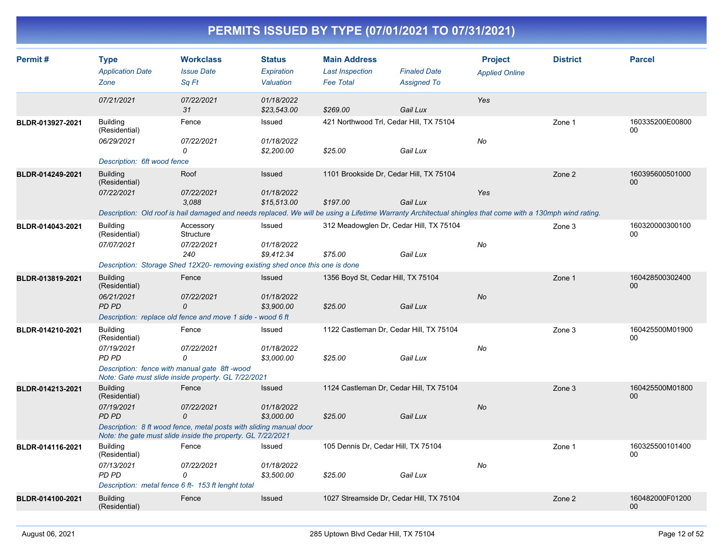|  | PERMITS ISSUED BY TYPE (07/01/2021 TO 07/31/2021) |
|--|---------------------------------------------------|
|  |                                                   |

| Permit#          | <b>Type</b><br><b>Application Date</b><br>Zone | <b>Workclass</b><br><b>Issue Date</b><br>Sq Ft                                                                                                            | <b>Status</b><br>Expiration<br>Valuation | <b>Main Address</b><br><b>Last Inspection</b><br><b>Fee Total</b> | <b>Finaled Date</b><br><b>Assigned To</b> | <b>Project</b><br><b>Applied Online</b> | <b>District</b> | <b>Parcel</b>             |
|------------------|------------------------------------------------|-----------------------------------------------------------------------------------------------------------------------------------------------------------|------------------------------------------|-------------------------------------------------------------------|-------------------------------------------|-----------------------------------------|-----------------|---------------------------|
|                  | 07/21/2021                                     | 07/22/2021<br>31                                                                                                                                          | 01/18/2022<br>\$23,543.00                | \$269.00                                                          | Gail Lux                                  | Yes                                     |                 |                           |
| BLDR-013927-2021 | <b>Building</b><br>(Residential)               | Fence                                                                                                                                                     | Issued                                   |                                                                   | 421 Northwood Trl, Cedar Hill, TX 75104   |                                         | Zone 1          | 160335200E00800<br>00     |
|                  | 06/29/2021                                     | 07/22/2021<br>0                                                                                                                                           | 01/18/2022<br>\$2,200.00                 | \$25.00                                                           | Gail Lux                                  | No                                      |                 |                           |
|                  | Description: 6ft wood fence                    |                                                                                                                                                           |                                          |                                                                   |                                           |                                         |                 |                           |
| BLDR-014249-2021 | <b>Building</b><br>(Residential)               | Roof                                                                                                                                                      | Issued                                   |                                                                   | 1101 Brookside Dr, Cedar Hill, TX 75104   |                                         | Zone 2          | 160395600501000<br>$00\,$ |
|                  | 07/22/2021                                     | 07/22/2021<br>3.088                                                                                                                                       | 01/18/2022<br>\$15,513.00                | \$197.00                                                          | Gail Lux                                  | Yes                                     |                 |                           |
|                  |                                                | Description: Old roof is hail damaged and needs replaced. We will be using a Lifetime Warranty Architectual shingles that come with a 130mph wind rating. |                                          |                                                                   |                                           |                                         |                 |                           |
| BLDR-014043-2021 | <b>Building</b><br>(Residential)               | Accessory<br>Structure                                                                                                                                    | Issued                                   |                                                                   | 312 Meadowglen Dr, Cedar Hill, TX 75104   |                                         | Zone 3          | 160320000300100<br>00     |
|                  | 07/07/2021                                     | 07/22/2021                                                                                                                                                | 01/18/2022                               |                                                                   |                                           | No                                      |                 |                           |
|                  |                                                | 240                                                                                                                                                       | \$9.412.34                               | \$75.00                                                           | Gail Lux                                  |                                         |                 |                           |
|                  |                                                | Description: Storage Shed 12X20- removing existing shed once this one is done                                                                             |                                          |                                                                   |                                           |                                         |                 |                           |
| BLDR-013819-2021 | <b>Building</b><br>(Residential)               | Fence                                                                                                                                                     | <b>Issued</b>                            | 1356 Boyd St, Cedar Hill, TX 75104                                |                                           |                                         | Zone 1          | 160428500302400<br>$00\,$ |
|                  | 06/21/2021                                     | 07/22/2021                                                                                                                                                | 01/18/2022                               |                                                                   |                                           | <b>No</b>                               |                 |                           |
|                  | PD PD                                          | $\Omega$                                                                                                                                                  | \$3,900.00                               | \$25.00                                                           | Gail Lux                                  |                                         |                 |                           |
|                  |                                                | Description: replace old fence and move 1 side - wood 6 ft                                                                                                |                                          |                                                                   |                                           |                                         |                 |                           |
| BLDR-014210-2021 | <b>Building</b><br>(Residential)               | Fence                                                                                                                                                     | Issued                                   |                                                                   | 1122 Castleman Dr, Cedar Hill, TX 75104   |                                         | Zone 3          | 160425500M01900<br>00     |
|                  | 07/19/2021                                     | 07/22/2021                                                                                                                                                | 01/18/2022                               |                                                                   |                                           | No                                      |                 |                           |
|                  | PD PD                                          | 0                                                                                                                                                         | \$3,000.00                               | \$25.00                                                           | Gail Lux                                  |                                         |                 |                           |
|                  |                                                | Description: fence with manual gate 8ft -wood<br>Note: Gate must slide inside property. GL 7/22/2021                                                      |                                          |                                                                   |                                           |                                         |                 |                           |
| BLDR-014213-2021 | <b>Building</b><br>(Residential)               | Fence                                                                                                                                                     | <b>Issued</b>                            |                                                                   | 1124 Castleman Dr, Cedar Hill, TX 75104   |                                         | Zone 3          | 160425500M01800<br>00     |
|                  | 07/19/2021<br><b>PD PD</b>                     | 07/22/2021<br>$\mathcal{O}$                                                                                                                               | 01/18/2022<br>\$3,000.00                 | \$25.00                                                           | Gail Lux                                  | <b>No</b>                               |                 |                           |
|                  |                                                | Description: 8 ft wood fence, metal posts with sliding manual door<br>Note: the gate must slide inside the property. GL 7/22/2021                         |                                          |                                                                   |                                           |                                         |                 |                           |
| BLDR-014116-2021 | <b>Building</b><br>(Residential)               | Fence                                                                                                                                                     | Issued                                   | 105 Dennis Dr, Cedar Hill, TX 75104                               |                                           |                                         | Zone 1          | 160325500101400<br>00     |
|                  | 07/13/2021                                     | 07/22/2021                                                                                                                                                | 01/18/2022                               |                                                                   |                                           | No                                      |                 |                           |
|                  | PD PD                                          | 0                                                                                                                                                         | \$3,500.00                               | \$25.00                                                           | Gail Lux                                  |                                         |                 |                           |
|                  |                                                | Description: metal fence 6 ft- 153 ft lenght total                                                                                                        |                                          |                                                                   |                                           |                                         |                 |                           |
| BLDR-014100-2021 | <b>Building</b><br>(Residential)               | Fence                                                                                                                                                     | <b>Issued</b>                            |                                                                   | 1027 Streamside Dr, Cedar Hill, TX 75104  |                                         | Zone 2          | 160482000F01200<br>$00\,$ |
|                  |                                                |                                                                                                                                                           |                                          |                                                                   |                                           |                                         |                 |                           |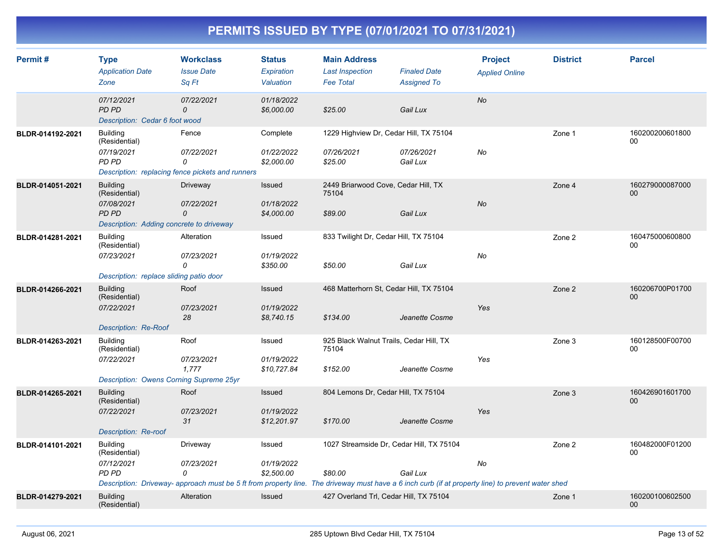| Permit#          | <b>Type</b><br><b>Application Date</b><br>Zone                                                             | <b>Workclass</b><br><b>Issue Date</b><br>Sa Ft                                                                                                                                   | <b>Status</b><br>Expiration<br>Valuation | <b>Main Address</b><br><b>Last Inspection</b><br><b>Fee Total</b> | <b>Finaled Date</b><br><b>Assigned To</b> | <b>Project</b><br><b>Applied Online</b> | <b>District</b> | <b>Parcel</b>         |
|------------------|------------------------------------------------------------------------------------------------------------|----------------------------------------------------------------------------------------------------------------------------------------------------------------------------------|------------------------------------------|-------------------------------------------------------------------|-------------------------------------------|-----------------------------------------|-----------------|-----------------------|
|                  | 07/12/2021<br><b>PD PD</b><br>Description: Cedar 6 foot wood                                               | 07/22/2021<br>0                                                                                                                                                                  | 01/18/2022<br>\$6,000.00                 | \$25.00                                                           | Gail Lux                                  | <b>No</b>                               |                 |                       |
| BLDR-014192-2021 | <b>Building</b><br>(Residential)<br>07/19/2021<br>PD PD                                                    | Fence<br>07/22/2021<br>0<br>Description: replacing fence pickets and runners                                                                                                     | Complete<br>01/22/2022<br>\$2,000.00     | 1229 Highview Dr, Cedar Hill, TX 75104<br>07/26/2021<br>\$25.00   | 07/26/2021<br>Gail Lux                    | No                                      | Zone 1          | 160200200601800<br>00 |
| BLDR-014051-2021 | <b>Building</b><br>(Residential)<br>07/08/2021<br><b>PD PD</b><br>Description: Adding concrete to driveway | Driveway<br>07/22/2021<br>0                                                                                                                                                      | Issued<br>01/18/2022<br>\$4,000.00       | 2449 Briarwood Cove, Cedar Hill, TX<br>75104<br>\$89.00           | Gail Lux                                  | No                                      | Zone 4          | 160279000087000<br>00 |
| BLDR-014281-2021 | <b>Building</b><br>(Residential)<br>07/23/2021<br>Description: replace sliding patio door                  | Alteration<br>07/23/2021<br>0                                                                                                                                                    | Issued<br>01/19/2022<br>\$350.00         | 833 Twilight Dr, Cedar Hill, TX 75104<br>\$50.00                  | Gail Lux                                  | No                                      | Zone 2          | 160475000600800<br>00 |
| BLDR-014266-2021 | <b>Building</b><br>(Residential)<br>07/22/2021<br>Description: Re-Roof                                     | Roof<br>07/23/2021<br>28                                                                                                                                                         | Issued<br>01/19/2022<br>\$8,740.15       | 468 Matterhorn St, Cedar Hill, TX 75104<br>\$134.00               | Jeanette Cosme                            | Yes                                     | Zone 2          | 160206700P01700<br>00 |
| BLDR-014263-2021 | <b>Building</b><br>(Residential)<br>07/22/2021<br>Description: Owens Corning Supreme 25yr                  | Roof<br>07/23/2021<br>1.777                                                                                                                                                      | Issued<br>01/19/2022<br>\$10,727.84      | 925 Black Walnut Trails, Cedar Hill, TX<br>75104<br>\$152.00      | Jeanette Cosme                            | Yes                                     | Zone 3          | 160128500F00700<br>00 |
| BLDR-014265-2021 | <b>Building</b><br>(Residential)<br>07/22/2021<br><b>Description: Re-roof</b>                              | Roof<br>07/23/2021<br>31                                                                                                                                                         | Issued<br>01/19/2022<br>\$12,201.97      | 804 Lemons Dr, Cedar Hill, TX 75104<br>\$170.00                   | Jeanette Cosme                            | Yes                                     | Zone 3          | 160426901601700<br>00 |
| BLDR-014101-2021 | <b>Building</b><br>(Residential)<br>07/12/2021<br>PD PD                                                    | Driveway<br>07/23/2021<br>0<br>Description: Driveway- approach must be 5 ft from property line. The driveway must have a 6 inch curb (if at property line) to prevent water shed | Issued<br>01/19/2022<br>\$2,500.00       | 1027 Streamside Dr, Cedar Hill, TX 75104<br>\$80.00               | Gail Lux                                  | No                                      | Zone 2          | 160482000F01200<br>00 |
| BLDR-014279-2021 | <b>Building</b><br>(Residential)                                                                           | Alteration                                                                                                                                                                       | Issued                                   | 427 Overland Trl, Cedar Hill, TX 75104                            |                                           |                                         | Zone 1          | 160200100602500<br>00 |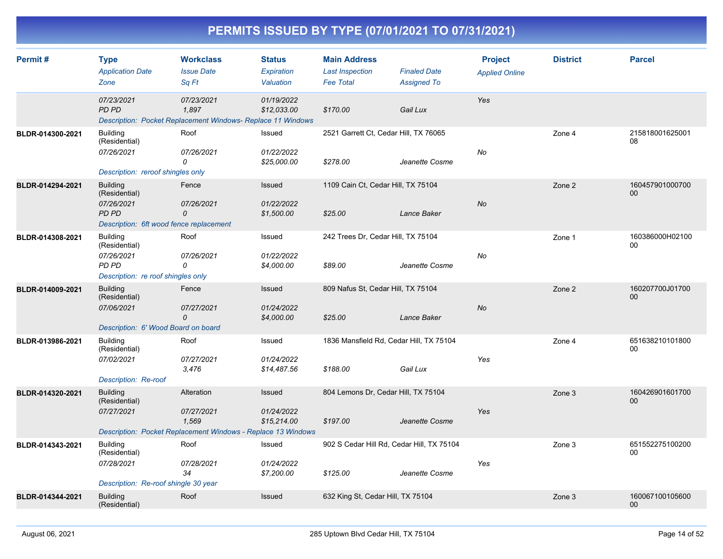|  | PERMITS ISSUED BY TYPE (07/01/2021 TO 07/31/2021) |
|--|---------------------------------------------------|
|  |                                                   |

| Permit#          | <b>Type</b><br><b>Application Date</b><br>Zone                                                     | <b>Workclass</b><br><b>Issue Date</b><br>Sa Ft                                                    | <b>Status</b><br>Expiration<br>Valuation   | <b>Main Address</b><br><b>Last Inspection</b><br><b>Fee Total</b> | <b>Finaled Date</b><br><b>Assigned To</b> | <b>Project</b><br><b>Applied Online</b> | <b>District</b> | <b>Parcel</b>                      |
|------------------|----------------------------------------------------------------------------------------------------|---------------------------------------------------------------------------------------------------|--------------------------------------------|-------------------------------------------------------------------|-------------------------------------------|-----------------------------------------|-----------------|------------------------------------|
|                  | 07/23/2021<br><b>PD PD</b>                                                                         | 07/23/2021<br>1,897<br>Description: Pocket Replacement Windows- Replace 11 Windows                | 01/19/2022<br>\$12,033.00                  | \$170.00                                                          | Gail Lux                                  | Yes                                     |                 |                                    |
| BLDR-014300-2021 | <b>Building</b><br>(Residential)<br>07/26/2021<br>Description: reroof shingles only                | Roof<br>07/26/2021<br>0                                                                           | Issued<br>01/22/2022<br>\$25,000.00        | 2521 Garrett Ct, Cedar Hill, TX 76065<br>\$278.00                 | Jeanette Cosme                            | No                                      | Zone 4          | 215818001625001<br>08              |
| BLDR-014294-2021 | <b>Building</b><br>(Residential)<br>07/26/2021<br>PD PD<br>Description: 6ft wood fence replacement | Fence<br>07/26/2021<br>0                                                                          | <b>Issued</b><br>01/22/2022<br>\$1,500.00  | 1109 Cain Ct, Cedar Hill, TX 75104<br>\$25.00                     | Lance Baker                               | <b>No</b>                               | Zone 2          | 160457901000700<br>00 <sup>°</sup> |
| BLDR-014308-2021 | <b>Building</b><br>(Residential)<br>07/26/2021<br>PD PD<br>Description: re roof shingles only      | Roof<br>07/26/2021<br>0                                                                           | Issued<br>01/22/2022<br>\$4,000.00         | 242 Trees Dr, Cedar Hill, TX 75104<br>\$89.00                     | Jeanette Cosme                            | No                                      | Zone 1          | 160386000H02100<br>$00\,$          |
| BLDR-014009-2021 | <b>Building</b><br>(Residential)<br>07/06/2021<br>Description: 6' Wood Board on board              | Fence<br>07/27/2021<br>0                                                                          | Issued<br>01/24/2022<br>\$4,000.00         | 809 Nafus St, Cedar Hill, TX 75104<br>\$25.00                     | Lance Baker                               | <b>No</b>                               | Zone 2          | 160207700J01700<br>00 <sup>°</sup> |
| BLDR-013986-2021 | <b>Building</b><br>(Residential)<br>07/02/2021<br>Description: Re-roof                             | Roof<br>07/27/2021<br>3,476                                                                       | Issued<br>01/24/2022<br>\$14,487.56        | 1836 Mansfield Rd, Cedar Hill, TX 75104<br>\$188.00               | Gail Lux                                  | Yes                                     | Zone 4          | 651638210101800<br>00              |
| BLDR-014320-2021 | <b>Building</b><br>(Residential)<br>07/27/2021                                                     | Alteration<br>07/27/2021<br>1,569<br>Description: Pocket Replacement Windows - Replace 13 Windows | <b>Issued</b><br>01/24/2022<br>\$15,214.00 | 804 Lemons Dr, Cedar Hill, TX 75104<br>\$197.00                   | Jeanette Cosme                            | Yes                                     | Zone 3          | 160426901601700<br>00 <sup>°</sup> |
| BLDR-014343-2021 | <b>Building</b><br>(Residential)<br>07/28/2021<br>Description: Re-roof shingle 30 year             | Roof<br>07/28/2021<br>34                                                                          | Issued<br>01/24/2022<br>\$7,200.00         | 902 S Cedar Hill Rd, Cedar Hill, TX 75104<br>\$125.00             | Jeanette Cosme                            | Yes                                     | Zone 3          | 651552275100200<br>00              |
| BLDR-014344-2021 | <b>Building</b><br>(Residential)                                                                   | Roof                                                                                              | Issued                                     | 632 King St, Cedar Hill, TX 75104                                 |                                           |                                         | Zone 3          | 160067100105600<br>$00\,$          |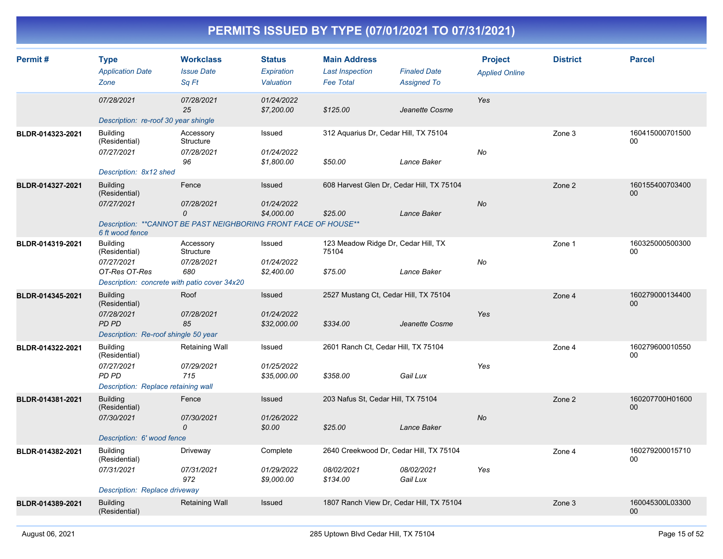| Permit#          | <b>Type</b><br><b>Application Date</b><br>Zone                                                                  | <b>Workclass</b><br><b>Issue Date</b><br>Sq Ft                                               | <b>Status</b><br>Expiration<br>Valuation | <b>Main Address</b><br><b>Last Inspection</b><br><b>Fee Total</b> | <b>Finaled Date</b><br><b>Assigned To</b> | <b>Project</b><br><b>Applied Online</b> | <b>District</b> | <b>Parcel</b>         |
|------------------|-----------------------------------------------------------------------------------------------------------------|----------------------------------------------------------------------------------------------|------------------------------------------|-------------------------------------------------------------------|-------------------------------------------|-----------------------------------------|-----------------|-----------------------|
|                  | 07/28/2021<br>Description: re-roof 30 year shingle                                                              | 07/28/2021<br>25                                                                             | 01/24/2022<br>\$7,200.00                 | \$125.00                                                          | Jeanette Cosme                            | Yes                                     |                 |                       |
| BLDR-014323-2021 | <b>Building</b><br>(Residential)<br>07/27/2021<br>Description: 8x12 shed                                        | Accessory<br>Structure<br>07/28/2021<br>96                                                   | Issued<br>01/24/2022<br>\$1,800.00       | 312 Aquarius Dr, Cedar Hill, TX 75104<br>\$50.00                  | Lance Baker                               | No                                      | Zone 3          | 160415000701500<br>00 |
| BLDR-014327-2021 | <b>Building</b><br>(Residential)<br>07/27/2021<br>6 ft wood fence                                               | Fence<br>07/28/2021<br>0<br>Description: ** CANNOT BE PAST NEIGHBORING FRONT FACE OF HOUSE** | Issued<br>01/24/2022<br>\$4,000.00       | 608 Harvest Glen Dr, Cedar Hill, TX 75104<br>\$25.00              | Lance Baker                               | No                                      | Zone 2          | 160155400703400<br>00 |
| BLDR-014319-2021 | <b>Building</b><br>(Residential)<br>07/27/2021<br>OT-Res OT-Res<br>Description: concrete with patio cover 34x20 | Accessory<br>Structure<br>07/28/2021<br>680                                                  | Issued<br>01/24/2022<br>\$2,400.00       | 123 Meadow Ridge Dr, Cedar Hill, TX<br>75104<br>\$75.00           | Lance Baker                               | No                                      | Zone 1          | 160325000500300<br>00 |
| BLDR-014345-2021 | <b>Building</b><br>(Residential)<br>07/28/2021<br>PD PD<br>Description: Re-roof shingle 50 year                 | Roof<br>07/28/2021<br>85                                                                     | Issued<br>01/24/2022<br>\$32,000.00      | 2527 Mustang Ct, Cedar Hill, TX 75104<br>\$334.00                 | Jeanette Cosme                            | Yes                                     | Zone 4          | 160279000134400<br>00 |
| BLDR-014322-2021 | <b>Building</b><br>(Residential)<br>07/27/2021<br><b>PD PD</b><br>Description: Replace retaining wall           | Retaining Wall<br>07/29/2021<br>715                                                          | Issued<br>01/25/2022<br>\$35,000.00      | 2601 Ranch Ct, Cedar Hill, TX 75104<br>\$358.00                   | Gail Lux                                  | Yes                                     | Zone 4          | 160279600010550<br>00 |
| BLDR-014381-2021 | <b>Building</b><br>(Residential)<br>07/30/2021<br>Description: 6' wood fence                                    | Fence<br>07/30/2021<br>0                                                                     | Issued<br>01/26/2022<br>\$0.00           | 203 Nafus St, Cedar Hill, TX 75104<br>\$25.00                     | Lance Baker                               | No                                      | Zone 2          | 160207700H01600<br>00 |
| BLDR-014382-2021 | <b>Building</b><br>(Residential)<br>07/31/2021<br>Description: Replace driveway                                 | Driveway<br>07/31/2021<br>972                                                                | Complete<br>01/29/2022<br>\$9,000.00     | 2640 Creekwood Dr, Cedar Hill, TX 75104<br>08/02/2021<br>\$134.00 | 08/02/2021<br>Gail Lux                    | Yes                                     | Zone 4          | 160279200015710<br>00 |
| BLDR-014389-2021 | <b>Building</b><br>(Residential)                                                                                | <b>Retaining Wall</b>                                                                        | <b>Issued</b>                            | 1807 Ranch View Dr, Cedar Hill, TX 75104                          |                                           |                                         | Zone 3          | 160045300L03300<br>00 |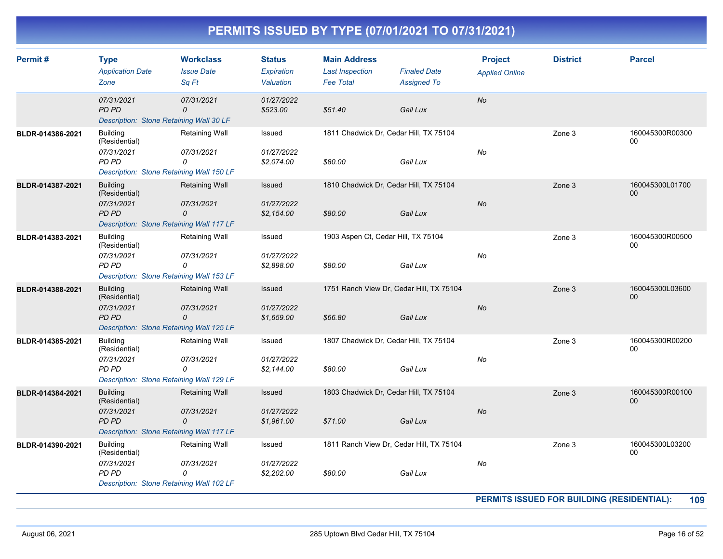| Permit#          | <b>Type</b><br><b>Application Date</b><br>Zone                                                             | <b>Workclass</b><br><b>Issue Date</b><br>Sq Ft | <b>Status</b><br>Expiration<br>Valuation | <b>Main Address</b><br><b>Last Inspection</b><br><b>Fee Total</b> | <b>Finaled Date</b><br><b>Assigned To</b>            | <b>Project</b><br><b>Applied Online</b> | <b>District</b>                            | <b>Parcel</b>         |
|------------------|------------------------------------------------------------------------------------------------------------|------------------------------------------------|------------------------------------------|-------------------------------------------------------------------|------------------------------------------------------|-----------------------------------------|--------------------------------------------|-----------------------|
|                  | 07/31/2021<br>PD PD<br>Description: Stone Retaining Wall 30 LF                                             | 07/31/2021<br>0                                | 01/27/2022<br>\$523.00                   | \$51.40                                                           | Gail Lux                                             | No                                      |                                            |                       |
| BLDR-014386-2021 | <b>Building</b><br>(Residential)<br>07/31/2021<br>PD PD<br>Description: Stone Retaining Wall 150 LF        | Retaining Wall<br>07/31/2021<br>0              | Issued<br>01/27/2022<br>\$2,074.00       | \$80.00                                                           | 1811 Chadwick Dr, Cedar Hill, TX 75104<br>Gail Lux   | No                                      | Zone 3                                     | 160045300R00300<br>00 |
| BLDR-014387-2021 | <b>Building</b><br>(Residential)<br>07/31/2021<br><b>PD PD</b><br>Description: Stone Retaining Wall 117 LF | <b>Retaining Wall</b><br>07/31/2021<br>0       | Issued<br>01/27/2022<br>\$2,154.00       | \$80.00                                                           | 1810 Chadwick Dr, Cedar Hill, TX 75104<br>Gail Lux   | No                                      | Zone 3                                     | 160045300L01700<br>00 |
| BLDR-014383-2021 | <b>Building</b><br>(Residential)<br>07/31/2021<br>PD PD<br>Description: Stone Retaining Wall 153 LF        | Retaining Wall<br>07/31/2021<br>$\Omega$       | Issued<br>01/27/2022<br>\$2,898.00       | 1903 Aspen Ct, Cedar Hill, TX 75104<br>\$80.00                    | Gail Lux                                             | No                                      | Zone 3                                     | 160045300R00500<br>00 |
| BLDR-014388-2021 | <b>Building</b><br>(Residential)<br>07/31/2021<br>PD PD<br>Description: Stone Retaining Wall 125 LF        | Retaining Wall<br>07/31/2021<br>0              | Issued<br>01/27/2022<br>\$1,659.00       | \$66.80                                                           | 1751 Ranch View Dr, Cedar Hill, TX 75104<br>Gail Lux | <b>No</b>                               | Zone 3                                     | 160045300L03600<br>00 |
| BLDR-014385-2021 | <b>Building</b><br>(Residential)<br>07/31/2021<br>PD PD<br>Description: Stone Retaining Wall 129 LF        | Retaining Wall<br>07/31/2021<br>0              | Issued<br>01/27/2022<br>\$2,144.00       | \$80.00                                                           | 1807 Chadwick Dr, Cedar Hill, TX 75104<br>Gail Lux   | No                                      | Zone 3                                     | 160045300R00200<br>00 |
| BLDR-014384-2021 | <b>Building</b><br>(Residential)<br>07/31/2021<br>PD PD<br>Description: Stone Retaining Wall 117 LF        | Retaining Wall<br>07/31/2021<br>0              | Issued<br>01/27/2022<br>\$1,961.00       | \$71.00                                                           | 1803 Chadwick Dr, Cedar Hill, TX 75104<br>Gail Lux   | <b>No</b>                               | Zone 3                                     | 160045300R00100<br>00 |
| BLDR-014390-2021 | <b>Building</b><br>(Residential)<br>07/31/2021<br><b>PD PD</b><br>Description: Stone Retaining Wall 102 LF | Retaining Wall<br>07/31/2021<br>0              | Issued<br>01/27/2022<br>\$2,202.00       | \$80.00                                                           | 1811 Ranch View Dr, Cedar Hill, TX 75104<br>Gail Lux | No                                      | Zone 3                                     | 160045300L03200<br>00 |
|                  |                                                                                                            |                                                |                                          |                                                                   |                                                      |                                         | PERMITS ISSUED FOR BUILDING (RESIDENTIAL): | 109                   |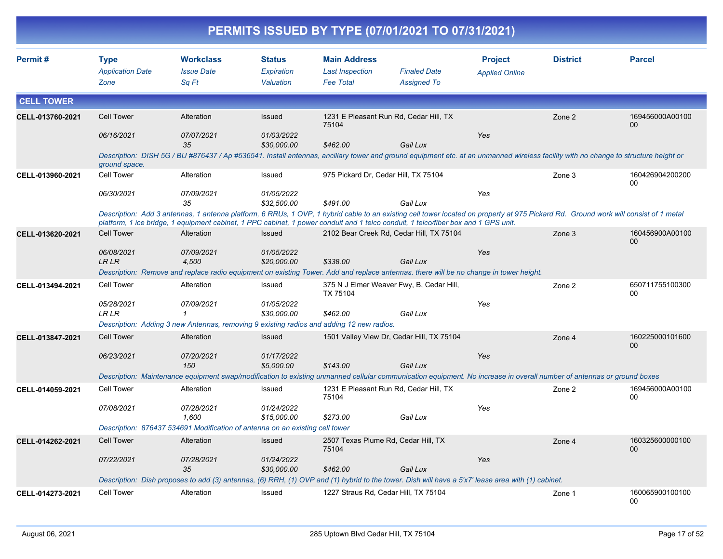|                   |                            |                                                                                          |                           |                                      | PERMITS ISSUED BY TYPE (07/01/2021 TO 07/31/2021)                                                                                                                     |                       |                 |                                                                                                                                                                                     |
|-------------------|----------------------------|------------------------------------------------------------------------------------------|---------------------------|--------------------------------------|-----------------------------------------------------------------------------------------------------------------------------------------------------------------------|-----------------------|-----------------|-------------------------------------------------------------------------------------------------------------------------------------------------------------------------------------|
| Permit#           | <b>Type</b>                | <b>Workclass</b>                                                                         | <b>Status</b>             | <b>Main Address</b>                  |                                                                                                                                                                       | <b>Project</b>        | <b>District</b> | <b>Parcel</b>                                                                                                                                                                       |
|                   | <b>Application Date</b>    | <b>Issue Date</b>                                                                        | Expiration                | <b>Last Inspection</b>               | <b>Finaled Date</b>                                                                                                                                                   | <b>Applied Online</b> |                 |                                                                                                                                                                                     |
|                   | Zone                       | Sq Ft                                                                                    | Valuation                 | <b>Fee Total</b>                     | <b>Assigned To</b>                                                                                                                                                    |                       |                 |                                                                                                                                                                                     |
| <b>CELL TOWER</b> |                            |                                                                                          |                           |                                      |                                                                                                                                                                       |                       |                 |                                                                                                                                                                                     |
| CELL-013760-2021  | <b>Cell Tower</b>          | Alteration                                                                               | Issued                    | 75104                                | 1231 E Pleasant Run Rd, Cedar Hill, TX                                                                                                                                |                       | Zone 2          | 169456000A00100<br>00                                                                                                                                                               |
|                   | 06/16/2021                 | 07/07/2021<br>35                                                                         | 01/03/2022<br>\$30,000.00 | \$462.00                             | Gail Lux                                                                                                                                                              | Yes                   |                 |                                                                                                                                                                                     |
|                   | ground space.              |                                                                                          |                           |                                      |                                                                                                                                                                       |                       |                 | Description: DISH 5G / BU #876437 / Ap #536541. Install antennas, ancillary tower and ground equipment etc. at an unmanned wireless facility with no change to structure height or  |
| CELL-013960-2021  | Cell Tower                 | Alteration                                                                               | Issued                    | 975 Pickard Dr, Cedar Hill, TX 75104 |                                                                                                                                                                       |                       | Zone 3          | 160426904200200<br>00                                                                                                                                                               |
|                   | 06/30/2021                 | 07/09/2021<br>35                                                                         | 01/05/2022<br>\$32,500.00 | \$491.00                             | Gail Lux                                                                                                                                                              | Yes                   |                 |                                                                                                                                                                                     |
|                   |                            |                                                                                          |                           |                                      | platform, 1 ice bridge, 1 equipment cabinet, 1 PPC cabinet, 1 power conduit and 1 telco conduit, 1 telco/fiber box and 1 GPS unit.                                    |                       |                 | Description: Add 3 antennas, 1 antenna platform, 6 RRUs, 1 OVP, 1 hybrid cable to an existing cell tower located on property at 975 Pickard Rd. Ground work will consist of 1 metal |
| CELL-013620-2021  | <b>Cell Tower</b>          | Alteration                                                                               | Issued                    |                                      | 2102 Bear Creek Rd, Cedar Hill, TX 75104                                                                                                                              |                       | Zone 3          | 160456900A00100<br>00                                                                                                                                                               |
|                   | 06/08/2021<br><b>LRLR</b>  | 07/09/2021<br>4,500                                                                      | 01/05/2022<br>\$20,000.00 | \$338.00                             | Gail Lux                                                                                                                                                              | Yes                   |                 |                                                                                                                                                                                     |
|                   |                            |                                                                                          |                           |                                      | Description: Remove and replace radio equipment on existing Tower. Add and replace antennas. there will be no change in tower height.                                 |                       |                 |                                                                                                                                                                                     |
| CELL-013494-2021  | Cell Tower                 | Alteration                                                                               | Issued                    | TX 75104                             | 375 N J Elmer Weaver Fwy, B, Cedar Hill,                                                                                                                              |                       | Zone 2          | 650711755100300<br>00                                                                                                                                                               |
|                   | 05/28/2021<br><b>LR LR</b> | 07/09/2021<br>1                                                                          | 01/05/2022<br>\$30,000.00 | \$462.00                             | Gail Lux                                                                                                                                                              | Yes                   |                 |                                                                                                                                                                                     |
|                   |                            | Description: Adding 3 new Antennas, removing 9 existing radios and adding 12 new radios. |                           |                                      |                                                                                                                                                                       |                       |                 |                                                                                                                                                                                     |
| CELL-013847-2021  | <b>Cell Tower</b>          | Alteration                                                                               | Issued                    |                                      | 1501 Valley View Dr, Cedar Hill, TX 75104                                                                                                                             |                       | Zone 4          | 160225000101600<br>00                                                                                                                                                               |
|                   | 06/23/2021                 | 07/20/2021<br>150                                                                        | 01/17/2022<br>\$5,000.00  | \$143.00                             | Gail Lux                                                                                                                                                              | Yes                   |                 |                                                                                                                                                                                     |
|                   |                            |                                                                                          |                           |                                      | Description: Maintenance equipment swap/modification to existing unmanned cellular communication equipment. No increase in overall number of antennas or ground boxes |                       |                 |                                                                                                                                                                                     |
| CELL-014059-2021  | Cell Tower                 | Alteration                                                                               | Issued                    | 75104                                | 1231 E Pleasant Run Rd, Cedar Hill, TX                                                                                                                                |                       | Zone 2          | 169456000A00100<br>00                                                                                                                                                               |
|                   | 07/08/2021                 | 07/28/2021<br>1.600                                                                      | 01/24/2022<br>\$15,000.00 | \$273.00                             | Gail Lux                                                                                                                                                              | Yes                   |                 |                                                                                                                                                                                     |
|                   |                            | Description: 876437 534691 Modification of antenna on an existing cell tower             |                           |                                      |                                                                                                                                                                       |                       |                 |                                                                                                                                                                                     |
| CELL-014262-2021  | Cell Tower                 | Alteration                                                                               | Issued                    | 75104                                | 2507 Texas Plume Rd, Cedar Hill, TX                                                                                                                                   |                       | Zone 4          | 160325600000100<br>00                                                                                                                                                               |
|                   | 07/22/2021                 | 07/28/2021                                                                               | 01/24/2022                |                                      |                                                                                                                                                                       | Yes                   |                 |                                                                                                                                                                                     |
|                   |                            | 35                                                                                       | \$30,000.00               | \$462.00                             | Gail Lux                                                                                                                                                              |                       |                 |                                                                                                                                                                                     |
|                   |                            |                                                                                          |                           |                                      | Description: Dish proposes to add (3) antennas, (6) RRH, (1) OVP and (1) hybrid to the tower. Dish will have a 5'x7' lease area with (1) cabinet.                     |                       |                 |                                                                                                                                                                                     |
| CELL-014273-2021  | Cell Tower                 | Alteration                                                                               | Issued                    |                                      | 1227 Straus Rd, Cedar Hill, TX 75104                                                                                                                                  |                       | Zone 1          | 160065900100100<br>00                                                                                                                                                               |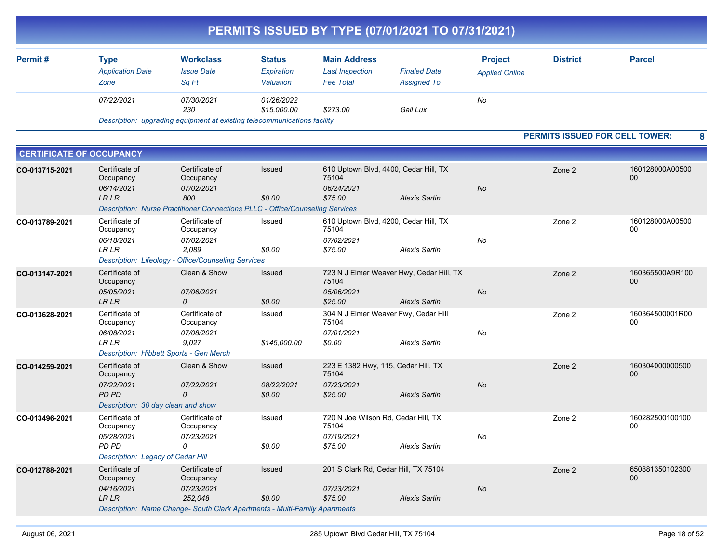|                                 |                                                                                                 |                                                                                                                                    |                                          |                                                                       | PERMITS ISSUED BY TYPE (07/01/2021 TO 07/31/2021)                |                                         |                                       |                       |
|---------------------------------|-------------------------------------------------------------------------------------------------|------------------------------------------------------------------------------------------------------------------------------------|------------------------------------------|-----------------------------------------------------------------------|------------------------------------------------------------------|-----------------------------------------|---------------------------------------|-----------------------|
| Permit#                         | <b>Type</b><br><b>Application Date</b><br>Zone                                                  | <b>Workclass</b><br><b>Issue Date</b><br>Sq Ft                                                                                     | <b>Status</b><br>Expiration<br>Valuation | <b>Main Address</b><br><b>Last Inspection</b><br><b>Fee Total</b>     | <b>Finaled Date</b><br><b>Assigned To</b>                        | <b>Project</b><br><b>Applied Online</b> | <b>District</b>                       | <b>Parcel</b>         |
|                                 | 07/22/2021                                                                                      | 07/30/2021<br>230                                                                                                                  | 01/26/2022<br>\$15,000.00                | \$273.00                                                              | Gail Lux                                                         | No                                      |                                       |                       |
|                                 |                                                                                                 | Description: upgrading equipment at existing telecommunications facility                                                           |                                          |                                                                       |                                                                  |                                         |                                       |                       |
|                                 |                                                                                                 |                                                                                                                                    |                                          |                                                                       |                                                                  |                                         | <b>PERMITS ISSUED FOR CELL TOWER:</b> | 8                     |
| <b>CERTIFICATE OF OCCUPANCY</b> |                                                                                                 |                                                                                                                                    |                                          |                                                                       |                                                                  |                                         |                                       |                       |
| CO-013715-2021                  | Certificate of<br>Occupancy<br>06/14/2021<br><b>LR LR</b>                                       | Certificate of<br>Occupancy<br>07/02/2021<br>800                                                                                   | Issued<br>\$0.00                         | 75104<br>06/24/2021<br>\$75.00                                        | 610 Uptown Blvd, 4400, Cedar Hill, TX<br><b>Alexis Sartin</b>    | <b>No</b>                               | Zone 2                                | 160128000A00500<br>00 |
|                                 |                                                                                                 | Description: Nurse Practitioner Connections PLLC - Office/Counseling Services                                                      |                                          |                                                                       |                                                                  |                                         |                                       |                       |
| CO-013789-2021                  | Certificate of<br>Occupancy<br>06/18/2021<br><b>LR LR</b>                                       | Certificate of<br>Occupancy<br>07/02/2021<br>2,089                                                                                 | Issued<br>\$0.00                         | 75104<br>07/02/2021<br>\$75.00                                        | 610 Uptown Blvd, 4200, Cedar Hill, TX<br><b>Alexis Sartin</b>    | No                                      | Zone 2                                | 160128000A00500<br>00 |
|                                 |                                                                                                 | Description: Lifeology - Office/Counseling Services                                                                                |                                          |                                                                       |                                                                  |                                         |                                       |                       |
| CO-013147-2021                  | Certificate of<br>Occupancy<br>05/05/2021<br><b>LR LR</b>                                       | Clean & Show<br>07/06/2021<br>0                                                                                                    | <b>Issued</b><br>\$0.00                  | 75104<br>05/06/2021<br>\$25.00                                        | 723 N J Elmer Weaver Hwy, Cedar Hill, TX<br><b>Alexis Sartin</b> | No                                      | Zone 2                                | 160365500A9R100<br>00 |
| CO-013628-2021                  | Certificate of<br>Occupancy<br>06/08/2021<br>LR LR                                              | Certificate of<br>Occupancy<br>07/08/2021<br>9,027                                                                                 | Issued<br>\$145,000.00                   | 75104<br>07/01/2021<br>\$0.00                                         | 304 N J Elmer Weaver Fwy, Cedar Hill<br><b>Alexis Sartin</b>     | No                                      | Zone 2                                | 160364500001R00<br>00 |
|                                 | Description: Hibbett Sports - Gen Merch                                                         |                                                                                                                                    |                                          |                                                                       |                                                                  |                                         |                                       |                       |
| CO-014259-2021                  | Certificate of<br>Occupancy<br>07/22/2021<br><b>PD PD</b><br>Description: 30 day clean and show | Clean & Show<br>07/22/2021<br>$\mathcal{O}$                                                                                        | <b>Issued</b><br>08/22/2021<br>\$0.00    | 223 E 1382 Hwy, 115, Cedar Hill, TX<br>75104<br>07/23/2021<br>\$25.00 | <b>Alexis Sartin</b>                                             | No                                      | Zone 2                                | 160304000000500<br>00 |
| CO-013496-2021                  | Certificate of<br>Occupancy<br><i>05/28/2021</i><br>PD PD<br>Description: Legacy of Cedar Hill  | Certificate of<br>Occupancy<br>07/23/2021<br>0                                                                                     | Issued<br>\$0.00                         | 720 N Joe Wilson Rd, Cedar Hill, TX<br>75104<br>07/19/2021<br>\$75.00 | <b>Alexis Sartin</b>                                             | No                                      | Zone 2                                | 160282500100100<br>00 |
| CO-012788-2021                  | Certificate of<br>Occupancy<br>04/16/2021<br>LR LR                                              | Certificate of<br>Occupancy<br>07/23/2021<br>252,048<br>Description: Name Change- South Clark Apartments - Multi-Family Apartments | Issued<br>\$0.00                         | 201 S Clark Rd, Cedar Hill, TX 75104<br>07/23/2021<br>\$75.00         | <b>Alexis Sartin</b>                                             | $N\sigma$                               | Zone 2                                | 650881350102300<br>00 |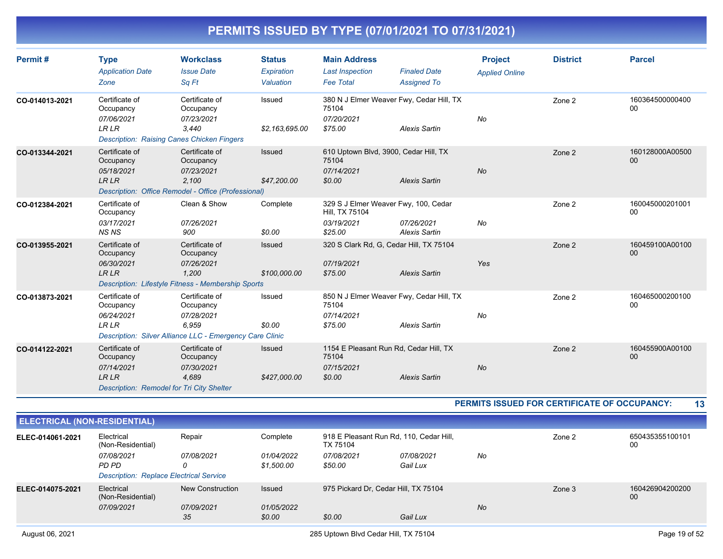| Permit#        | <b>Type</b><br><b>Application Date</b><br>Zone                                                                | <b>Workclass</b><br><b>Issue Date</b><br>Sa Ft                                                                 | <b>Status</b><br>Expiration<br>Valuation | <b>Main Address</b><br><b>Last Inspection</b><br><b>Fee Total</b>               | <b>Finaled Date</b><br><b>Assigned To</b> | <b>Project</b><br><b>Applied Online</b> | <b>District</b> | <b>Parcel</b>         |
|----------------|---------------------------------------------------------------------------------------------------------------|----------------------------------------------------------------------------------------------------------------|------------------------------------------|---------------------------------------------------------------------------------|-------------------------------------------|-----------------------------------------|-----------------|-----------------------|
| CO-014013-2021 | Certificate of<br>Occupancy<br>07/06/2021<br><b>LRLR</b><br><b>Description: Raising Canes Chicken Fingers</b> | Certificate of<br>Occupancy<br>07/23/2021<br>3,440                                                             | Issued<br>\$2,163,695.00                 | 380 N J Elmer Weaver Fwy, Cedar Hill, TX<br>75104<br>07/20/2021<br>\$75.00      | <b>Alexis Sartin</b>                      | No                                      | Zone 2          | 160364500000400<br>00 |
| CO-013344-2021 | Certificate of<br>Occupancy<br>05/18/2021<br><b>LRLR</b>                                                      | Certificate of<br>Occupancy<br>07/23/2021<br>2.100<br>Description: Office Remodel - Office (Professional)      | Issued<br>\$47,200.00                    | 610 Uptown Blvd, 3900, Cedar Hill, TX<br>75104<br>07/14/2021<br>\$0.00          | <b>Alexis Sartin</b>                      | <b>No</b>                               | Zone 2          | 160128000A00500<br>00 |
| CO-012384-2021 | Certificate of<br>Occupancy<br>03/17/2021<br><b>NSNS</b>                                                      | Clean & Show<br>07/26/2021<br>900                                                                              | Complete<br>\$0.00                       | 329 S J Elmer Weaver Fwy, 100, Cedar<br>Hill, TX 75104<br>03/19/2021<br>\$25.00 | 07/26/2021<br><b>Alexis Sartin</b>        | No                                      | Zone 2          | 160045000201001<br>00 |
| CO-013955-2021 | Certificate of<br>Occupancy<br>06/30/2021<br><b>LRLR</b>                                                      | Certificate of<br>Occupancy<br>07/26/2021<br>1,200<br>Description: Lifestyle Fitness - Membership Sports       | Issued<br>\$100,000.00                   | 320 S Clark Rd, G, Cedar Hill, TX 75104<br>07/19/2021<br>\$75.00                | <b>Alexis Sartin</b>                      | Yes                                     | Zone 2          | 160459100A00100<br>00 |
| CO-013873-2021 | Certificate of<br>Occupancy<br>06/24/2021<br><b>LRLR</b>                                                      | Certificate of<br>Occupancy<br>07/28/2021<br>6,959<br>Description: Silver Alliance LLC - Emergency Care Clinic | Issued<br>\$0.00                         | 850 N J Elmer Weaver Fwy, Cedar Hill, TX<br>75104<br>07/14/2021<br>\$75.00      | <b>Alexis Sartin</b>                      | No                                      | Zone 2          | 160465000200100<br>00 |
| CO-014122-2021 | Certificate of<br>Occupancy<br>07/14/2021<br><b>LRLR</b><br>Description: Remodel for Tri City Shelter         | Certificate of<br>Occupancy<br>07/30/2021<br>4,689                                                             | Issued<br>\$427,000.00                   | 1154 E Pleasant Run Rd, Cedar Hill, TX<br>75104<br>07/15/2021<br>\$0.00         | <b>Alexis Sartin</b>                      | No                                      | Zone 2          | 160455900A00100<br>00 |

**PERMITS ISSUED FOR CERTIFICATE OF OCCUPANCY: 13**

| <b>ELECTRICAL (NON-RESIDENTIAL)</b> |                                                                       |                                |                          |                                                     |                        |           |        |                       |
|-------------------------------------|-----------------------------------------------------------------------|--------------------------------|--------------------------|-----------------------------------------------------|------------------------|-----------|--------|-----------------------|
| ELEC-014061-2021                    | Electrical<br>(Non-Residential)                                       | Repair                         | Complete                 | 918 E Pleasant Run Rd, 110, Cedar Hill,<br>TX 75104 |                        |           | Zone 2 | 650435355100101<br>00 |
|                                     | 07/08/2021<br>PD PD<br><b>Description: Replace Electrical Service</b> | 07/08/2021<br>0                | 01/04/2022<br>\$1.500.00 | 07/08/2021<br>\$50.00                               | 07/08/2021<br>Gail Lux | No        |        |                       |
| ELEC-014075-2021                    | Electrical<br>(Non-Residential)<br>07/09/2021                         | New Construction<br>07/09/2021 | Issued<br>01/05/2022     | 975 Pickard Dr, Cedar Hill, TX 75104                |                        | <b>No</b> | Zone 3 | 160426904200200<br>00 |
|                                     |                                                                       | 35                             | \$0.00                   | \$0.00                                              | Gail Lux               |           |        |                       |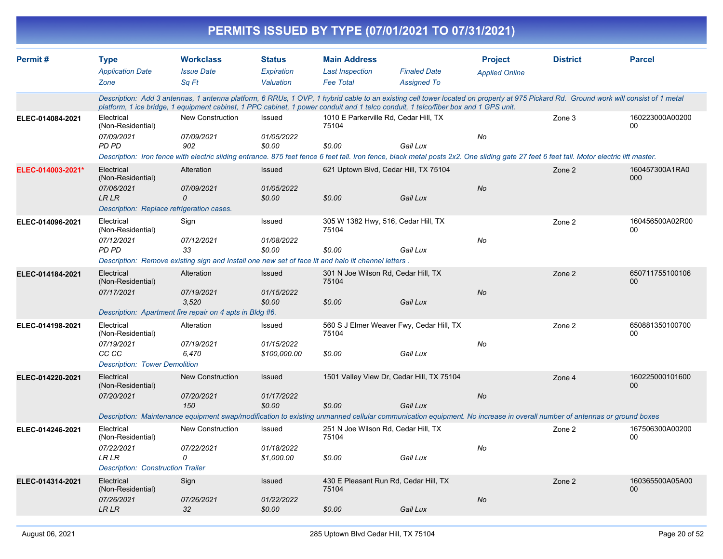|                   |                                                                                                            |                                                                                                                                                                                                                                                                                                                           |                                      |                                                          | PERMITS ISSUED BY TYPE (07/01/2021 TO 07/31/2021)     |                       |                 |                       |
|-------------------|------------------------------------------------------------------------------------------------------------|---------------------------------------------------------------------------------------------------------------------------------------------------------------------------------------------------------------------------------------------------------------------------------------------------------------------------|--------------------------------------|----------------------------------------------------------|-------------------------------------------------------|-----------------------|-----------------|-----------------------|
| Permit#           | <b>Type</b>                                                                                                | <b>Workclass</b>                                                                                                                                                                                                                                                                                                          | <b>Status</b>                        | <b>Main Address</b>                                      |                                                       | <b>Project</b>        | <b>District</b> | <b>Parcel</b>         |
|                   | <b>Application Date</b><br>Zone                                                                            | <b>Issue Date</b><br>Sq Ft                                                                                                                                                                                                                                                                                                | Expiration<br>Valuation              | <b>Last Inspection</b><br><b>Fee Total</b>               | <b>Finaled Date</b><br><b>Assigned To</b>             | <b>Applied Online</b> |                 |                       |
|                   |                                                                                                            | Description: Add 3 antennas, 1 antenna platform, 6 RRUs, 1 OVP, 1 hybrid cable to an existing cell tower located on property at 975 Pickard Rd. Ground work will consist of 1 metal<br>platform, 1 ice bridge, 1 equipment cabinet, 1 PPC cabinet, 1 power conduit and 1 telco conduit, 1 telco/fiber box and 1 GPS unit. |                                      |                                                          |                                                       |                       |                 |                       |
| ELEC-014084-2021  | Electrical<br>(Non-Residential)<br>07/09/2021<br><b>PD PD</b>                                              | New Construction<br>07/09/2021<br>902                                                                                                                                                                                                                                                                                     | Issued<br>01/05/2022<br>\$0.00       | 1010 E Parkerville Rd, Cedar Hill, TX<br>75104<br>\$0.00 | Gail Lux                                              | No                    | Zone 3          | 160223000A00200<br>00 |
|                   |                                                                                                            | Description: Iron fence with electric sliding entrance. 875 feet fence 6 feet tall. Iron fence, black metal posts 2x2. One sliding gate 27 feet 6 feet tall. Motor electric lift master.                                                                                                                                  |                                      |                                                          |                                                       |                       |                 |                       |
| ELEC-014003-2021* | Electrical<br>(Non-Residential)<br>07/06/2021<br><b>LR LR</b><br>Description: Replace refrigeration cases. | Alteration<br>07/09/2021<br>$\Omega$                                                                                                                                                                                                                                                                                      | Issued<br>01/05/2022<br>\$0.00       | \$0.00                                                   | 621 Uptown Blvd, Cedar Hill, TX 75104<br>Gail Lux     | <b>No</b>             | Zone 2          | 160457300A1RA0<br>000 |
| ELEC-014096-2021  | Electrical<br>(Non-Residential)<br>07/12/2021<br>PD PD                                                     | Sign<br>07/12/2021<br>33                                                                                                                                                                                                                                                                                                  | Issued<br>01/08/2022<br>\$0.00       | 305 W 1382 Hwy, 516, Cedar Hill, TX<br>75104<br>\$0.00   | Gail Lux                                              | No                    | Zone 2          | 160456500A02R00<br>00 |
|                   |                                                                                                            | Description: Remove existing sign and Install one new set of face lit and halo lit channel letters.                                                                                                                                                                                                                       |                                      |                                                          |                                                       |                       |                 |                       |
| ELEC-014184-2021  | Electrical<br>(Non-Residential)<br>07/17/2021                                                              | Alteration<br>07/19/2021<br>3,520<br>Description: Apartment fire repair on 4 apts in Bldg #6.                                                                                                                                                                                                                             | Issued<br>01/15/2022<br>\$0.00       | 301 N Joe Wilson Rd, Cedar Hill, TX<br>75104<br>\$0.00   | Gail Lux                                              | No                    | Zone 2          | 650711755100106<br>00 |
| ELEC-014198-2021  | Electrical<br>(Non-Residential)<br>07/19/2021<br>CC CC<br><b>Description: Tower Demolition</b>             | Alteration<br>07/19/2021<br>6,470                                                                                                                                                                                                                                                                                         | Issued<br>01/15/2022<br>\$100,000.00 | 75104<br>\$0.00                                          | 560 S J Elmer Weaver Fwy, Cedar Hill, TX<br>Gail Lux  | No                    | Zone 2          | 650881350100700<br>00 |
| ELEC-014220-2021  | Electrical<br>(Non-Residential)<br>07/20/2021                                                              | <b>New Construction</b><br>07/20/2021<br>150<br>Description: Maintenance equipment swap/modification to existing unmanned cellular communication equipment. No increase in overall number of antennas or ground boxes                                                                                                     | Issued<br>01/17/2022<br>\$0.00       | \$0.00                                                   | 1501 Valley View Dr, Cedar Hill, TX 75104<br>Gail Lux | No                    | Zone 4          | 160225000101600<br>00 |
| ELEC-014246-2021  | Electrical                                                                                                 | New Construction                                                                                                                                                                                                                                                                                                          | Issued                               | 251 N Joe Wilson Rd, Cedar Hill, TX                      |                                                       |                       | Zone 2          | 167506300A00200       |
|                   | (Non-Residential)<br>07/22/2021<br>${\it LR}$ ${\it LR}$<br><b>Description: Construction Trailer</b>       | 07/22/2021<br>0                                                                                                                                                                                                                                                                                                           | 01/18/2022<br>\$1,000.00             | 75104<br>\$0.00                                          | Gail Lux                                              | No                    |                 | 00                    |
| ELEC-014314-2021  | Electrical<br>(Non-Residential)<br>07/26/2021                                                              | Sign<br>07/26/2021                                                                                                                                                                                                                                                                                                        | Issued<br>01/22/2022                 | 75104                                                    | 430 E Pleasant Run Rd, Cedar Hill, TX                 | $N\sigma$             | Zone 2          | 160365500A05A00<br>00 |
|                   | <b>LR LR</b>                                                                                               | 32                                                                                                                                                                                                                                                                                                                        | \$0.00                               | \$0.00                                                   | Gail Lux                                              |                       |                 |                       |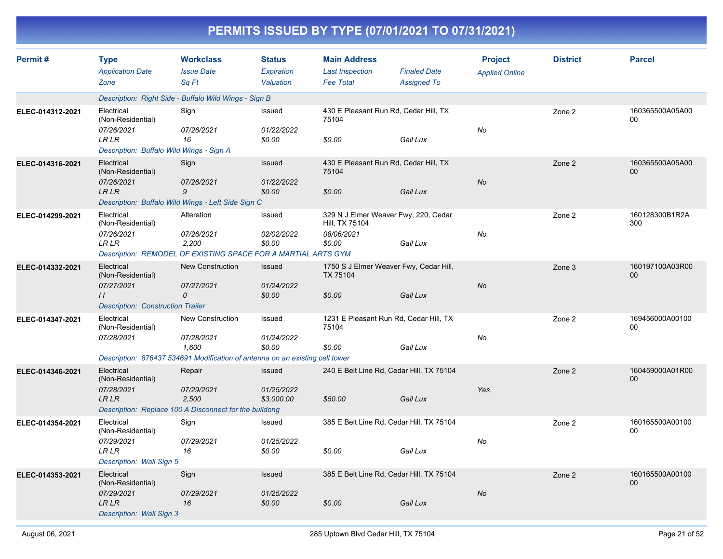| PERMITS ISSUED BY TYPE (07/01/2021 TO 07/31/2021) |                                                                                                                                |                                                        |                                          |                                                                                |                                           |                                         |                 |                           |  |  |
|---------------------------------------------------|--------------------------------------------------------------------------------------------------------------------------------|--------------------------------------------------------|------------------------------------------|--------------------------------------------------------------------------------|-------------------------------------------|-----------------------------------------|-----------------|---------------------------|--|--|
| Permit#                                           | <b>Type</b><br><b>Application Date</b><br>Zone                                                                                 | <b>Workclass</b><br><b>Issue Date</b><br>Sq Ft         | <b>Status</b><br>Expiration<br>Valuation | <b>Main Address</b><br><b>Last Inspection</b><br><b>Fee Total</b>              | <b>Finaled Date</b><br><b>Assigned To</b> | <b>Project</b><br><b>Applied Online</b> | <b>District</b> | <b>Parcel</b>             |  |  |
|                                                   | Description: Right Side - Buffalo Wild Wings - Sign B                                                                          |                                                        |                                          |                                                                                |                                           |                                         |                 |                           |  |  |
| ELEC-014312-2021                                  | Electrical<br>(Non-Residential)<br>07/26/2021<br><b>LR LR</b><br>Description: Buffalo Wild Wings - Sign A                      | Sign<br>07/26/2021<br>16                               | Issued<br>01/22/2022<br>\$0.00           | 430 E Pleasant Run Rd, Cedar Hill, TX<br>75104<br>\$0.00                       | Gail Lux                                  | No                                      | Zone 2          | 160365500A05A00<br>00     |  |  |
| ELEC-014316-2021                                  | Electrical<br>(Non-Residential)<br>07/26/2021<br><b>LR LR</b><br>Description: Buffalo Wild Wings - Left Side Sign C            | Sign<br>07/26/2021<br>9                                | Issued<br>01/22/2022<br>\$0.00           | 430 E Pleasant Run Rd, Cedar Hill, TX<br>75104<br>\$0.00                       | Gail Lux                                  | No                                      | Zone 2          | 160365500A05A00<br>$00\,$ |  |  |
| ELEC-014299-2021                                  | Electrical<br>(Non-Residential)<br>07/26/2021<br><b>LR LR</b><br>Description: REMODEL OF EXISTING SPACE FOR A MARTIAL ARTS GYM | Alteration<br>07/26/2021<br>2,200                      | Issued<br>02/02/2022<br>\$0.00           | 329 N J Elmer Weaver Fwy, 220, Cedar<br>Hill, TX 75104<br>08/06/2021<br>\$0.00 | Gail Lux                                  | No                                      | Zone 2          | 160128300B1R2A<br>300     |  |  |
| ELEC-014332-2021                                  | Electrical<br>(Non-Residential)<br>07/27/2021<br>$\prime$<br><b>Description: Construction Trailer</b>                          | <b>New Construction</b><br>07/27/2021<br>$\mathcal{O}$ | Issued<br>01/24/2022<br>\$0.00           | 1750 S J Elmer Weaver Fwy, Cedar Hill,<br><b>TX 75104</b><br>\$0.00            | Gail Lux                                  | No                                      | Zone 3          | 160197100A03R00<br>$00\,$ |  |  |
| ELEC-014347-2021                                  | Electrical<br>(Non-Residential)<br>07/28/2021<br>Description: 876437 534691 Modification of antenna on an existing cell tower  | New Construction<br>07/28/2021<br>1,600                | Issued<br>01/24/2022<br>\$0.00           | 1231 E Pleasant Run Rd, Cedar Hill, TX<br>75104<br>\$0.00                      | Gail Lux                                  | No                                      | Zone 2          | 169456000A00100<br>00     |  |  |
| ELEC-014346-2021                                  | Electrical<br>(Non-Residential)<br>07/28/2021<br><b>LR LR</b><br>Description: Replace 100 A Disconnect for the buildong        | Repair<br>07/29/2021<br>2,500                          | Issued<br>01/25/2022<br>\$3,000.00       | 240 E Belt Line Rd, Cedar Hill, TX 75104<br>\$50.00                            | Gail Lux                                  | Yes                                     | Zone 2          | 160459000A01R00<br>00     |  |  |
| ELEC-014354-2021                                  | Electrical<br>(Non-Residential)<br>07/29/2021<br>LR LR<br>Description: Wall Sign 5                                             | Sign<br>07/29/2021<br>16                               | Issued<br>01/25/2022<br>\$0.00           | 385 E Belt Line Rd, Cedar Hill, TX 75104<br>\$0.00                             | Gail Lux                                  | No                                      | Zone 2          | 160165500A00100<br>00     |  |  |
| ELEC-014353-2021                                  | Electrical<br>(Non-Residential)<br>07/29/2021<br><b>LR LR</b><br>Description: Wall Sign 3                                      | Sign<br>07/29/2021<br>16                               | Issued<br>01/25/2022<br>\$0.00           | 385 E Belt Line Rd, Cedar Hill, TX 75104<br>\$0.00                             | Gail Lux                                  | $N\sigma$                               | Zone 2          | 160165500A00100<br>$00\,$ |  |  |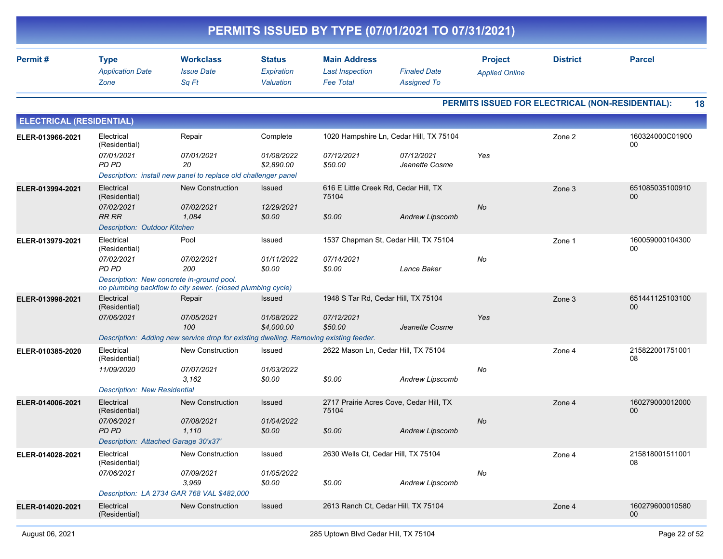| PERMITS ISSUED BY TYPE (07/01/2021 TO 07/31/2021) |                                                             |                                                                                                            |                                          |                                                                   |                                                      |                                         |                                                  |                                    |  |  |  |
|---------------------------------------------------|-------------------------------------------------------------|------------------------------------------------------------------------------------------------------------|------------------------------------------|-------------------------------------------------------------------|------------------------------------------------------|-----------------------------------------|--------------------------------------------------|------------------------------------|--|--|--|
| Permit#                                           | <b>Type</b><br><b>Application Date</b><br>Zone              | <b>Workclass</b><br><b>Issue Date</b><br>Sq Ft                                                             | <b>Status</b><br>Expiration<br>Valuation | <b>Main Address</b><br><b>Last Inspection</b><br><b>Fee Total</b> | <b>Finaled Date</b><br><b>Assigned To</b>            | <b>Project</b><br><b>Applied Online</b> | <b>District</b>                                  | <b>Parcel</b>                      |  |  |  |
|                                                   |                                                             |                                                                                                            |                                          |                                                                   |                                                      |                                         | PERMITS ISSUED FOR ELECTRICAL (NON-RESIDENTIAL): | 18                                 |  |  |  |
| <b>ELECTRICAL (RESIDENTIAL)</b>                   |                                                             |                                                                                                            |                                          |                                                                   |                                                      |                                         |                                                  |                                    |  |  |  |
| ELER-013966-2021                                  | Electrical<br>(Residential)                                 | Repair                                                                                                     | Complete                                 |                                                                   | 1020 Hampshire Ln, Cedar Hill, TX 75104              |                                         | Zone 2                                           | 160324000C01900<br>00              |  |  |  |
|                                                   | 07/01/2021<br>PD PD                                         | 07/01/2021<br>20<br>Description: install new panel to replace old challenger panel                         | 01/08/2022<br>\$2,890.00                 | 07/12/2021<br>\$50.00                                             | 07/12/2021<br>Jeanette Cosme                         | Yes                                     |                                                  |                                    |  |  |  |
| ELER-013994-2021                                  | Electrical<br>(Residential)<br>07/02/2021                   | <b>New Construction</b><br>07/02/2021                                                                      | <b>Issued</b><br>12/29/2021              | 616 E Little Creek Rd, Cedar Hill, TX<br>75104                    |                                                      | <b>No</b>                               | Zone 3                                           | 651085035100910<br>00              |  |  |  |
|                                                   | <b>RR RR</b><br><b>Description: Outdoor Kitchen</b>         | 1,084                                                                                                      | \$0.00                                   | \$0.00                                                            | Andrew Lipscomb                                      |                                         |                                                  |                                    |  |  |  |
| ELER-013979-2021                                  | Electrical<br>(Residential)<br>07/02/2021<br>PD PD          | Pool<br>07/02/2021<br>200                                                                                  | Issued<br>01/11/2022<br>\$0.00           | 07/14/2021<br>\$0.00                                              | 1537 Chapman St, Cedar Hill, TX 75104<br>Lance Baker | No                                      | Zone 1                                           | 160059000104300<br>00              |  |  |  |
|                                                   | Description: New concrete in-ground pool.                   | no plumbing backflow to city sewer. (closed plumbing cycle)                                                |                                          |                                                                   |                                                      |                                         |                                                  |                                    |  |  |  |
| ELER-013998-2021                                  | Electrical<br>(Residential)                                 | Repair                                                                                                     | <b>Issued</b>                            | 1948 S Tar Rd, Cedar Hill, TX 75104                               |                                                      |                                         | Zone 3                                           | 651441125103100<br>00              |  |  |  |
|                                                   | 07/06/2021                                                  | 07/05/2021<br>100<br>Description: Adding new service drop for existing dwelling. Removing existing feeder. | 01/08/2022<br>\$4,000.00                 | 07/12/2021<br>\$50.00                                             | Jeanette Cosme                                       | Yes                                     |                                                  |                                    |  |  |  |
| ELER-010385-2020                                  | Electrical<br>(Residential)                                 | <b>New Construction</b>                                                                                    | Issued                                   | 2622 Mason Ln, Cedar Hill, TX 75104                               |                                                      |                                         | Zone 4                                           | 215822001751001<br>08              |  |  |  |
|                                                   | 11/09/2020<br><b>Description: New Residential</b>           | 07/07/2021<br>3,162                                                                                        | 01/03/2022<br>\$0.00                     | \$0.00                                                            | Andrew Lipscomb                                      | No                                      |                                                  |                                    |  |  |  |
| ELER-014006-2021                                  | Electrical<br>(Residential)                                 | <b>New Construction</b>                                                                                    | <b>Issued</b>                            | 75104                                                             | 2717 Prairie Acres Cove, Cedar Hill, TX              |                                         | Zone 4                                           | 160279000012000<br>00              |  |  |  |
|                                                   | 07/06/2021<br>PD PD<br>Description: Attached Garage 30'x37' | <i>07/08/2021</i><br>1,110                                                                                 | 01/04/2022<br>\$0.00                     | \$0.00                                                            | Andrew Lipscomb                                      | No                                      |                                                  |                                    |  |  |  |
| ELER-014028-2021                                  | Electrical<br>(Residential)                                 | New Construction                                                                                           | Issued                                   | 2630 Wells Ct, Cedar Hill, TX 75104                               |                                                      |                                         | Zone 4                                           | 215818001511001<br>08              |  |  |  |
|                                                   | 07/06/2021                                                  | 07/09/2021<br>3,969<br>Description: LA 2734 GAR 768 VAL \$482,000                                          | 01/05/2022<br>\$0.00                     | \$0.00                                                            | Andrew Lipscomb                                      | No                                      |                                                  |                                    |  |  |  |
| ELER-014020-2021                                  | Electrical<br>(Residential)                                 | New Construction                                                                                           | Issued                                   | 2613 Ranch Ct, Cedar Hill, TX 75104                               |                                                      |                                         | Zone 4                                           | 160279600010580<br>00 <sub>o</sub> |  |  |  |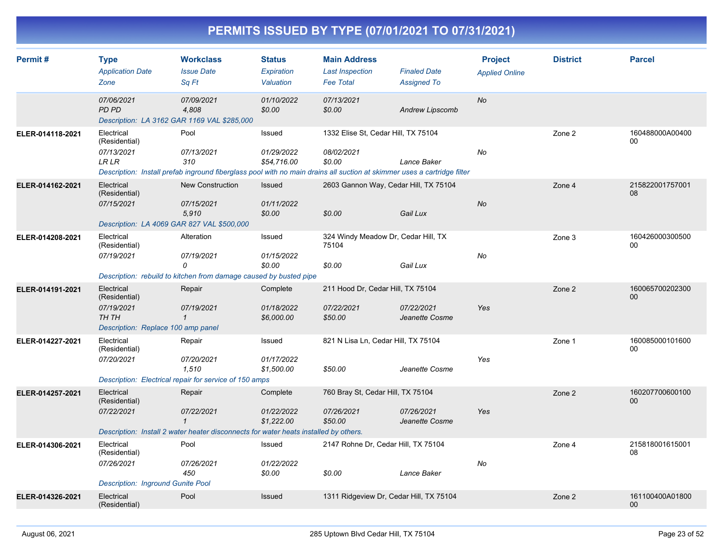| Permit#          | <b>Type</b><br><b>Application Date</b><br>Zone                                           | <b>Workclass</b><br><b>Issue Date</b><br>Sa Ft                                                                                                       | <b>Status</b><br>Expiration<br>Valuation | <b>Main Address</b><br><b>Last Inspection</b><br><b>Fee Total</b> | <b>Finaled Date</b><br><b>Assigned To</b> | <b>Project</b><br><b>Applied Online</b> | <b>District</b> | <b>Parcel</b>         |
|------------------|------------------------------------------------------------------------------------------|------------------------------------------------------------------------------------------------------------------------------------------------------|------------------------------------------|-------------------------------------------------------------------|-------------------------------------------|-----------------------------------------|-----------------|-----------------------|
|                  | 07/06/2021<br><b>PD PD</b><br>Description: LA 3162 GAR 1169 VAL \$285,000                | 07/09/2021<br>4,808                                                                                                                                  | 01/10/2022<br>\$0.00                     | 07/13/2021<br>\$0.00                                              | <b>Andrew Lipscomb</b>                    | <b>No</b>                               |                 |                       |
| ELER-014118-2021 | Electrical<br>(Residential)<br>07/13/2021<br>LR LR                                       | Pool<br>07/13/2021<br>310<br>Description: Install prefab inground fiberglass pool with no main drains all suction at skimmer uses a cartridge filter | Issued<br>01/29/2022<br>\$54,716.00      | 1332 Elise St, Cedar Hill, TX 75104<br>08/02/2021<br>\$0.00       | Lance Baker                               | No                                      | Zone 2          | 160488000A00400<br>00 |
| ELER-014162-2021 | Electrical<br>(Residential)<br>07/15/2021<br>Description: LA 4069 GAR 827 VAL \$500,000  | <b>New Construction</b><br>07/15/2021<br>5,910                                                                                                       | Issued<br>01/11/2022<br>\$0.00           | 2603 Gannon Way, Cedar Hill, TX 75104<br>\$0.00                   | Gail Lux                                  | <b>No</b>                               | Zone 4          | 215822001757001<br>08 |
| ELER-014208-2021 | Electrical<br>(Residential)<br>07/19/2021                                                | Alteration<br>07/19/2021<br>0<br>Description: rebuild to kitchen from damage caused by busted pipe                                                   | Issued<br>01/15/2022<br>\$0.00           | 324 Windy Meadow Dr, Cedar Hill, TX<br>75104<br>\$0.00            | Gail Lux                                  | No                                      | Zone 3          | 160426000300500<br>00 |
| ELER-014191-2021 | Electrical<br>(Residential)<br>07/19/2021<br>TH TH<br>Description: Replace 100 amp panel | Repair<br>07/19/2021<br>$\mathbf{1}$                                                                                                                 | Complete<br>01/18/2022<br>\$6,000.00     | 211 Hood Dr, Cedar Hill, TX 75104<br>07/22/2021<br>\$50.00        | 07/22/2021<br>Jeanette Cosme              | Yes                                     | Zone 2          | 160065700202300<br>00 |
| ELER-014227-2021 | Electrical<br>(Residential)<br>07/20/2021                                                | Repair<br>07/20/2021<br>1.510<br>Description: Electrical repair for service of 150 amps                                                              | Issued<br>01/17/2022<br>\$1,500.00       | 821 N Lisa Ln, Cedar Hill, TX 75104<br>\$50.00                    | Jeanette Cosme                            | Yes                                     | Zone 1          | 160085000101600<br>00 |
| ELER-014257-2021 | Electrical<br>(Residential)<br>07/22/2021                                                | Repair<br>07/22/2021<br>$\mathbf{1}$<br>Description: Install 2 water heater disconnects for water heats installed by others.                         | Complete<br>01/22/2022<br>\$1,222.00     | 760 Bray St, Cedar Hill, TX 75104<br>07/26/2021<br>\$50.00        | 07/26/2021<br>Jeanette Cosme              | Yes                                     | Zone 2          | 160207700600100<br>00 |
| ELER-014306-2021 | Electrical<br>(Residential)<br>07/26/2021<br><b>Description: Inground Gunite Pool</b>    | Pool<br>07/26/2021<br>450                                                                                                                            | Issued<br>01/22/2022<br>\$0.00           | 2147 Rohne Dr, Cedar Hill, TX 75104<br>\$0.00                     | Lance Baker                               | No                                      | Zone 4          | 215818001615001<br>08 |
| ELER-014326-2021 | Electrical<br>(Residential)                                                              | Pool                                                                                                                                                 | Issued                                   | 1311 Ridgeview Dr, Cedar Hill, TX 75104                           |                                           |                                         | Zone 2          | 161100400A01800<br>00 |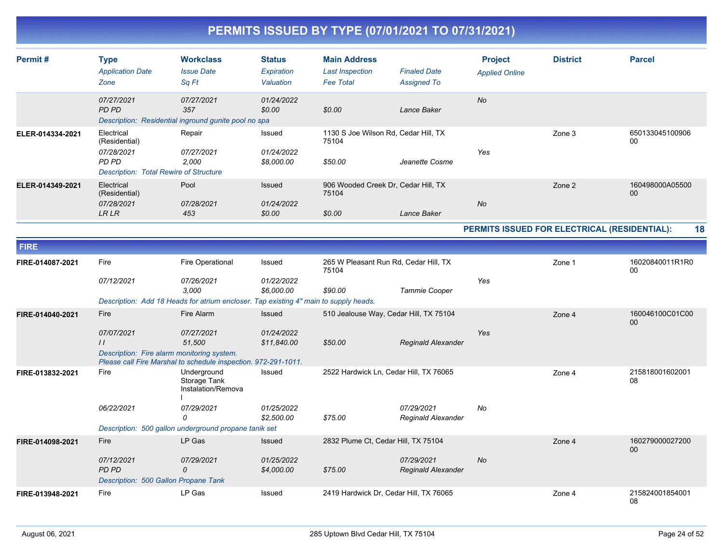| Permit#          | <b>Type</b><br><b>Application Date</b>                             | <b>Workclass</b><br><b>Issue Date</b>                                                                                                | <b>Status</b><br>Expiration        | <b>Main Address</b><br><b>Last Inspection</b>            | <b>Finaled Date</b>                     | <b>Project</b><br><b>Applied Online</b>      | <b>District</b> | <b>Parcel</b>         |
|------------------|--------------------------------------------------------------------|--------------------------------------------------------------------------------------------------------------------------------------|------------------------------------|----------------------------------------------------------|-----------------------------------------|----------------------------------------------|-----------------|-----------------------|
|                  | Zone                                                               | Sa Ft                                                                                                                                | Valuation                          | <b>Fee Total</b>                                         | <b>Assigned To</b>                      |                                              |                 |                       |
|                  | 07/27/2021<br>PD PD                                                | 07/27/2021<br>357<br>Description: Residential inground gunite pool no spa                                                            | 01/24/2022<br>\$0.00               | \$0.00                                                   | Lance Baker                             | <b>No</b>                                    |                 |                       |
| ELER-014334-2021 | Electrical<br>(Residential)<br>07/28/2021<br><b>PD PD</b>          | Repair<br>07/27/2021<br>2,000                                                                                                        | Issued<br>01/24/2022<br>\$8,000.00 | 1130 S Joe Wilson Rd, Cedar Hill, TX<br>75104<br>\$50.00 | Jeanette Cosme                          | Yes                                          | Zone 3          | 650133045100906<br>00 |
|                  | <b>Description: Total Rewire of Structure</b>                      |                                                                                                                                      |                                    |                                                          |                                         |                                              |                 |                       |
| ELER-014349-2021 | Electrical<br>(Residential)<br>07/28/2021                          | Pool<br>07/28/2021                                                                                                                   | Issued<br>01/24/2022               | 906 Wooded Creek Dr, Cedar Hill, TX<br>75104             |                                         | <b>No</b>                                    | Zone 2          | 160498000A05500<br>00 |
|                  | <b>LRLR</b>                                                        | 453                                                                                                                                  | \$0.00                             | \$0.00                                                   | Lance Baker                             |                                              |                 |                       |
|                  |                                                                    |                                                                                                                                      |                                    |                                                          |                                         | PERMITS ISSUED FOR ELECTRICAL (RESIDENTIAL): |                 | 18                    |
| <b>FIRE</b>      |                                                                    |                                                                                                                                      |                                    |                                                          |                                         |                                              |                 |                       |
| FIRE-014087-2021 | Fire                                                               | Fire Operational                                                                                                                     | Issued                             | 265 W Pleasant Run Rd, Cedar Hill, TX<br>75104           |                                         |                                              | Zone 1          | 16020840011R1R0<br>00 |
|                  | 07/12/2021                                                         | 07/26/2021<br>3.000                                                                                                                  | 01/22/2022<br>\$6,000.00           | \$90.00                                                  | Tammie Cooper                           | Yes                                          |                 |                       |
|                  |                                                                    | Description: Add 18 Heads for atrium encloser. Tap existing 4" main to supply heads.                                                 |                                    |                                                          |                                         |                                              |                 |                       |
| FIRE-014040-2021 | Fire                                                               | Fire Alarm                                                                                                                           | Issued                             | 510 Jealouse Way, Cedar Hill, TX 75104                   |                                         |                                              | Zone 4          | 160046100C01C00<br>00 |
|                  | 07/07/2021<br>$\frac{1}{2}$                                        | 07/27/2021<br>51,500<br>Description: Fire alarm monitoring system.<br>Please call Fire Marshal to schedule inspection. 972-291-1011. | 01/24/2022<br>\$11,840.00          | \$50.00                                                  | Reginald Alexander                      | Yes                                          |                 |                       |
| FIRE-013832-2021 | Fire                                                               | Underground<br>Storage Tank<br>Instalation/Remova                                                                                    | Issued                             | 2522 Hardwick Ln, Cedar Hill, TX 76065                   |                                         |                                              | Zone 4          | 215818001602001<br>08 |
|                  | 06/22/2021                                                         | 07/29/2021<br>$\Omega$                                                                                                               | 01/25/2022<br>\$2,500.00           | \$75.00                                                  | 07/29/2021<br>Reginald Alexander        | No                                           |                 |                       |
|                  |                                                                    | Description: 500 gallon underground propane tanik set                                                                                |                                    |                                                          |                                         |                                              |                 |                       |
| FIRE-014098-2021 | Fire                                                               | LP Gas                                                                                                                               | <b>Issued</b>                      | 2832 Plume Ct, Cedar Hill, TX 75104                      |                                         |                                              | Zone 4          | 160279000027200<br>00 |
|                  | 07/12/2021<br><b>PD PD</b><br>Description: 500 Gallon Propane Tank | 07/29/2021<br>$\mathcal{O}$                                                                                                          | 01/25/2022<br>\$4,000.00           | \$75.00                                                  | 07/29/2021<br><b>Reginald Alexander</b> | No                                           |                 |                       |
| FIRE-013948-2021 | Fire                                                               | LP Gas                                                                                                                               | Issued                             | 2419 Hardwick Dr, Cedar Hill, TX 76065                   |                                         |                                              | Zone 4          | 215824001854001<br>08 |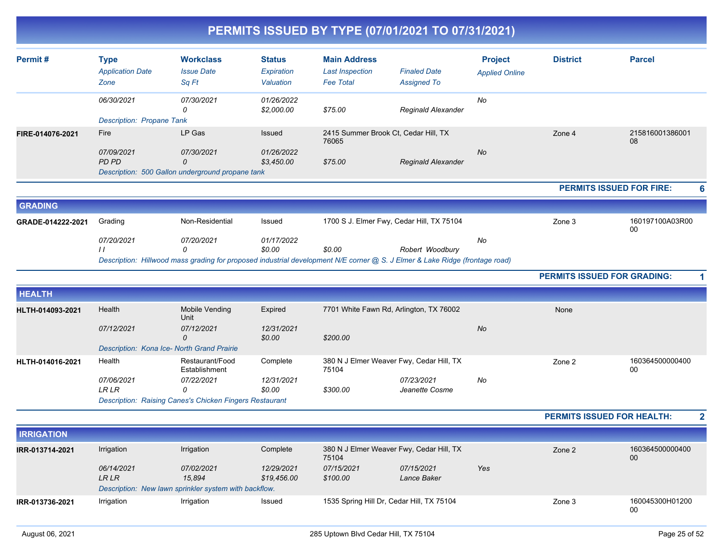|                   |                                                |                                                                                           |                                           | PERMITS ISSUED BY TYPE (07/01/2021 TO 07/31/2021)                                                                                     |                                           |                                         |                                    |                       |                         |
|-------------------|------------------------------------------------|-------------------------------------------------------------------------------------------|-------------------------------------------|---------------------------------------------------------------------------------------------------------------------------------------|-------------------------------------------|-----------------------------------------|------------------------------------|-----------------------|-------------------------|
| Permit#           | <b>Type</b><br><b>Application Date</b><br>Zone | <b>Workclass</b><br><b>Issue Date</b><br>Sq Ft                                            | <b>Status</b><br>Expiration<br>Valuation  | <b>Main Address</b><br><b>Last Inspection</b><br><b>Fee Total</b>                                                                     | <b>Finaled Date</b><br><b>Assigned To</b> | <b>Project</b><br><b>Applied Online</b> | <b>District</b>                    | <b>Parcel</b>         |                         |
|                   | 06/30/2021<br><b>Description: Propane Tank</b> | 07/30/2021<br>0                                                                           | 01/26/2022<br>\$2,000.00                  | \$75.00                                                                                                                               | Reginald Alexander                        | No                                      |                                    |                       |                         |
| FIRE-014076-2021  | Fire<br>07/09/2021<br>PD PD                    | LP Gas<br>07/30/2021<br>$\mathcal{O}$<br>Description: 500 Gallon underground propane tank | <b>Issued</b><br>01/26/2022<br>\$3,450.00 | 2415 Summer Brook Ct, Cedar Hill, TX<br>76065<br>\$75.00                                                                              | <b>Reginald Alexander</b>                 | No                                      | Zone 4                             | 215816001386001<br>08 |                         |
|                   |                                                |                                                                                           |                                           |                                                                                                                                       |                                           |                                         | <b>PERMITS ISSUED FOR FIRE:</b>    |                       | 6                       |
| <b>GRADING</b>    |                                                |                                                                                           |                                           |                                                                                                                                       |                                           |                                         |                                    |                       |                         |
| GRADE-014222-2021 | Grading                                        | Non-Residential                                                                           | Issued                                    | 1700 S J. Elmer Fwy, Cedar Hill, TX 75104                                                                                             |                                           |                                         | Zone 3                             | 160197100A03R00<br>00 |                         |
|                   | 07/20/2021<br>$\frac{1}{2}$                    | 07/20/2021<br>0                                                                           | 01/17/2022<br>\$0.00                      | \$0.00<br>Description: Hillwood mass grading for proposed industrial development N/E corner @ S. J Elmer & Lake Ridge (frontage road) | Robert Woodbury                           | No                                      |                                    |                       |                         |
|                   |                                                |                                                                                           |                                           |                                                                                                                                       |                                           |                                         | <b>PERMITS ISSUED FOR GRADING:</b> |                       |                         |
| <b>HEALTH</b>     |                                                |                                                                                           |                                           |                                                                                                                                       |                                           |                                         |                                    |                       |                         |
| HLTH-014093-2021  | Health<br>07/12/2021                           | Mobile Vending<br>Unit<br>07/12/2021                                                      | Expired<br>12/31/2021                     | 7701 White Fawn Rd, Arlington, TX 76002                                                                                               |                                           | No                                      | None                               |                       |                         |
|                   | Description: Kona Ice- North Grand Prairie     | 0                                                                                         | \$0.00                                    | \$200.00                                                                                                                              |                                           |                                         |                                    |                       |                         |
| HLTH-014016-2021  | Health                                         | Restaurant/Food<br>Establishment                                                          | Complete                                  | 380 N J Elmer Weaver Fwy, Cedar Hill, TX<br>75104                                                                                     |                                           |                                         | Zone 2                             | 160364500000400<br>00 |                         |
|                   | 07/06/2021<br><b>LRLR</b>                      | 07/22/2021<br>0<br><b>Description: Raising Canes's Chicken Fingers Restaurant</b>         | 12/31/2021<br>\$0.00                      | \$300.00                                                                                                                              | 07/23/2021<br>Jeanette Cosme              | No                                      |                                    |                       |                         |
|                   |                                                |                                                                                           |                                           |                                                                                                                                       |                                           |                                         | <b>PERMITS ISSUED FOR HEALTH:</b>  |                       | $\overline{\mathbf{2}}$ |
| <b>IRRIGATION</b> |                                                |                                                                                           |                                           |                                                                                                                                       |                                           |                                         |                                    |                       |                         |
| IRR-013714-2021   | Irrigation                                     | Irrigation                                                                                | Complete                                  | 380 N J Elmer Weaver Fwy, Cedar Hill, TX<br>75104                                                                                     |                                           |                                         | Zone 2                             | 160364500000400<br>00 |                         |
|                   | 06/14/2021<br>LR LR                            | 07/02/2021<br>15,894                                                                      | 12/29/2021<br>\$19,456.00                 | 07/15/2021<br>\$100.00                                                                                                                | 07/15/2021<br>Lance Baker                 | Yes                                     |                                    |                       |                         |

*Description: New lawn sprinkler system with backflow.*

**IRR-013736-2021**

Irrigation Irrigation Irrigation 1535 Spring Hill Dr, Cedar Hill, TX 75104 Zone 3 160045300H01200

00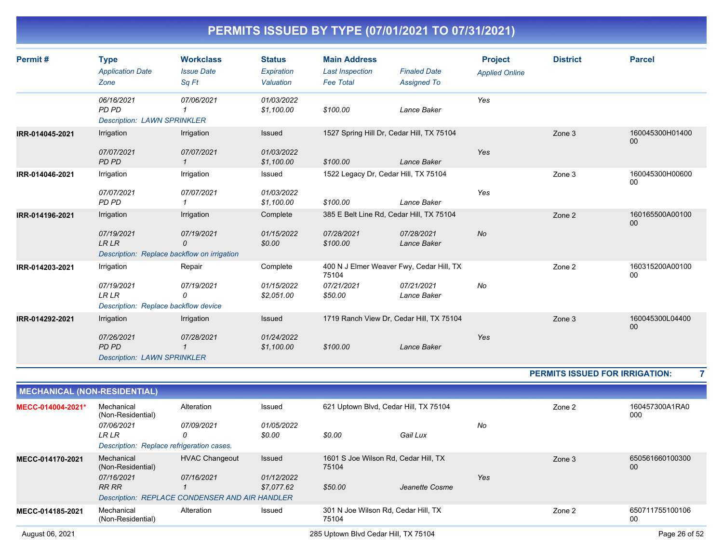| Permit#         | <b>Type</b><br><b>Application Date</b><br>Zone                     | <b>Workclass</b><br><b>Issue Date</b><br>Sq Ft | <b>Status</b><br>Expiration<br>Valuation | <b>Main Address</b><br><b>Last Inspection</b><br><b>Fee Total</b> | <b>Finaled Date</b><br><b>Assigned To</b> | <b>Project</b><br><b>Applied Online</b> | <b>District</b>                | <b>Parcel</b>         |
|-----------------|--------------------------------------------------------------------|------------------------------------------------|------------------------------------------|-------------------------------------------------------------------|-------------------------------------------|-----------------------------------------|--------------------------------|-----------------------|
|                 | 06/16/2021<br>PD PD<br><b>Description: LAWN SPRINKLER</b>          | 07/06/2021                                     | 01/03/2022<br>\$1,100.00                 | \$100.00                                                          | Lance Baker                               | Yes                                     |                                |                       |
| IRR-014045-2021 | Irrigation<br>07/07/2021                                           | Irrigation<br>07/07/2021                       | Issued<br>01/03/2022                     |                                                                   | 1527 Spring Hill Dr, Cedar Hill, TX 75104 | Yes                                     | Zone 3                         | 160045300H01400<br>00 |
|                 | PD PD                                                              | $\mathbf{1}$                                   | \$1,100.00                               | \$100.00                                                          | Lance Baker                               |                                         |                                |                       |
| IRR-014046-2021 | Irrigation                                                         | Irrigation                                     | Issued                                   | 1522 Legacy Dr, Cedar Hill, TX 75104                              |                                           |                                         | Zone 3                         | 160045300H00600<br>00 |
|                 | 07/07/2021<br>PD PD                                                | 07/07/2021                                     | 01/03/2022<br>\$1,100.00                 | \$100.00                                                          | Lance Baker                               | Yes                                     |                                |                       |
| IRR-014196-2021 | Irrigation                                                         | Irrigation                                     | Complete                                 |                                                                   | 385 E Belt Line Rd, Cedar Hill, TX 75104  |                                         | Zone 2                         | 160165500A00100<br>00 |
|                 | 07/19/2021<br><b>LRLR</b>                                          | 07/19/2021<br>0                                | 01/15/2022<br>\$0.00                     | 07/28/2021<br>\$100.00                                            | 07/28/2021<br>Lance Baker                 | <b>No</b>                               |                                |                       |
|                 |                                                                    | Description: Replace backflow on irrigation    |                                          |                                                                   |                                           |                                         |                                |                       |
| IRR-014203-2021 | Irrigation                                                         | Repair                                         | Complete                                 | 75104                                                             | 400 N J Elmer Weaver Fwy, Cedar Hill, TX  |                                         | Zone 2                         | 160315200A00100<br>00 |
|                 | 07/19/2021<br><b>LR LR</b><br>Description: Replace backflow device | 07/19/2021<br>0                                | 01/15/2022<br>\$2,051.00                 | 07/21/2021<br>\$50.00                                             | 07/21/2021<br>Lance Baker                 | No                                      |                                |                       |
| IRR-014292-2021 | Irrigation                                                         | Irrigation                                     | Issued                                   |                                                                   | 1719 Ranch View Dr, Cedar Hill, TX 75104  |                                         | Zone 3                         | 160045300L04400<br>00 |
|                 | 07/26/2021<br>PD PD                                                | 07/28/2021<br>1                                | 01/24/2022<br>\$1,100.00                 | \$100.00                                                          | Lance Baker                               | Yes                                     |                                |                       |
|                 | <b>Description: LAWN SPRINKLER</b>                                 |                                                |                                          |                                                                   |                                           |                                         |                                |                       |
|                 |                                                                    |                                                |                                          |                                                                   |                                           |                                         | PERMITS ISSUED FOR IRRIGATION: |                       |
|                 | <b>MECHANICAL (NON-RESIDENTIAL)</b>                                |                                                |                                          |                                                                   |                                           |                                         |                                |                       |
|                 |                                                                    |                                                |                                          |                                                                   |                                           |                                         |                                |                       |

| MECC-014004-2021* | Mechanical<br>(Non-Residential)                       | Alteration            | Issued     |                                               | 621 Uptown Blvd, Cedar Hill, TX 75104 |     |        | 160457300A1RA0<br>000 |
|-------------------|-------------------------------------------------------|-----------------------|------------|-----------------------------------------------|---------------------------------------|-----|--------|-----------------------|
|                   | 07/06/2021                                            | 07/09/2021            | 01/05/2022 |                                               |                                       | No  |        |                       |
|                   | LR LR                                                 | 0                     | \$0.00     | \$0.00                                        | Gail Lux                              |     |        |                       |
|                   | Description: Replace refrigeration cases.             |                       |            |                                               |                                       |     |        |                       |
| MECC-014170-2021  | Mechanical<br>(Non-Residential)                       | <b>HVAC Changeout</b> | Issued     | 1601 S Joe Wilson Rd, Cedar Hill, TX<br>75104 |                                       |     | Zone 3 | 650561660100300<br>00 |
|                   | 07/16/2021                                            | 07/16/2021            | 01/12/2022 |                                               |                                       | Yes |        |                       |
|                   | RR RR                                                 |                       | \$7.077.62 | \$50.00                                       | Jeanette Cosme                        |     |        |                       |
|                   | <b>Description: REPLACE CONDENSER AND AIR HANDLER</b> |                       |            |                                               |                                       |     |        |                       |
| MECC-014185-2021  | Mechanical<br>(Non-Residential)                       | Alteration            | Issued     | 301 N Joe Wilson Rd, Cedar Hill, TX<br>75104  |                                       |     | Zone 2 | 650711755100106<br>00 |
| August 06, 2021   |                                                       |                       |            | 285 Uptown Blvd Cedar Hill, TX 75104          |                                       |     |        | Page 26 of 52         |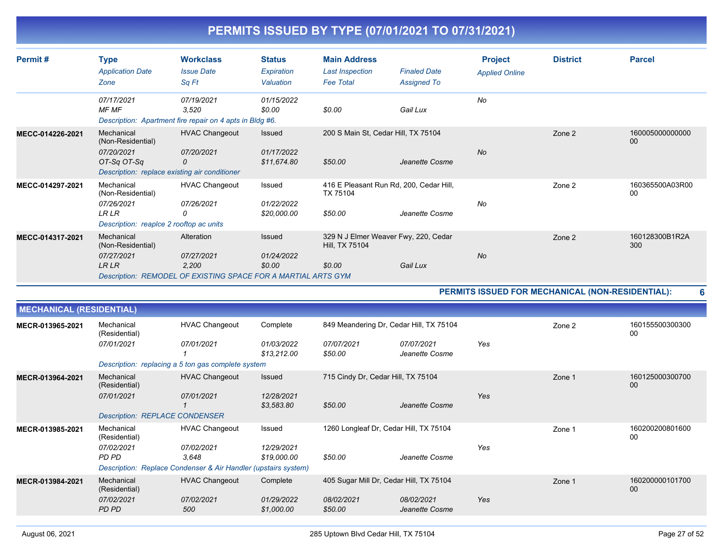| Permit#                         | <b>Type</b><br><b>Application Date</b><br>Zone                                                          | <b>Workclass</b><br><b>Issue Date</b><br>Sq Ft                                                     | <b>Status</b><br>Expiration<br>Valuation | <b>Main Address</b><br><b>Last Inspection</b><br><b>Fee Total</b> | <b>Finaled Date</b><br><b>Assigned To</b>                               | <b>Project</b><br><b>Applied Online</b> | <b>District</b>                                  | <b>Parcel</b>             |
|---------------------------------|---------------------------------------------------------------------------------------------------------|----------------------------------------------------------------------------------------------------|------------------------------------------|-------------------------------------------------------------------|-------------------------------------------------------------------------|-----------------------------------------|--------------------------------------------------|---------------------------|
|                                 | 07/17/2021<br>MF MF                                                                                     | 07/19/2021<br>3,520<br>Description: Apartment fire repair on 4 apts in Bldg #6.                    | 01/15/2022<br>\$0.00                     | \$0.00                                                            | Gail Lux                                                                | No                                      |                                                  |                           |
| MECC-014226-2021                | Mechanical<br>(Non-Residential)<br>07/20/2021<br>OT-Sa OT-Sa                                            | <b>HVAC Changeout</b><br>07/20/2021<br>0<br>Description: replace existing air conditioner          | Issued<br>01/17/2022<br>\$11,674.80      | 200 S Main St, Cedar Hill, TX 75104<br>\$50.00                    | Jeanette Cosme                                                          | <b>No</b>                               | Zone 2                                           | 160005000000000<br>00     |
| MECC-014297-2021                | Mechanical<br>(Non-Residential)<br>07/26/2021<br><b>LRLR</b><br>Description: reapIce 2 rooftop ac units | <b>HVAC Changeout</b><br>07/26/2021<br>0                                                           | Issued<br>01/22/2022<br>\$20,000.00      | TX 75104<br>\$50.00                                               | 416 E Pleasant Run Rd, 200, Cedar Hill,<br>Jeanette Cosme               | No                                      | Zone 2                                           | 160365500A03R00<br>$00\,$ |
| MECC-014317-2021                | Mechanical<br>(Non-Residential)<br>07/27/2021<br><b>LRLR</b>                                            | Alteration<br>07/27/2021<br>2.200<br>Description: REMODEL OF EXISTING SPACE FOR A MARTIAL ARTS GYM | Issued<br>01/24/2022<br>\$0.00           | Hill, TX 75104<br>\$0.00                                          | 329 N J Elmer Weaver Fwy, 220, Cedar<br>Gail Lux                        | No                                      | Zone 2                                           | 160128300B1R2A<br>300     |
|                                 |                                                                                                         |                                                                                                    |                                          |                                                                   |                                                                         |                                         | PERMITS ISSUED FOR MECHANICAL (NON-RESIDENTIAL): |                           |
| <b>MECHANICAL (RESIDENTIAL)</b> |                                                                                                         |                                                                                                    |                                          |                                                                   |                                                                         |                                         |                                                  |                           |
| MECR-013965-2021                | Mechanical<br>(Residential)<br>07/01/2021                                                               | <b>HVAC Changeout</b><br>07/01/2021<br>Description: replacing a 5 ton gas complete system          | Complete<br>01/03/2022<br>\$13,212.00    | 07/07/2021<br>\$50.00                                             | 849 Meandering Dr. Cedar Hill, TX 75104<br>07/07/2021<br>Jeanette Cosme | Yes                                     | Zone 2                                           | 160155500300300<br>00     |

| MECR-013964-2021 | Mechanical<br>(Residential)<br>07/01/2021 | <b>HVAC Changeout</b><br>07/01/2021                            | Issued<br>12/28/2021      | 715 Cindy Dr. Cedar Hill, TX 75104      |                              | Yes | Zone 1 | 160125000300700<br>00 |
|------------------|-------------------------------------------|----------------------------------------------------------------|---------------------------|-----------------------------------------|------------------------------|-----|--------|-----------------------|
|                  |                                           |                                                                | \$3,583.80                | \$50.00                                 | Jeanette Cosme               |     |        |                       |
|                  | <b>Description: REPLACE CONDENSER</b>     |                                                                |                           |                                         |                              |     |        |                       |
| MECR-013985-2021 | Mechanical<br>(Residential)               | <b>HVAC Changeout</b>                                          | Issued                    | 1260 Longleaf Dr, Cedar Hill, TX 75104  |                              |     | Zone 1 | 160200200801600<br>00 |
|                  | 07/02/2021<br>PD PD                       | 07/02/2021<br>3.648                                            | 12/29/2021<br>\$19,000.00 | \$50.00                                 | Jeanette Cosme               | Yes |        |                       |
|                  |                                           | Description: Replace Condenser & Air Handler (upstairs system) |                           |                                         |                              |     |        |                       |
| MECR-013984-2021 | Mechanical<br>(Residential)               | <b>HVAC Changeout</b>                                          | Complete                  | 405 Sugar Mill Dr, Cedar Hill, TX 75104 |                              |     | Zone 1 | 160200000101700<br>00 |
|                  | 07/02/2021<br>PD PD                       | 07/02/2021<br>500                                              | 01/29/2022<br>\$1,000.00  | 08/02/2021<br>\$50.00                   | 08/02/2021<br>Jeanette Cosme | Yes |        |                       |
|                  |                                           |                                                                |                           |                                         |                              |     |        |                       |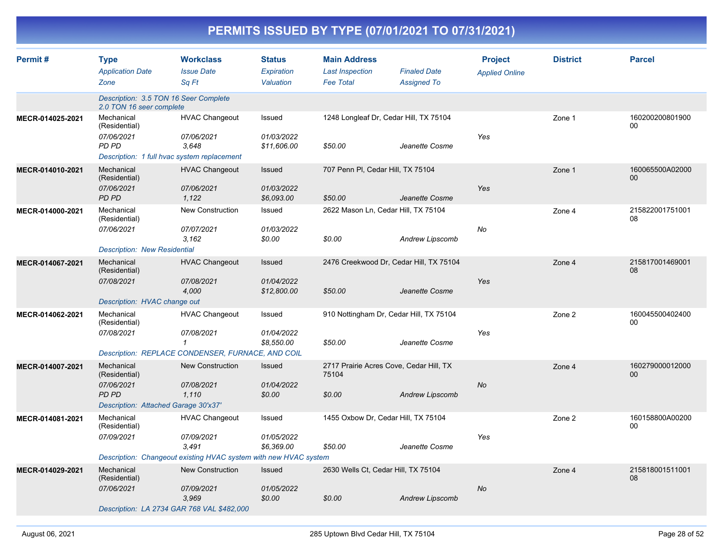| Permit#          | <b>Type</b><br><b>Application Date</b><br>Zone                                                    | <b>Workclass</b><br><b>Issue Date</b><br>Sa Ft                                                                   | <b>Status</b><br>Expiration<br>Valuation | <b>Main Address</b><br><b>Last Inspection</b><br><b>Fee Total</b> | <b>Finaled Date</b><br><b>Assigned To</b> | <b>Project</b><br><b>Applied Online</b> | <b>District</b> | <b>Parcel</b>         |
|------------------|---------------------------------------------------------------------------------------------------|------------------------------------------------------------------------------------------------------------------|------------------------------------------|-------------------------------------------------------------------|-------------------------------------------|-----------------------------------------|-----------------|-----------------------|
|                  | Description: 3.5 TON 16 Seer Complete<br>2.0 TON 16 seer complete                                 |                                                                                                                  |                                          |                                                                   |                                           |                                         |                 |                       |
| MECR-014025-2021 | Mechanical<br>(Residential)<br>07/06/2021<br>PD PD<br>Description: 1 full hvac system replacement | <b>HVAC Changeout</b><br>07/06/2021<br>3.648                                                                     | Issued<br>01/03/2022<br>\$11,606.00      | 1248 Longleaf Dr, Cedar Hill, TX 75104<br>\$50.00                 | Jeanette Cosme                            | Yes                                     | Zone 1          | 160200200801900<br>00 |
| MECR-014010-2021 | Mechanical<br>(Residential)<br>07/06/2021<br><b>PD PD</b>                                         | <b>HVAC Changeout</b><br>07/06/2021<br>1.122                                                                     | Issued<br>01/03/2022<br>\$6,093.00       | 707 Penn PI, Cedar Hill, TX 75104<br>\$50.00                      | Jeanette Cosme                            | Yes                                     | Zone 1          | 160065500A02000<br>00 |
| MECR-014000-2021 | Mechanical<br>(Residential)<br>07/06/2021<br><b>Description: New Residential</b>                  | New Construction<br>07/07/2021<br>3,162                                                                          | Issued<br>01/03/2022<br>\$0.00           | 2622 Mason Ln, Cedar Hill, TX 75104<br>\$0.00                     | <b>Andrew Lipscomb</b>                    | No                                      | Zone 4          | 215822001751001<br>08 |
| MECR-014067-2021 | Mechanical<br>(Residential)<br>07/08/2021<br>Description: HVAC change out                         | <b>HVAC Changeout</b><br>07/08/2021<br>4,000                                                                     | Issued<br>01/04/2022<br>\$12,800.00      | 2476 Creekwood Dr, Cedar Hill, TX 75104<br>\$50.00                | Jeanette Cosme                            | Yes                                     | Zone 4          | 215817001469001<br>08 |
| MECR-014062-2021 | Mechanical<br>(Residential)<br>07/08/2021                                                         | <b>HVAC Changeout</b><br>07/08/2021<br>1<br>Description: REPLACE CONDENSER, FURNACE, AND COIL                    | Issued<br>01/04/2022<br>\$8,550.00       | 910 Nottingham Dr, Cedar Hill, TX 75104<br>\$50.00                | Jeanette Cosme                            | Yes                                     | Zone 2          | 160045500402400<br>00 |
| MECR-014007-2021 | Mechanical<br>(Residential)<br>07/06/2021<br><b>PD PD</b><br>Description: Attached Garage 30'x37' | <b>New Construction</b><br>07/08/2021<br>1,110                                                                   | Issued<br>01/04/2022<br>\$0.00           | 2717 Prairie Acres Cove, Cedar Hill, TX<br>75104<br>\$0.00        | <b>Andrew Lipscomb</b>                    | No                                      | Zone 4          | 160279000012000<br>00 |
| MECR-014081-2021 | Mechanical<br>(Residential)<br>07/09/2021                                                         | <b>HVAC Changeout</b><br>07/09/2021<br>3.491<br>Description: Changeout existing HVAC system with new HVAC system | Issued<br>01/05/2022<br>\$6,369.00       | 1455 Oxbow Dr, Cedar Hill, TX 75104<br>\$50.00                    | Jeanette Cosme                            | Yes                                     | Zone 2          | 160158800A00200<br>00 |
| MECR-014029-2021 | Mechanical<br>(Residential)<br>07/06/2021                                                         | <b>New Construction</b><br>07/09/2021<br>3.969<br>Description: LA 2734 GAR 768 VAL \$482,000                     | Issued<br>01/05/2022<br>\$0.00           | 2630 Wells Ct, Cedar Hill, TX 75104<br>\$0.00                     | <b>Andrew Lipscomb</b>                    | No                                      | Zone 4          | 215818001511001<br>08 |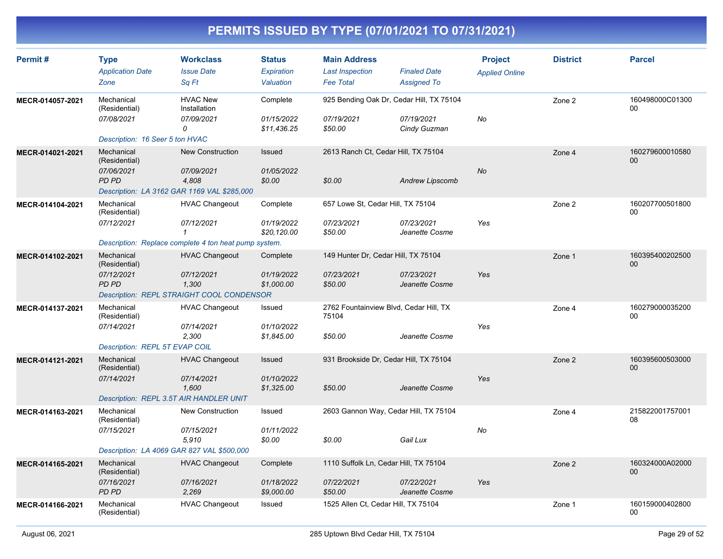| Permit#          | <b>Type</b><br><b>Application Date</b><br>Zone                                          | <b>Workclass</b><br><b>Issue Date</b><br>Sq Ft                                                               | <b>Status</b><br><b>Expiration</b><br>Valuation | <b>Main Address</b><br><b>Last Inspection</b><br><b>Fee Total</b> | <b>Finaled Date</b><br><b>Assigned To</b> | <b>Project</b><br><b>Applied Online</b> | <b>District</b> | <b>Parcel</b>             |
|------------------|-----------------------------------------------------------------------------------------|--------------------------------------------------------------------------------------------------------------|-------------------------------------------------|-------------------------------------------------------------------|-------------------------------------------|-----------------------------------------|-----------------|---------------------------|
| MECR-014057-2021 | Mechanical<br>(Residential)<br>07/08/2021<br>Description: 16 Seer 5 ton HVAC            | <b>HVAC New</b><br>Installation<br>07/09/2021<br>0                                                           | Complete<br>01/15/2022<br>\$11,436.25           | 925 Bending Oak Dr, Cedar Hill, TX 75104<br>07/19/2021<br>\$50.00 | 07/19/2021<br>Cindy Guzman                | No                                      | Zone 2          | 160498000C01300<br>00     |
| MECR-014021-2021 | Mechanical<br>(Residential)<br>07/06/2021<br>PD PD                                      | <b>New Construction</b><br>07/09/2021<br>4,808<br>Description: LA 3162 GAR 1169 VAL \$285,000                | Issued<br>01/05/2022<br>\$0.00                  | 2613 Ranch Ct, Cedar Hill, TX 75104<br>\$0.00                     | <b>Andrew Lipscomb</b>                    | <b>No</b>                               | Zone 4          | 160279600010580<br>00     |
| MECR-014104-2021 | Mechanical<br>(Residential)<br>07/12/2021                                               | <b>HVAC Changeout</b><br>07/12/2021<br>$\mathcal I$<br>Description: Replace complete 4 ton heat pump system. | Complete<br>01/19/2022<br>\$20,120.00           | 657 Lowe St, Cedar Hill, TX 75104<br>07/23/2021<br>\$50.00        | 07/23/2021<br>Jeanette Cosme              | Yes                                     | Zone 2          | 160207700501800<br>$00\,$ |
| MECR-014102-2021 | Mechanical<br>(Residential)<br>07/12/2021<br><b>PD PD</b>                               | <b>HVAC Changeout</b><br>07/12/2021<br>1,300<br>Description: REPL STRAIGHT COOL CONDENSOR                    | Complete<br>01/19/2022<br>\$1,000.00            | 149 Hunter Dr, Cedar Hill, TX 75104<br>07/23/2021<br>\$50.00      | 07/23/2021<br>Jeanette Cosme              | Yes                                     | Zone 1          | 160395400202500<br>00     |
| MECR-014137-2021 | Mechanical<br>(Residential)<br>07/14/2021<br>Description: REPL 5T EVAP COIL             | <b>HVAC Changeout</b><br>07/14/2021<br>2,300                                                                 | Issued<br>01/10/2022<br>\$1,845.00              | 2762 Fountainview Blvd, Cedar Hill, TX<br>75104<br>\$50.00        | Jeanette Cosme                            | Yes                                     | Zone 4          | 160279000035200<br>00     |
| MECR-014121-2021 | Mechanical<br>(Residential)<br>07/14/2021<br>Description: REPL 3.5T AIR HANDLER UNIT    | <b>HVAC Changeout</b><br>07/14/2021<br>1.600                                                                 | Issued<br>01/10/2022<br>\$1,325.00              | 931 Brookside Dr, Cedar Hill, TX 75104<br>\$50.00                 | Jeanette Cosme                            | Yes                                     | Zone 2          | 160395600503000<br>00     |
| MECR-014163-2021 | Mechanical<br>(Residential)<br>07/15/2021<br>Description: LA 4069 GAR 827 VAL \$500,000 | <b>New Construction</b><br>07/15/2021<br>5,910                                                               | Issued<br>01/11/2022<br>\$0.00                  | 2603 Gannon Way, Cedar Hill, TX 75104<br>\$0.00                   | Gail Lux                                  | No                                      | Zone 4          | 215822001757001<br>08     |
| MECR-014165-2021 | Mechanical<br>(Residential)<br>07/16/2021<br><b>PD PD</b>                               | <b>HVAC Changeout</b><br>07/16/2021<br>2,269                                                                 | Complete<br>01/18/2022<br>\$9,000.00            | 1110 Suffolk Ln, Cedar Hill, TX 75104<br>07/22/2021<br>\$50.00    | 07/22/2021<br>Jeanette Cosme              | Yes                                     | Zone 2          | 160324000A02000<br>$00\,$ |
| MECR-014166-2021 | Mechanical<br>(Residential)                                                             | <b>HVAC Changeout</b>                                                                                        | Issued                                          | 1525 Allen Ct, Cedar Hill, TX 75104                               |                                           |                                         | Zone 1          | 160159000402800<br>00     |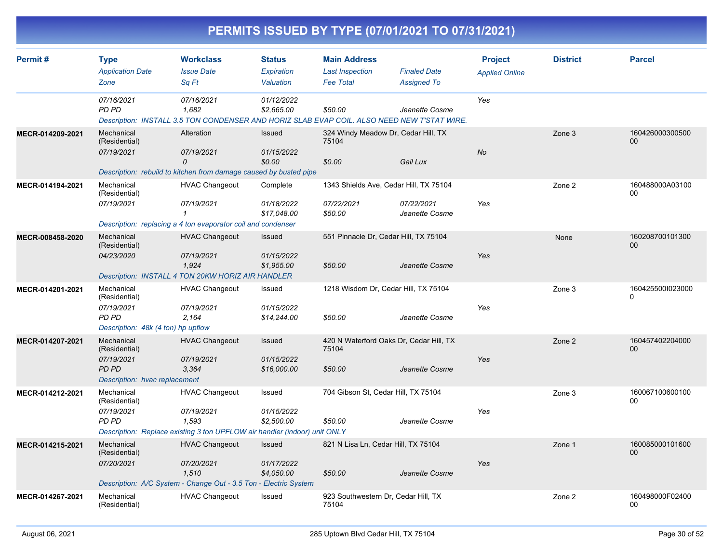| PERMITS ISSUED BY TYPE (07/01/2021 TO 07/31/2021) |                                                                                            |                                                                                                                           |                                           |                                                                   |                                           |                                         |                 |                              |  |  |
|---------------------------------------------------|--------------------------------------------------------------------------------------------|---------------------------------------------------------------------------------------------------------------------------|-------------------------------------------|-------------------------------------------------------------------|-------------------------------------------|-----------------------------------------|-----------------|------------------------------|--|--|
| Permit#                                           | <b>Type</b><br><b>Application Date</b><br>Zone                                             | <b>Workclass</b><br><b>Issue Date</b><br>Sq Ft                                                                            | <b>Status</b><br>Expiration<br>Valuation  | <b>Main Address</b><br><b>Last Inspection</b><br><b>Fee Total</b> | <b>Finaled Date</b><br><b>Assigned To</b> | <b>Project</b><br><b>Applied Online</b> | <b>District</b> | <b>Parcel</b>                |  |  |
|                                                   | 07/16/2021<br>PD PD                                                                        | 07/16/2021<br>1,682<br>Description: INSTALL 3.5 TON CONDENSER AND HORIZ SLAB EVAP COIL. ALSO NEED NEW T'STAT WIRE.        | 01/12/2022<br>\$2,665.00                  | \$50.00                                                           | Jeanette Cosme                            | Yes                                     |                 |                              |  |  |
| MECR-014209-2021                                  | Mechanical<br>(Residential)<br>07/19/2021                                                  | Alteration<br>07/19/2021<br>0<br>Description: rebuild to kitchen from damage caused by busted pipe                        | Issued<br>01/15/2022<br>\$0.00            | 324 Windy Meadow Dr, Cedar Hill, TX<br>75104<br>\$0.00            | Gail Lux                                  | No                                      | Zone 3          | 160426000300500<br>00        |  |  |
| MECR-014194-2021                                  | Mechanical<br>(Residential)<br>07/19/2021                                                  | <b>HVAC Changeout</b><br>07/19/2021<br>1<br>Description: replacing a 4 ton evaporator coil and condenser                  | Complete<br>01/18/2022<br>\$17,048.00     | 1343 Shields Ave, Cedar Hill, TX 75104<br>07/22/2021<br>\$50.00   | 07/22/2021<br>Jeanette Cosme              | Yes                                     | Zone 2          | 160488000A03100<br>00        |  |  |
| MECR-008458-2020                                  | Mechanical<br>(Residential)<br>04/23/2020                                                  | <b>HVAC Changeout</b><br>07/19/2021<br>1,924<br>Description: INSTALL 4 TON 20KW HORIZ AIR HANDLER                         | <b>Issued</b><br>01/15/2022<br>\$1,955.00 | 551 Pinnacle Dr, Cedar Hill, TX 75104<br>\$50.00                  | Jeanette Cosme                            | Yes                                     | None            | 160208700101300<br>00        |  |  |
| MECR-014201-2021                                  | Mechanical<br>(Residential)<br>07/19/2021<br>PD PD<br>Description: 48k (4 ton) hp upflow   | <b>HVAC Changeout</b><br>07/19/2021<br>2,164                                                                              | Issued<br>01/15/2022<br>\$14,244.00       | 1218 Wisdom Dr, Cedar Hill, TX 75104<br>\$50.00                   | Jeanette Cosme                            | Yes                                     | Zone 3          | 1604255001023000<br>$\Omega$ |  |  |
| MECR-014207-2021                                  | Mechanical<br>(Residential)<br>07/19/2021<br><b>PD PD</b><br>Description: hvac replacement | <b>HVAC Changeout</b><br>07/19/2021<br>3,364                                                                              | Issued<br>01/15/2022<br>\$16,000.00       | 420 N Waterford Oaks Dr, Cedar Hill, TX<br>75104<br>\$50.00       | Jeanette Cosme                            | Yes                                     | Zone 2          | 160457402204000<br>00        |  |  |
| MECR-014212-2021                                  | Mechanical<br>(Residential)<br>07/19/2021<br><b>PD PD</b>                                  | <b>HVAC Changeout</b><br>07/19/2021<br>1,593<br>Description: Replace existing 3 ton UPFLOW air handler (indoor) unit ONLY | Issued<br>01/15/2022<br>\$2,500.00        | 704 Gibson St, Cedar Hill, TX 75104<br>\$50.00                    | Jeanette Cosme                            | Yes                                     | Zone 3          | 160067100600100<br>00        |  |  |
| MECR-014215-2021                                  | Mechanical<br>(Residential)<br>07/20/2021                                                  | <b>HVAC Changeout</b><br>07/20/2021<br>1,510<br>Description: A/C System - Change Out - 3.5 Ton - Electric System          | <b>Issued</b><br>01/17/2022<br>\$4,050.00 | 821 N Lisa Ln, Cedar Hill, TX 75104<br>\$50.00                    | Jeanette Cosme                            | Yes                                     | Zone 1          | 160085000101600<br>00        |  |  |
| MECR-014267-2021                                  | Mechanical<br>(Residential)                                                                | <b>HVAC Changeout</b>                                                                                                     | Issued                                    | 923 Southwestern Dr, Cedar Hill, TX<br>75104                      |                                           |                                         | Zone 2          | 160498000F02400<br>00        |  |  |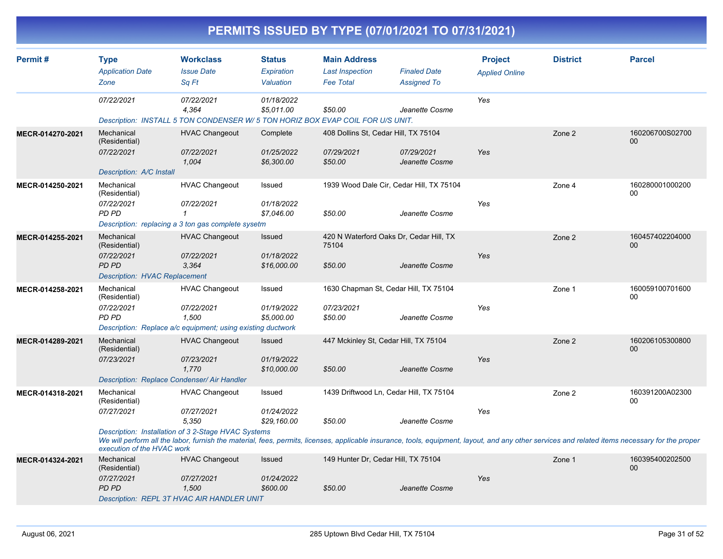| PERMITS ISSUED BY TYPE (07/01/2021 TO 07/31/2021) |                                                                                            |                                                                                                             |                                                 |                                                                   |                                                            |                                         |                                                                                                                                                                                                           |                       |  |  |  |
|---------------------------------------------------|--------------------------------------------------------------------------------------------|-------------------------------------------------------------------------------------------------------------|-------------------------------------------------|-------------------------------------------------------------------|------------------------------------------------------------|-----------------------------------------|-----------------------------------------------------------------------------------------------------------------------------------------------------------------------------------------------------------|-----------------------|--|--|--|
| Permit#                                           | <b>Type</b><br><b>Application Date</b><br>Zone                                             | <b>Workclass</b><br><b>Issue Date</b><br>Sa Ft                                                              | <b>Status</b><br><b>Expiration</b><br>Valuation | <b>Main Address</b><br><b>Last Inspection</b><br><b>Fee Total</b> | <b>Finaled Date</b><br><b>Assigned To</b>                  | <b>Project</b><br><b>Applied Online</b> | <b>District</b>                                                                                                                                                                                           | <b>Parcel</b>         |  |  |  |
|                                                   | 07/22/2021                                                                                 | 07/22/2021<br>4.364<br>Description: INSTALL 5 TON CONDENSER W/ 5 TON HORIZ BOX EVAP COIL FOR U/S UNIT.      | 01/18/2022<br>\$5,011.00                        | \$50.00                                                           | Jeanette Cosme                                             | Yes                                     |                                                                                                                                                                                                           |                       |  |  |  |
| MECR-014270-2021                                  | Mechanical<br>(Residential)<br>07/22/2021<br>Description: A/C Install                      | <b>HVAC Changeout</b><br>07/22/2021<br>1,004                                                                | Complete<br>01/25/2022<br>\$6,300.00            | 408 Dollins St, Cedar Hill, TX 75104<br>07/29/2021<br>\$50.00     | 07/29/2021<br>Jeanette Cosme                               | Yes                                     | Zone 2                                                                                                                                                                                                    | 160206700S02700<br>00 |  |  |  |
| MECR-014250-2021                                  | Mechanical<br>(Residential)<br>07/22/2021<br>PD PD                                         | <b>HVAC Changeout</b><br>07/22/2021<br>$\mathbf{1}$<br>Description: replacing a 3 ton gas complete sysetm   | Issued<br>01/18/2022<br>\$7,046.00              | \$50.00                                                           | 1939 Wood Dale Cir, Cedar Hill, TX 75104<br>Jeanette Cosme | Yes                                     | Zone 4                                                                                                                                                                                                    | 160280001000200<br>00 |  |  |  |
| MECR-014255-2021                                  | Mechanical<br>(Residential)<br>07/22/2021<br>PD PD<br><b>Description: HVAC Replacement</b> | <b>HVAC Changeout</b><br>07/22/2021<br>3,364                                                                | <b>Issued</b><br>01/18/2022<br>\$16,000.00      | 420 N Waterford Oaks Dr, Cedar Hill, TX<br>75104<br>\$50.00       | Jeanette Cosme                                             | Yes                                     | Zone 2                                                                                                                                                                                                    | 160457402204000<br>00 |  |  |  |
| MECR-014258-2021                                  | Mechanical<br>(Residential)<br>07/22/2021<br>PD PD                                         | <b>HVAC Changeout</b><br>07/22/2021<br>1,500<br>Description: Replace a/c equipment; using existing ductwork | Issued<br>01/19/2022<br>\$5,000.00              | 1630 Chapman St, Cedar Hill, TX 75104<br>07/23/2021<br>\$50.00    | Jeanette Cosme                                             | Yes                                     | Zone 1                                                                                                                                                                                                    | 160059100701600<br>00 |  |  |  |
| MECR-014289-2021                                  | Mechanical<br>(Residential)<br>07/23/2021<br>Description: Replace Condenser/ Air Handler   | <b>HVAC Changeout</b><br>07/23/2021<br>1,770                                                                | <b>Issued</b><br>01/19/2022<br>\$10,000.00      | 447 Mckinley St, Cedar Hill, TX 75104<br>\$50.00                  | Jeanette Cosme                                             | Yes                                     | Zone 2                                                                                                                                                                                                    | 160206105300800<br>00 |  |  |  |
| MECR-014318-2021                                  | Mechanical<br>(Residential)<br>07/27/2021                                                  | <b>HVAC Changeout</b><br>07/27/2021<br>5,350<br>Description: Installation of 3 2-Stage HVAC Systems         | Issued<br>01/24/2022<br>\$29,160.00             | 1439 Driftwood Ln, Cedar Hill, TX 75104<br>\$50.00                | Jeanette Cosme                                             | Yes                                     | Zone 2                                                                                                                                                                                                    | 160391200A02300<br>00 |  |  |  |
| MECR-014324-2021                                  | execution of the HVAC work<br>Mechanical<br>(Residential)<br>07/27/2021<br><b>PD PD</b>    | <b>HVAC Changeout</b><br>07/27/2021<br>1,500<br>Description: REPL 3T HVAC AIR HANDLER UNIT                  | Issued<br>01/24/2022<br>\$600.00                | 149 Hunter Dr, Cedar Hill, TX 75104<br>\$50.00                    | Jeanette Cosme                                             | Yes                                     | We will perform all the labor, furnish the material, fees, permits, licenses, applicable insurance, tools, equipment, layout, and any other services and related items necessary for the proper<br>Zone 1 | 160395400202500<br>00 |  |  |  |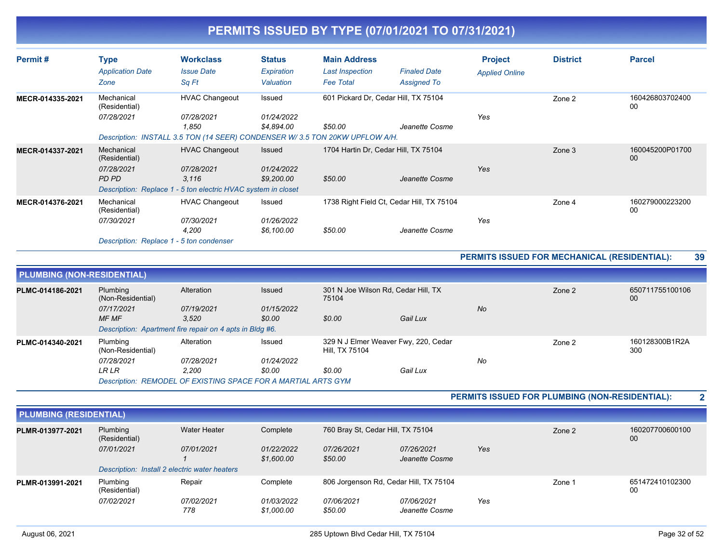| Permit#          | <b>Type</b><br><b>Application Date</b><br>Zone                                        | <b>Workclass</b><br><b>Issue Date</b><br>Sq Ft                                                                              | <b>Status</b><br>Expiration<br>Valuation  | <b>Main Address</b><br><b>Last Inspection</b><br><b>Fee Total</b> | <b>Finaled Date</b><br><b>Assigned To</b> | <b>Project</b><br><b>Applied Online</b> | <b>District</b> | <b>Parcel</b>             |
|------------------|---------------------------------------------------------------------------------------|-----------------------------------------------------------------------------------------------------------------------------|-------------------------------------------|-------------------------------------------------------------------|-------------------------------------------|-----------------------------------------|-----------------|---------------------------|
| MECR-014335-2021 | Mechanical<br>(Residential)<br>07/28/2021                                             | <b>HVAC Changeout</b><br>07/28/2021<br>1,850<br>Description: INSTALL 3.5 TON (14 SEER) CONDENSER W/3.5 TON 20KW UPFLOW A/H. | Issued<br>01/24/2022<br>\$4.894.00        | 601 Pickard Dr, Cedar Hill, TX 75104<br>\$50.00                   | Jeanette Cosme                            | Yes                                     | Zone 2          | 160426803702400<br>00     |
| MECR-014337-2021 | Mechanical<br>(Residential)<br>07/28/2021<br>PD PD                                    | <b>HVAC Changeout</b><br>07/28/2021<br>3,116<br>Description: Replace 1 - 5 ton electric HVAC system in closet               | <b>Issued</b><br>01/24/2022<br>\$9,200.00 | 1704 Hartin Dr. Cedar Hill, TX 75104<br>\$50.00                   | Jeanette Cosme                            | Yes                                     | Zone 3          | 160045200P01700<br>$00\,$ |
| MECR-014376-2021 | Mechanical<br>(Residential)<br>07/30/2021<br>Description: Replace 1 - 5 ton condenser | <b>HVAC Changeout</b><br>07/30/2021<br>4,200                                                                                | Issued<br>01/26/2022<br>\$6,100.00        | 1738 Right Field Ct, Cedar Hill, TX 75104<br>\$50.00              | Jeanette Cosme                            | Yes                                     | Zone 4          | 160279000223200<br>00     |

#### **PERMITS ISSUED FOR MECHANICAL (RESIDENTIAL): 39**

| <b>PLUMBING (NON-RESIDENTIAL)</b> |                                                               |            |                   |                |                                      |        |        |                       |  |  |
|-----------------------------------|---------------------------------------------------------------|------------|-------------------|----------------|--------------------------------------|--------|--------|-----------------------|--|--|
| PLMC-014186-2021                  | Plumbing<br>(Non-Residential)                                 | Alteration | <b>Issued</b>     | 75104          | 301 N Joe Wilson Rd, Cedar Hill, TX  |        | Zone 2 | 650711755100106<br>00 |  |  |
|                                   | 07/17/2021                                                    | 07/19/2021 | 01/15/2022        |                |                                      | No     |        |                       |  |  |
|                                   | <b>MF MF</b>                                                  | 3.520      | \$0.00            | \$0.00         | Gail Lux                             |        |        |                       |  |  |
|                                   | Description: Apartment fire repair on 4 apts in Bldg #6.      |            |                   |                |                                      |        |        |                       |  |  |
| PLMC-014340-2021                  | Plumbing<br>(Non-Residential)                                 | Alteration | Issued            | Hill, TX 75104 | 329 N J Elmer Weaver Fwy, 220, Cedar | Zone 2 |        | 160128300B1R2A<br>300 |  |  |
|                                   | 07/28/2021                                                    | 07/28/2021 | <i>01/24/2022</i> |                |                                      | No     |        |                       |  |  |
|                                   | LR LR                                                         | 2.200      | \$0.00            | \$0.00         | Gail Lux                             |        |        |                       |  |  |
|                                   | Description: REMODEL OF EXISTING SPACE FOR A MARTIAL ARTS GYM |            |                   |                |                                      |        |        |                       |  |  |

**PERMITS ISSUED FOR PLUMBING (NON-RESIDENTIAL): 2**

| <b>PLUMBING (RESIDENTIAL)</b> |                                               |                   |                          |                                        |                                   |     |        |                       |
|-------------------------------|-----------------------------------------------|-------------------|--------------------------|----------------------------------------|-----------------------------------|-----|--------|-----------------------|
| PLMR-013977-2021              | Plumbing<br>(Residential)                     | Water Heater      | Complete                 |                                        | 760 Bray St, Cedar Hill, TX 75104 |     |        | 160207700600100<br>00 |
|                               | 07/01/2021                                    | 07/01/2021        | 01/22/2022<br>\$1,600.00 | 07/26/2021<br>\$50.00                  | 07/26/2021<br>Jeanette Cosme      | Yes |        |                       |
|                               | Description: Install 2 electric water heaters |                   |                          |                                        |                                   |     |        |                       |
| PLMR-013991-2021              | Plumbing<br>(Residential)                     | Repair            | Complete                 | 806 Jorgenson Rd, Cedar Hill, TX 75104 |                                   |     | Zone 1 | 651472410102300<br>00 |
|                               | 07/02/2021                                    | 07/02/2021<br>778 | 01/03/2022<br>\$1,000.00 | 07/06/2021<br>\$50.00                  | 07/06/2021<br>Jeanette Cosme      | Yes |        |                       |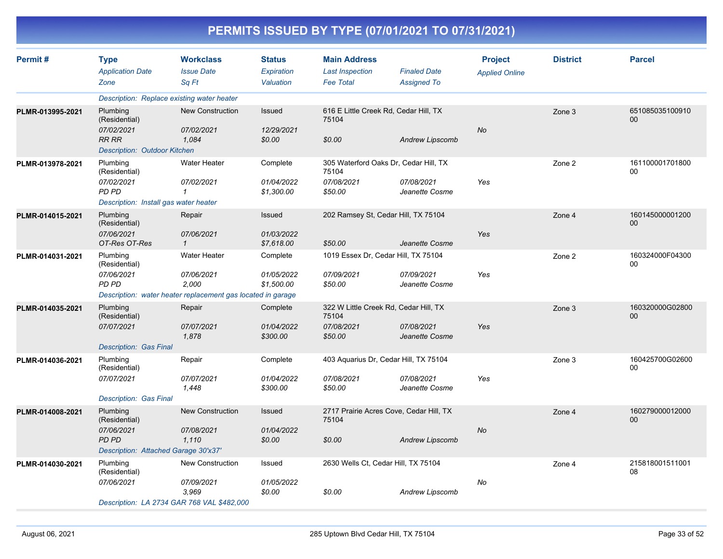| Permit#          | <b>Type</b>                                          | <b>Workclass</b>                                            | <b>Status</b>            | <b>Main Address</b>                              |                              | <b>Project</b>        | <b>District</b> | <b>Parcel</b>         |
|------------------|------------------------------------------------------|-------------------------------------------------------------|--------------------------|--------------------------------------------------|------------------------------|-----------------------|-----------------|-----------------------|
|                  | <b>Application Date</b>                              | <b>Issue Date</b>                                           | Expiration               | <b>Last Inspection</b>                           | <b>Finaled Date</b>          | <b>Applied Online</b> |                 |                       |
|                  | Zone                                                 | Sa Ft                                                       | Valuation                | <b>Fee Total</b>                                 | <b>Assigned To</b>           |                       |                 |                       |
|                  | Description: Replace existing water heater           |                                                             |                          |                                                  |                              |                       |                 |                       |
| PLMR-013995-2021 | Plumbing<br>(Residential)                            | <b>New Construction</b>                                     | Issued                   | 616 E Little Creek Rd, Cedar Hill, TX<br>75104   |                              |                       | Zone 3          | 651085035100910<br>00 |
|                  | 07/02/2021<br><b>RR RR</b>                           | 07/02/2021<br>1,084                                         | 12/29/2021<br>\$0.00     | \$0.00                                           | <b>Andrew Lipscomb</b>       | <b>No</b>             |                 |                       |
|                  | <b>Description: Outdoor Kitchen</b>                  |                                                             |                          |                                                  |                              |                       |                 |                       |
| PLMR-013978-2021 | Plumbing<br>(Residential)                            | Water Heater                                                | Complete                 | 305 Waterford Oaks Dr, Cedar Hill, TX<br>75104   |                              |                       | Zone 2          | 161100001701800<br>00 |
|                  | 07/02/2021<br>PD PD                                  | 07/02/2021<br>$\mathcal I$                                  | 01/04/2022<br>\$1,300.00 | 07/08/2021<br>\$50.00                            | 07/08/2021<br>Jeanette Cosme | Yes                   |                 |                       |
|                  | Description: Install gas water heater                |                                                             |                          |                                                  |                              |                       |                 |                       |
| PLMR-014015-2021 | Plumbing<br>(Residential)                            | Repair                                                      | Issued                   | 202 Ramsey St, Cedar Hill, TX 75104              |                              |                       | Zone 4          | 160145000001200<br>00 |
|                  | 07/06/2021<br>OT-Res OT-Res                          | 07/06/2021<br>$\mathbf{1}$                                  | 01/03/2022<br>\$7,618.00 | \$50.00                                          | Jeanette Cosme               | Yes                   |                 |                       |
| PLMR-014031-2021 | Plumbing<br>(Residential)                            | <b>Water Heater</b>                                         | Complete                 | 1019 Essex Dr, Cedar Hill, TX 75104              |                              |                       | Zone 2          | 160324000F04300<br>00 |
|                  | 07/06/2021<br>PD PD                                  | 07/06/2021<br>2.000                                         | 01/05/2022<br>\$1,500.00 | 07/09/2021<br>\$50.00                            | 07/09/2021<br>Jeanette Cosme | Yes                   |                 |                       |
|                  |                                                      | Description: water heater replacement gas located in garage |                          |                                                  |                              |                       |                 |                       |
| PLMR-014035-2021 | Plumbing<br>(Residential)                            | Repair                                                      | Complete                 | 322 W Little Creek Rd, Cedar Hill, TX<br>75104   |                              |                       | Zone 3          | 160320000G02800<br>00 |
|                  | 07/07/2021                                           | 07/07/2021<br>1,878                                         | 01/04/2022<br>\$300.00   | 07/08/2021<br>\$50.00                            | 07/08/2021<br>Jeanette Cosme | Yes                   |                 |                       |
|                  | <b>Description: Gas Final</b>                        |                                                             |                          |                                                  |                              |                       |                 |                       |
| PLMR-014036-2021 | Plumbing<br>(Residential)                            | Repair                                                      | Complete                 | 403 Aquarius Dr, Cedar Hill, TX 75104            |                              |                       | Zone 3          | 160425700G02600<br>00 |
|                  | 07/07/2021                                           | 07/07/2021<br>1,448                                         | 01/04/2022<br>\$300.00   | 07/08/2021<br>\$50.00                            | 07/08/2021<br>Jeanette Cosme | Yes                   |                 |                       |
|                  | <b>Description: Gas Final</b>                        |                                                             |                          |                                                  |                              |                       |                 |                       |
| PLMR-014008-2021 | Plumbing<br>(Residential)                            | <b>New Construction</b>                                     | Issued                   | 2717 Prairie Acres Cove, Cedar Hill, TX<br>75104 |                              |                       | Zone 4          | 160279000012000<br>00 |
|                  | 07/06/2021                                           | 07/08/2021                                                  | 01/04/2022               |                                                  |                              | No                    |                 |                       |
|                  | <b>PD PD</b><br>Description: Attached Garage 30'x37' | 1.110                                                       | \$0.00                   | \$0.00                                           | <b>Andrew Lipscomb</b>       |                       |                 |                       |
|                  |                                                      | <b>New Construction</b>                                     | Issued                   |                                                  |                              |                       |                 | 215818001511001       |
| PLMR-014030-2021 | Plumbing<br>(Residential)                            |                                                             |                          | 2630 Wells Ct, Cedar Hill, TX 75104              |                              |                       | Zone 4          | 08                    |
|                  | 07/06/2021                                           | 07/09/2021<br>3,969                                         | 01/05/2022<br>\$0.00     | \$0.00                                           | Andrew Lipscomb              | No                    |                 |                       |
|                  | Description: LA 2734 GAR 768 VAL \$482,000           |                                                             |                          |                                                  |                              |                       |                 |                       |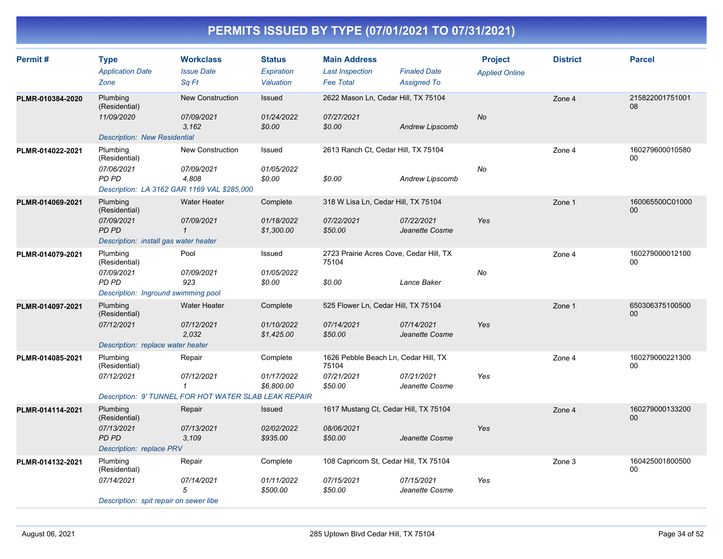| Permit#          | <b>Type</b><br><b>Application Date</b><br>Zone                                                   | <b>Workclass</b><br><b>Issue Date</b><br>Sq Ft                                                | <b>Status</b><br>Expiration<br>Valuation | <b>Main Address</b><br><b>Last Inspection</b><br><b>Fee Total</b>      | <b>Finaled Date</b><br><b>Assigned To</b> | <b>Project</b><br><b>Applied Online</b> | <b>District</b> | <b>Parcel</b>             |
|------------------|--------------------------------------------------------------------------------------------------|-----------------------------------------------------------------------------------------------|------------------------------------------|------------------------------------------------------------------------|-------------------------------------------|-----------------------------------------|-----------------|---------------------------|
| PLMR-010384-2020 | Plumbing<br>(Residential)<br>11/09/2020<br><b>Description: New Residential</b>                   | <b>New Construction</b><br>07/09/2021<br>3,162                                                | Issued<br>01/24/2022<br>\$0.00           | 2622 Mason Ln, Cedar Hill, TX 75104<br>07/27/2021<br>\$0.00            | <b>Andrew Lipscomb</b>                    | <b>No</b>                               | Zone 4          | 215822001751001<br>08     |
| PLMR-014022-2021 | Plumbing<br>(Residential)<br>07/06/2021<br>PD PD<br>Description: LA 3162 GAR 1169 VAL \$285,000  | <b>New Construction</b><br>07/09/2021<br>4,808                                                | Issued<br>01/05/2022<br>\$0.00           | 2613 Ranch Ct, Cedar Hill, TX 75104<br>\$0.00                          | Andrew Lipscomb                           | No                                      | Zone 4          | 160279600010580<br>$00\,$ |
| PLMR-014069-2021 | Plumbing<br>(Residential)<br>07/09/2021<br><b>PD PD</b><br>Description: install gas water heater | <b>Water Heater</b><br>07/09/2021<br>$\mathbf 1$                                              | Complete<br>01/18/2022<br>\$1,300.00     | 318 W Lisa Ln, Cedar Hill, TX 75104<br>07/22/2021<br>\$50.00           | 07/22/2021<br>Jeanette Cosme              | Yes                                     | Zone 1          | 160065500C01000<br>00     |
| PLMR-014079-2021 | Plumbing<br>(Residential)<br>07/09/2021<br><b>PD PD</b><br>Description: Inground swimming pool   | Pool<br>07/09/2021<br>923                                                                     | Issued<br>01/05/2022<br>\$0.00           | 2723 Prairie Acres Cove, Cedar Hill, TX<br>75104<br>\$0.00             | Lance Baker                               | No                                      | Zone 4          | 160279000012100<br>00     |
| PLMR-014097-2021 | Plumbing<br>(Residential)<br>07/12/2021<br>Description: replace water heater                     | <b>Water Heater</b><br>07/12/2021<br>2.032                                                    | Complete<br>01/10/2022<br>\$1,425.00     | 525 Flower Ln, Cedar Hill, TX 75104<br>07/14/2021<br>\$50.00           | 07/14/2021<br>Jeanette Cosme              | Yes                                     | Zone 1          | 650306375100500<br>00     |
| PLMR-014085-2021 | Plumbing<br>(Residential)<br>07/12/2021                                                          | Repair<br>07/12/2021<br>$\mathbf{1}$<br>Description: 9' TUNNEL FOR HOT WATER SLAB LEAK REPAIR | Complete<br>01/17/2022<br>\$6,800.00     | 1626 Pebble Beach Ln, Cedar Hill, TX<br>75104<br>07/21/2021<br>\$50.00 | 07/21/2021<br>Jeanette Cosme              | Yes                                     | Zone 4          | 160279000221300<br>00     |
| PLMR-014114-2021 | Plumbing<br>(Residential)<br>07/13/2021<br><b>PD PD</b><br>Description: replace PRV              | Repair<br>07/13/2021<br>3,109                                                                 | Issued<br>02/02/2022<br>\$935.00         | 1617 Mustang Ct, Cedar Hill, TX 75104<br>08/06/2021<br>\$50.00         | Jeanette Cosme                            | Yes                                     | Zone 4          | 160279000133200<br>$00\,$ |
| PLMR-014132-2021 | Plumbing<br>(Residential)<br>07/14/2021<br>Description: spit repair on sewer libe                | Repair<br>07/14/2021<br>5                                                                     | Complete<br>01/11/2022<br>\$500.00       | 108 Capricorn St, Cedar Hill, TX 75104<br>07/15/2021<br>\$50.00        | 07/15/2021<br>Jeanette Cosme              | Yes                                     | Zone 3          | 160425001800500<br>00     |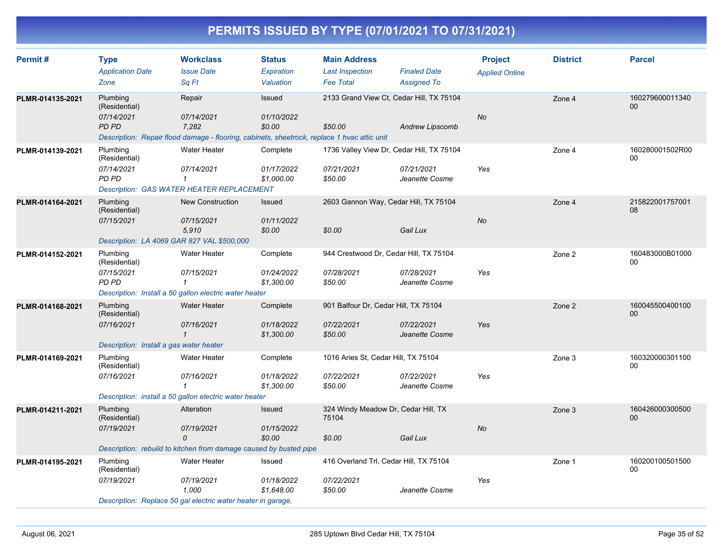| Permit#          | <b>Type</b><br><b>Application Date</b><br>Zone                                        | <b>Workclass</b><br><b>Issue Date</b><br>Sa Ft                                                                               | <b>Status</b><br>Expiration<br>Valuation | <b>Main Address</b><br><b>Last Inspection</b><br><b>Fee Total</b>  | <b>Finaled Date</b><br><b>Assigned To</b> | <b>Project</b><br><b>Applied Online</b> | <b>District</b> | <b>Parcel</b>         |
|------------------|---------------------------------------------------------------------------------------|------------------------------------------------------------------------------------------------------------------------------|------------------------------------------|--------------------------------------------------------------------|-------------------------------------------|-----------------------------------------|-----------------|-----------------------|
| PLMR-014135-2021 | Plumbing<br>(Residential)<br>07/14/2021<br><b>PD PD</b>                               | Repair<br>07/14/2021<br>7.282<br>Description: Repair flood damage - flooring, cabinets, sheetrock, replace 1 hvac attic unit | Issued<br>01/10/2022<br>\$0.00           | 2133 Grand View Ct, Cedar Hill, TX 75104<br>\$50.00                | <b>Andrew Lipscomb</b>                    | <b>No</b>                               | Zone 4          | 160279600011340<br>00 |
| PLMR-014139-2021 | Plumbing<br>(Residential)<br>07/14/2021<br>PD PD                                      | Water Heater<br>07/14/2021<br>1<br><b>Description: GAS WATER HEATER REPLACEMENT</b>                                          | Complete<br>01/17/2022<br>\$1,000.00     | 1736 Valley View Dr, Cedar Hill, TX 75104<br>07/21/2021<br>\$50.00 | 07/21/2021<br>Jeanette Cosme              | Yes                                     | Zone 4          | 160280001502R00<br>00 |
| PLMR-014164-2021 | Plumbing<br>(Residential)<br>07/15/2021<br>Description: LA 4069 GAR 827 VAL \$500,000 | <b>New Construction</b><br>07/15/2021<br>5,910                                                                               | <b>Issued</b><br>01/11/2022<br>\$0.00    | 2603 Gannon Way, Cedar Hill, TX 75104<br>\$0.00                    | Gail Lux                                  | No                                      | Zone 4          | 215822001757001<br>08 |
| PLMR-014152-2021 | Plumbing<br>(Residential)<br>07/15/2021<br>PD PD                                      | Water Heater<br>07/15/2021<br>$\mathbf{1}$<br>Description: Install a 50 gallon electric water heater                         | Complete<br>01/24/2022<br>\$1,300.00     | 944 Crestwood Dr, Cedar Hill, TX 75104<br>07/28/2021<br>\$50.00    | 07/28/2021<br>Jeanette Cosme              | Yes                                     | Zone 2          | 160483000B01000<br>00 |
| PLMR-014168-2021 | Plumbing<br>(Residential)<br>07/16/2021<br>Description: Install a gas water heater    | <b>Water Heater</b><br>07/16/2021<br>$\mathbf{1}$                                                                            | Complete<br>01/18/2022<br>\$1,300.00     | 901 Balfour Dr, Cedar Hill, TX 75104<br>07/22/2021<br>\$50.00      | 07/22/2021<br>Jeanette Cosme              | Yes                                     | Zone 2          | 160045500400100<br>00 |
| PLMR-014169-2021 | Plumbing<br>(Residential)<br>07/16/2021                                               | Water Heater<br>07/16/2021<br>-1<br>Description: install a 50 gallon electric water heater                                   | Complete<br>01/18/2022<br>\$1,300.00     | 1016 Aries St, Cedar Hill, TX 75104<br>07/22/2021<br>\$50.00       | 07/22/2021<br>Jeanette Cosme              | Yes                                     | Zone 3          | 160320000301100<br>00 |
| PLMR-014211-2021 | Plumbing<br>(Residential)<br>07/19/2021                                               | Alteration<br>07/19/2021<br>0<br>Description: rebuild to kitchen from damage caused by busted pipe                           | Issued<br>01/15/2022<br>\$0.00           | 324 Windy Meadow Dr, Cedar Hill, TX<br>75104<br>\$0.00             | Gail Lux                                  | No                                      | Zone 3          | 160426000300500<br>00 |
| PLMR-014195-2021 | Plumbing<br>(Residential)<br>07/19/2021                                               | Water Heater<br>07/19/2021<br>1,000<br>Description: Replace 50 gal electric water heater in garage,                          | Issued<br>01/18/2022<br>\$1,648.00       | 416 Overland Trl, Cedar Hill, TX 75104<br>07/22/2021<br>\$50.00    | Jeanette Cosme                            | Yes                                     | Zone 1          | 160200100501500<br>00 |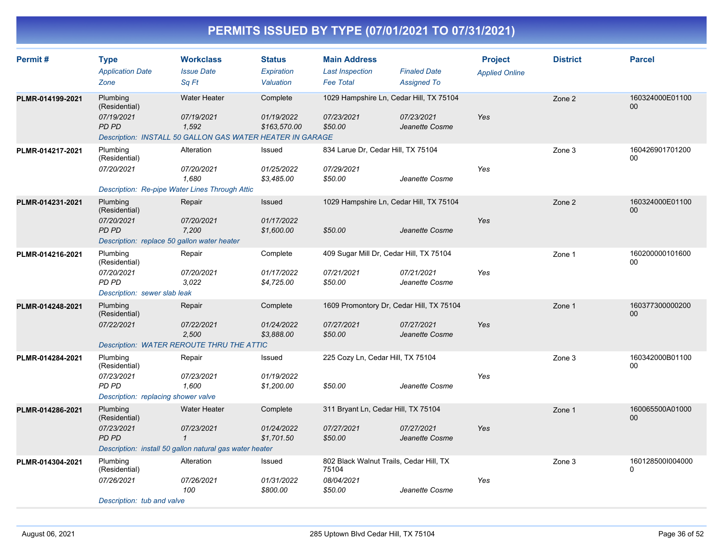| Permit#          | <b>Type</b><br><b>Application Date</b><br>Zone                                                  | <b>Workclass</b><br><b>Issue Date</b><br>Sa Ft                                                          | <b>Status</b><br>Expiration<br>Valuation | <b>Main Address</b><br><b>Last Inspection</b><br><b>Fee Total</b>         | <b>Finaled Date</b><br><b>Assigned To</b> | <b>Project</b><br><b>Applied Online</b> | <b>District</b> | <b>Parcel</b>                |
|------------------|-------------------------------------------------------------------------------------------------|---------------------------------------------------------------------------------------------------------|------------------------------------------|---------------------------------------------------------------------------|-------------------------------------------|-----------------------------------------|-----------------|------------------------------|
| PLMR-014199-2021 | Plumbing<br>(Residential)<br>07/19/2021<br>PD PD                                                | <b>Water Heater</b><br>07/19/2021<br>1.592<br>Description: INSTALL 50 GALLON GAS WATER HEATER IN GARAGE | Complete<br>01/19/2022<br>\$163.570.00   | 1029 Hampshire Ln, Cedar Hill, TX 75104<br>07/23/2021<br>\$50.00          | 07/23/2021<br>Jeanette Cosme              | Yes                                     | Zone 2          | 160324000E01100<br>00        |
| PLMR-014217-2021 | Plumbing<br>(Residential)<br>07/20/2021<br>Description: Re-pipe Water Lines Through Attic       | Alteration<br>07/20/2021<br>1,680                                                                       | Issued<br>01/25/2022<br>\$3,485.00       | 834 Larue Dr, Cedar Hill, TX 75104<br>07/29/2021<br>\$50.00               | Jeanette Cosme                            | Yes                                     | Zone 3          | 160426901701200<br>$00\,$    |
| PLMR-014231-2021 | Plumbing<br>(Residential)<br>07/20/2021<br>PD PD<br>Description: replace 50 gallon water heater | Repair<br>07/20/2021<br>7,200                                                                           | Issued<br>01/17/2022<br>\$1,600.00       | 1029 Hampshire Ln, Cedar Hill, TX 75104<br>\$50.00                        | Jeanette Cosme                            | Yes                                     | Zone 2          | 160324000E01100<br>00        |
| PLMR-014216-2021 | Plumbing<br>(Residential)<br>07/20/2021<br>PD PD<br>Description: sewer slab leak                | Repair<br>07/20/2021<br>3,022                                                                           | Complete<br>01/17/2022<br>\$4,725.00     | 409 Sugar Mill Dr, Cedar Hill, TX 75104<br>07/21/2021<br>\$50.00          | 07/21/2021<br>Jeanette Cosme              | Yes                                     | Zone 1          | 160200000101600<br>00        |
| PLMR-014248-2021 | Plumbing<br>(Residential)<br>07/22/2021                                                         | Repair<br>07/22/2021<br>2,500<br><b>Description: WATER REROUTE THRU THE ATTIC</b>                       | Complete<br>01/24/2022<br>\$3,888.00     | 1609 Promontory Dr, Cedar Hill, TX 75104<br>07/27/2021<br>\$50.00         | 07/27/2021<br>Jeanette Cosme              | Yes                                     | Zone 1          | 160377300000200<br>$00\,$    |
| PLMR-014284-2021 | Plumbing<br>(Residential)<br>07/23/2021<br>PD PD<br>Description: replacing shower valve         | Repair<br>07/23/2021<br>1,600                                                                           | Issued<br>01/19/2022<br>\$1,200.00       | 225 Cozy Ln, Cedar Hill, TX 75104<br>\$50.00                              | Jeanette Cosme                            | Yes                                     | Zone 3          | 160342000B01100<br>00        |
| PLMR-014286-2021 | Plumbing<br>(Residential)<br>07/23/2021<br>PD PD                                                | <b>Water Heater</b><br>07/23/2021<br>$\mathbf 1$                                                        | Complete<br>01/24/2022<br>\$1,701.50     | 311 Bryant Ln, Cedar Hill, TX 75104<br>07/27/2021<br>\$50.00              | 07/27/2021<br>Jeanette Cosme              | Yes                                     | Zone 1          | 160065500A01000<br>$00\,$    |
| PLMR-014304-2021 | Plumbing<br>(Residential)<br>07/26/2021<br>Description: tub and valve                           | Description: install 50 gallon natural gas water heater<br>Alteration<br>07/26/2021<br>100              | Issued<br>01/31/2022<br>\$800.00         | 802 Black Walnut Trails, Cedar Hill, TX<br>75104<br>08/04/2021<br>\$50.00 | Jeanette Cosme                            | Yes                                     | Zone 3          | 1601285001004000<br>$\Omega$ |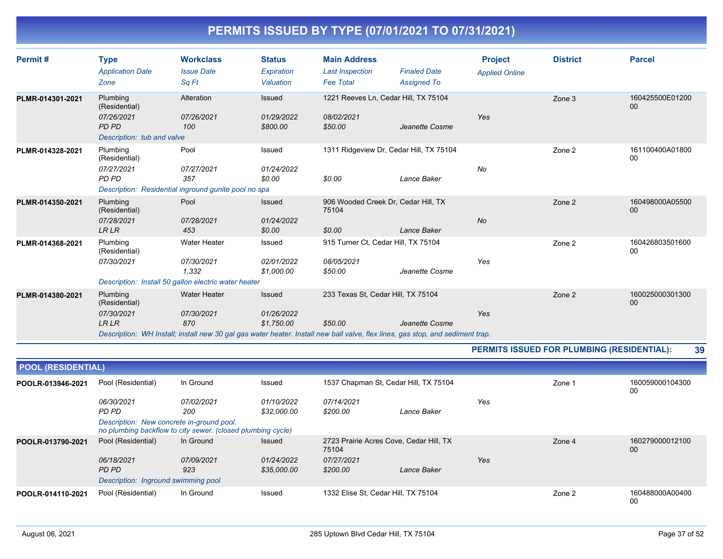| Permit#          | <b>Type</b><br><b>Application Date</b><br>Zone                                        | <b>Workclass</b><br><b>Issue Date</b><br>Sq Ft                                                     | <b>Status</b><br>Expiration<br>Valuation  | <b>Main Address</b><br><b>Last Inspection</b><br><b>Fee Total</b> | <b>Finaled Date</b><br><b>Assigned To</b>                                                                                                                                              | <b>Project</b><br><b>Applied Online</b> | <b>District</b> | <b>Parcel</b>         |
|------------------|---------------------------------------------------------------------------------------|----------------------------------------------------------------------------------------------------|-------------------------------------------|-------------------------------------------------------------------|----------------------------------------------------------------------------------------------------------------------------------------------------------------------------------------|-----------------------------------------|-----------------|-----------------------|
| PLMR-014301-2021 | Plumbing<br>(Residential)<br>07/26/2021<br><b>PD PD</b><br>Description: tub and valve | Alteration<br>07/26/2021<br>100                                                                    | Issued<br>01/29/2022<br>\$800.00          | 08/02/2021<br>\$50.00                                             | 1221 Reeves Ln, Cedar Hill, TX 75104<br>Jeanette Cosme                                                                                                                                 | Yes                                     | Zone 3          | 160425500E01200<br>00 |
| PLMR-014328-2021 | Plumbing<br>(Residential)<br>07/27/2021<br>PD PD                                      | Pool<br>07/27/2021<br>357<br>Description: Residential inground gunite pool no spa                  | Issued<br>01/24/2022<br>\$0.00            | \$0.00                                                            | 1311 Ridgeview Dr, Cedar Hill, TX 75104<br>Lance Baker                                                                                                                                 | No                                      | Zone 2          | 161100400A01800<br>00 |
| PLMR-014350-2021 | Plumbing<br>(Residential)<br>07/28/2021<br><b>LR LR</b>                               | Pool<br>07/28/2021<br>453                                                                          | Issued<br>01/24/2022<br>\$0.00            | 75104<br>\$0.00                                                   | 906 Wooded Creek Dr, Cedar Hill, TX<br>Lance Baker                                                                                                                                     | No                                      | Zone 2          | 160498000A05500<br>00 |
| PLMR-014368-2021 | Plumbing<br>(Residential)<br>07/30/2021                                               | <b>Water Heater</b><br>07/30/2021<br>1,332<br>Description: Install 50 gallon electric water heater | Issued<br>02/01/2022<br>\$1,000.00        | 08/05/2021<br>\$50.00                                             | 915 Turner Ct, Cedar Hill, TX 75104<br>Jeanette Cosme                                                                                                                                  | Yes                                     | Zone 2          | 160426803501600<br>00 |
| PLMR-014380-2021 | Plumbing<br>(Residential)<br>07/30/2021<br><b>LRLR</b>                                | <b>Water Heater</b><br>07/30/2021<br>870                                                           | <b>Issued</b><br>01/26/2022<br>\$1,750.00 | \$50.00                                                           | 233 Texas St, Cedar Hill, TX 75104<br>Jeanette Cosme<br>Description: WH Install; install new 30 gal gas water heater. Install new ball valve, flex lines, gas stop, and sediment trap. | Yes                                     | Zone 2          | 160025000301300<br>00 |

#### **PERMITS ISSUED FOR PLUMBING (RESIDENTIAL): 39**

|                   | <b>POOL (RESIDENTIAL)</b>                 |                                                             |               |                                                  |                                       |     |        |                       |  |  |  |
|-------------------|-------------------------------------------|-------------------------------------------------------------|---------------|--------------------------------------------------|---------------------------------------|-----|--------|-----------------------|--|--|--|
| POOLR-013946-2021 | Pool (Residential)                        | In Ground                                                   | Issued        |                                                  | 1537 Chapman St. Cedar Hill, TX 75104 |     |        | 160059000104300<br>00 |  |  |  |
|                   | 06/30/2021                                | 07/02/2021                                                  | 01/10/2022    | 07/14/2021                                       |                                       | Yes |        |                       |  |  |  |
|                   | PD PD                                     | 200                                                         | \$32,000.00   | \$200.00                                         | Lance Baker                           |     |        |                       |  |  |  |
|                   | Description: New concrete in-ground pool. | no plumbing backflow to city sewer. (closed plumbing cycle) |               |                                                  |                                       |     |        |                       |  |  |  |
| POOLR-013790-2021 | Pool (Residential)                        | In Ground                                                   | <b>Issued</b> | 2723 Prairie Acres Cove, Cedar Hill, TX<br>75104 |                                       |     | Zone 4 | 160279000012100<br>00 |  |  |  |
|                   | 06/18/2021                                | 07/09/2021                                                  | 01/24/2022    | 07/27/2021                                       |                                       | Yes |        |                       |  |  |  |
|                   | PD PD                                     | 923                                                         | \$35,000.00   | \$200.00                                         | Lance Baker                           |     |        |                       |  |  |  |
|                   | Description: Inground swimming pool       |                                                             |               |                                                  |                                       |     |        |                       |  |  |  |
| POOLR-014110-2021 | Pool (Residential)                        | In Ground                                                   | Issued        | 1332 Elise St. Cedar Hill, TX 75104              |                                       |     | Zone 2 | 160488000A00400<br>00 |  |  |  |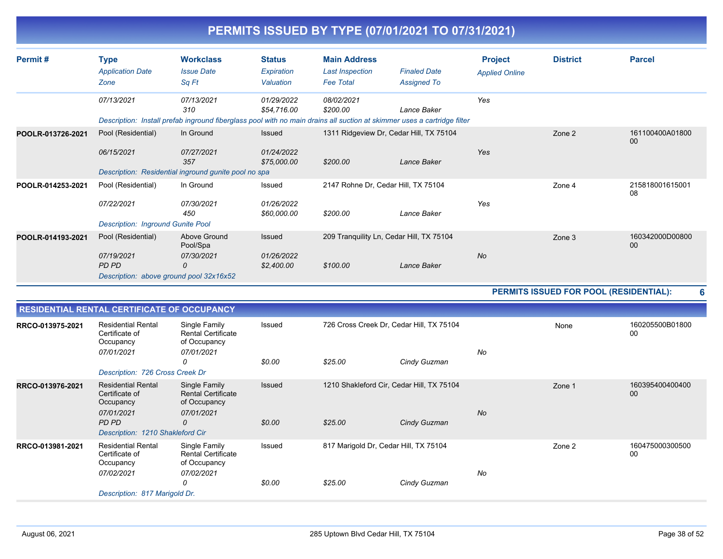|                   |                                                                                                                                                        |                                                                                           |                                          |                                                                   | PERMITS ISSUED BY TYPE (07/01/2021 TO 07/31/2021)                                                                                      |                                         |                                        |                           |
|-------------------|--------------------------------------------------------------------------------------------------------------------------------------------------------|-------------------------------------------------------------------------------------------|------------------------------------------|-------------------------------------------------------------------|----------------------------------------------------------------------------------------------------------------------------------------|-----------------------------------------|----------------------------------------|---------------------------|
| Permit#           | <b>Type</b><br><b>Application Date</b><br>Zone                                                                                                         | <b>Workclass</b><br><b>Issue Date</b><br>Sq Ft                                            | <b>Status</b><br>Expiration<br>Valuation | <b>Main Address</b><br><b>Last Inspection</b><br><b>Fee Total</b> | <b>Finaled Date</b><br><b>Assigned To</b>                                                                                              | <b>Project</b><br><b>Applied Online</b> | <b>District</b>                        | <b>Parcel</b>             |
|                   | 07/13/2021                                                                                                                                             | 07/13/2021<br>310                                                                         | 01/29/2022<br>\$54,716.00                | 08/02/2021<br>\$200.00                                            | Lance Baker<br>Description: Install prefab inground fiberglass pool with no main drains all suction at skimmer uses a cartridge filter | Yes                                     |                                        |                           |
| POOLR-013726-2021 | Pool (Residential)<br>06/15/2021                                                                                                                       | In Ground<br>07/27/2021<br>357<br>Description: Residential inground gunite pool no spa    | Issued<br>01/24/2022<br>\$75,000.00      | \$200.00                                                          | 1311 Ridgeview Dr, Cedar Hill, TX 75104<br>Lance Baker                                                                                 | Yes                                     | Zone 2                                 | 161100400A01800<br>00     |
| POOLR-014253-2021 | Pool (Residential)<br>07/22/2021<br><b>Description: Inground Gunite Pool</b>                                                                           | In Ground<br>07/30/2021<br>450                                                            | Issued<br>01/26/2022<br>\$60,000.00      | \$200.00                                                          | 2147 Rohne Dr, Cedar Hill, TX 75104<br>Lance Baker                                                                                     | Yes                                     | Zone 4                                 | 215818001615001<br>08     |
| POOLR-014193-2021 | Pool (Residential)<br>07/19/2021<br>PD PD<br>Description: above ground pool 32x16x52                                                                   | Above Ground<br>Pool/Spa<br>07/30/2021<br>0                                               | Issued<br>01/26/2022<br>\$2,400.00       | \$100.00                                                          | 209 Tranquility Ln, Cedar Hill, TX 75104<br>Lance Baker                                                                                | No                                      | Zone 3                                 | 160342000D00800<br>00     |
|                   |                                                                                                                                                        |                                                                                           |                                          |                                                                   |                                                                                                                                        |                                         | PERMITS ISSUED FOR POOL (RESIDENTIAL): | 6                         |
|                   | RESIDENTIAL RENTAL CERTIFICATE OF OCCUPANCY                                                                                                            |                                                                                           |                                          |                                                                   |                                                                                                                                        |                                         |                                        |                           |
| RRCO-013975-2021  | <b>Residential Rental</b><br>Certificate of<br>Occupancy<br>07/01/2021                                                                                 | Single Family<br><b>Rental Certificate</b><br>of Occupancy<br>07/01/2021<br>0             | Issued<br>\$0.00                         | \$25.00                                                           | 726 Cross Creek Dr, Cedar Hill, TX 75104<br>Cindy Guzman                                                                               | No                                      | None                                   | 160205500B01800<br>$00\,$ |
| RRCO-013976-2021  | Description: 726 Cross Creek Dr<br><b>Residential Rental</b><br>Certificate of<br>Occupancy<br>07/01/2021<br>PD PD<br>Description: 1210 Shakleford Cir | Single Family<br><b>Rental Certificate</b><br>of Occupancy<br>07/01/2021<br>$\mathcal{O}$ | Issued<br>\$0.00                         | \$25.00                                                           | 1210 Shakleford Cir, Cedar Hill, TX 75104<br>Cindy Guzman                                                                              | <b>No</b>                               | Zone 1                                 | 160395400400400<br>00     |
| RRCO-013981-2021  | <b>Residential Rental</b><br>Certificate of<br>Occupancy<br>07/02/2021<br>Description: 817 Marigold Dr.                                                | Single Family<br><b>Rental Certificate</b><br>of Occupancy<br>07/02/2021<br>0             | Issued<br>\$0.00                         | \$25.00                                                           | 817 Marigold Dr, Cedar Hill, TX 75104<br>Cindy Guzman                                                                                  | No                                      | Zone 2                                 | 160475000300500<br>00     |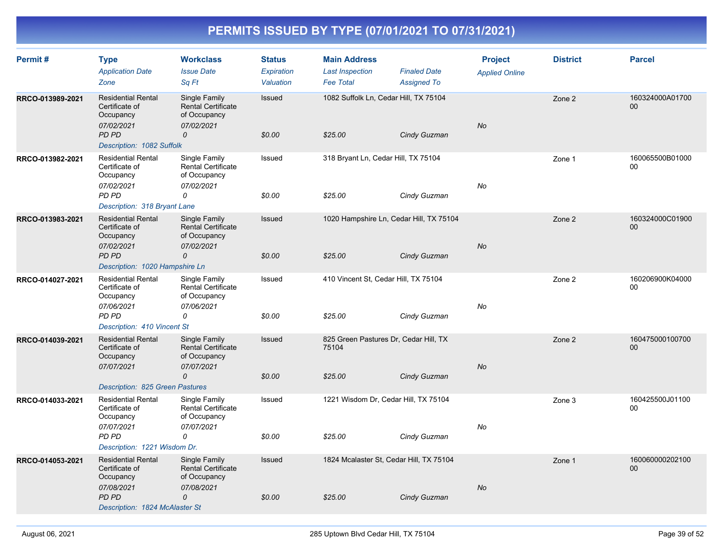| Permit#          | <b>Type</b><br><b>Application Date</b><br>Zone                                                                           | <b>Workclass</b><br><b>Issue Date</b><br>Sq Ft                                             | <b>Status</b><br>Expiration<br>Valuation | <b>Main Address</b><br><b>Last Inspection</b><br><b>Fee Total</b> | <b>Finaled Date</b><br><b>Assigned To</b> | <b>Project</b><br><b>Applied Online</b> | <b>District</b> | <b>Parcel</b>             |
|------------------|--------------------------------------------------------------------------------------------------------------------------|--------------------------------------------------------------------------------------------|------------------------------------------|-------------------------------------------------------------------|-------------------------------------------|-----------------------------------------|-----------------|---------------------------|
| RRCO-013989-2021 | <b>Residential Rental</b><br>Certificate of<br>Occupancy<br>07/02/2021<br>PD PD<br>Description: 1082 Suffolk             | Single Family<br><b>Rental Certificate</b><br>of Occupancy<br>07/02/2021<br>$\mathcal{O}$  | Issued<br>\$0.00                         | 1082 Suffolk Ln, Cedar Hill, TX 75104<br>\$25.00                  | Cindy Guzman                              | <b>No</b>                               | Zone 2          | 160324000A01700<br>$00\,$ |
| RRCO-013982-2021 | <b>Residential Rental</b><br>Certificate of<br>Occupancy<br>07/02/2021<br>PD PD<br>Description: 318 Bryant Lane          | Single Family<br>Rental Certificate<br>of Occupancy<br>07/02/2021<br>0                     | Issued<br>\$0.00                         | 318 Bryant Ln, Cedar Hill, TX 75104<br>\$25.00                    | Cindy Guzman                              | No                                      | Zone 1          | 160065500B01000<br>00     |
| RRCO-013983-2021 | <b>Residential Rental</b><br>Certificate of<br>Occupancy<br>07/02/2021<br>PD PD<br>Description: 1020 Hampshire Ln        | Single Family<br><b>Rental Certificate</b><br>of Occupancy<br>07/02/2021<br>0              | Issued<br>\$0.00                         | 1020 Hampshire Ln, Cedar Hill, TX 75104<br>\$25.00                | Cindy Guzman                              | No                                      | Zone 2          | 160324000C01900<br>$00\,$ |
| RRCO-014027-2021 | <b>Residential Rental</b><br>Certificate of<br>Occupancy<br>07/06/2021<br>PD PD<br>Description: 410 Vincent St           | Single Family<br><b>Rental Certificate</b><br>of Occupancy<br>07/06/2021<br>0              | Issued<br>\$0.00                         | 410 Vincent St, Cedar Hill, TX 75104<br>\$25.00                   | Cindy Guzman                              | No                                      | Zone 2          | 160206900K04000<br>$00\,$ |
| RRCO-014039-2021 | <b>Residential Rental</b><br>Certificate of<br>Occupancy<br>07/07/2021<br>Description: 825 Green Pastures                | Single Family<br><b>Rental Certificate</b><br>of Occupancy<br>07/07/2021<br>0              | Issued<br>\$0.00                         | 825 Green Pastures Dr, Cedar Hill, TX<br>75104<br>\$25.00         | Cindy Guzman                              | <b>No</b>                               | Zone 2          | 160475000100700<br>00     |
| RRCO-014033-2021 | <b>Residential Rental</b><br>Certificate of<br>Occupancy<br>07/07/2021<br>PD PD<br>Description: 1221 Wisdom Dr.          | Single Family<br>Rental Certificate<br>of Occupancy<br>07/07/2021<br>0                     | Issued<br>\$0.00                         | 1221 Wisdom Dr, Cedar Hill, TX 75104<br>\$25.00                   | Cindy Guzman                              | No                                      | Zone 3          | 160425500J01100<br>$00\,$ |
| RRCO-014053-2021 | <b>Residential Rental</b><br>Certificate of<br>Occupancy<br>07/08/2021<br><b>PD PD</b><br>Description: 1824 McAlaster St | Single Family<br><b>Rental Certificate</b><br>of Occupancy<br>07/08/2021<br>$\overline{O}$ | Issued<br>\$0.00                         | 1824 Mcalaster St, Cedar Hill, TX 75104<br>\$25.00                | Cindy Guzman                              | No                                      | Zone 1          | 160060000202100<br>$00\,$ |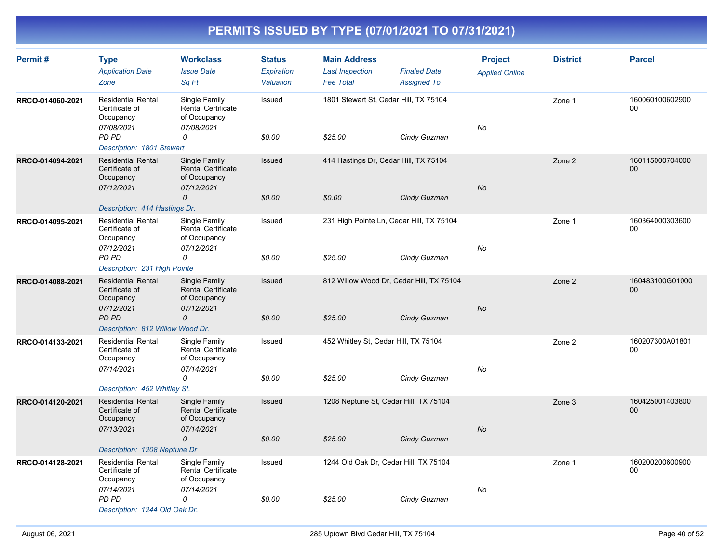| Permit#          | <b>Type</b><br><b>Application Date</b><br>Zone                                                                             | <b>Workclass</b><br><b>Issue Date</b><br>Sq Ft                                            | <b>Status</b><br><b>Expiration</b><br>Valuation | <b>Main Address</b><br><b>Last Inspection</b><br><b>Fee Total</b> | <b>Finaled Date</b><br><b>Assigned To</b> | <b>Project</b><br><b>Applied Online</b> | <b>District</b> | <b>Parcel</b>             |
|------------------|----------------------------------------------------------------------------------------------------------------------------|-------------------------------------------------------------------------------------------|-------------------------------------------------|-------------------------------------------------------------------|-------------------------------------------|-----------------------------------------|-----------------|---------------------------|
| RRCO-014060-2021 | <b>Residential Rental</b><br>Certificate of<br>Occupancy<br>07/08/2021<br>PD PD<br>Description: 1801 Stewart               | Single Family<br>Rental Certificate<br>of Occupancy<br>07/08/2021<br>0                    | Issued<br>\$0.00                                | 1801 Stewart St, Cedar Hill, TX 75104<br>\$25.00                  | Cindy Guzman                              | No                                      | Zone 1          | 160060100602900<br>$00\,$ |
| RRCO-014094-2021 | <b>Residential Rental</b><br>Certificate of<br>Occupancy<br>07/12/2021<br>Description: 414 Hastings Dr.                    | Single Family<br><b>Rental Certificate</b><br>of Occupancy<br>07/12/2021<br>$\mathcal{O}$ | Issued<br>\$0.00                                | 414 Hastings Dr, Cedar Hill, TX 75104<br>\$0.00                   | Cindy Guzman                              | No                                      | Zone 2          | 160115000704000<br>$00\,$ |
| RRCO-014095-2021 | <b>Residential Rental</b><br>Certificate of<br>Occupancy<br>07/12/2021<br>PD PD<br>Description: 231 High Pointe            | Single Family<br>Rental Certificate<br>of Occupancy<br>07/12/2021<br>0                    | Issued<br>\$0.00                                | 231 High Pointe Ln, Cedar Hill, TX 75104<br>\$25.00               | Cindy Guzman                              | No                                      | Zone 1          | 160364000303600<br>00     |
| RRCO-014088-2021 | <b>Residential Rental</b><br>Certificate of<br>Occupancy<br>07/12/2021<br><b>PD PD</b><br>Description: 812 Willow Wood Dr. | Single Family<br><b>Rental Certificate</b><br>of Occupancy<br>07/12/2021<br>0             | Issued<br>\$0.00                                | 812 Willow Wood Dr, Cedar Hill, TX 75104<br>\$25.00               | Cindy Guzman                              | No                                      | Zone 2          | 160483100G01000<br>00     |
| RRCO-014133-2021 | <b>Residential Rental</b><br>Certificate of<br>Occupancy<br>07/14/2021<br>Description: 452 Whitley St.                     | Single Family<br>Rental Certificate<br>of Occupancy<br>07/14/2021<br>0                    | Issued<br>\$0.00                                | 452 Whitley St, Cedar Hill, TX 75104<br>\$25.00                   | Cindy Guzman                              | No                                      | Zone 2          | 160207300A01801<br>00     |
| RRCO-014120-2021 | <b>Residential Rental</b><br>Certificate of<br>Occupancy<br>07/13/2021<br>Description: 1208 Neptune Dr                     | Single Family<br><b>Rental Certificate</b><br>of Occupancy<br>07/14/2021<br>$\Omega$      | Issued<br>\$0.00                                | 1208 Neptune St, Cedar Hill, TX 75104<br>\$25.00                  | Cindy Guzman                              | <b>No</b>                               | Zone 3          | 160425001403800<br>00     |
| RRCO-014128-2021 | <b>Residential Rental</b><br>Certificate of<br>Occupancy<br>07/14/2021<br>PD PD<br>Description: 1244 Old Oak Dr.           | Single Family<br><b>Rental Certificate</b><br>of Occupancy<br>07/14/2021<br>0             | Issued<br>\$0.00                                | 1244 Old Oak Dr, Cedar Hill, TX 75104<br>\$25.00                  | Cindy Guzman                              | No                                      | Zone 1          | 160200200600900<br>00     |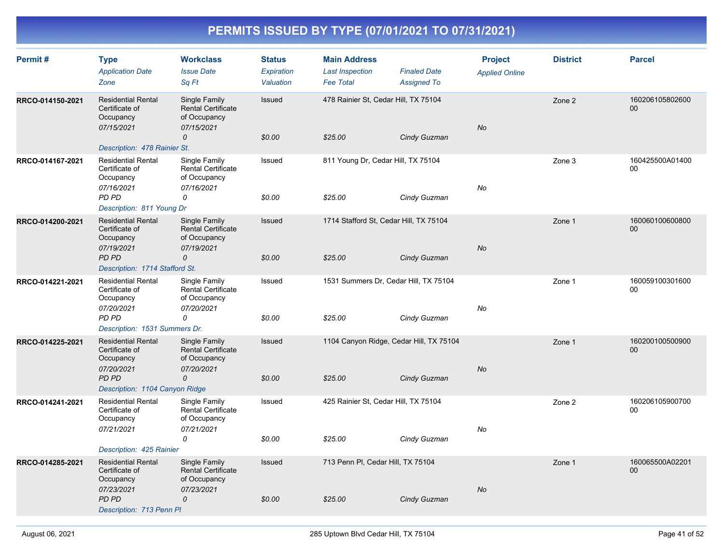| Permit#          | <b>Type</b><br><b>Application Date</b><br>Zone                                                                           | <b>Workclass</b><br><b>Issue Date</b><br>Sq Ft                                            | <b>Status</b><br>Expiration<br>Valuation | <b>Main Address</b><br><b>Last Inspection</b><br><b>Fee Total</b> | <b>Finaled Date</b><br><b>Assigned To</b> | <b>Project</b><br><b>Applied Online</b> | <b>District</b> | <b>Parcel</b>             |
|------------------|--------------------------------------------------------------------------------------------------------------------------|-------------------------------------------------------------------------------------------|------------------------------------------|-------------------------------------------------------------------|-------------------------------------------|-----------------------------------------|-----------------|---------------------------|
| RRCO-014150-2021 | <b>Residential Rental</b><br>Certificate of<br>Occupancy<br>07/15/2021<br>Description: 478 Rainier St.                   | Single Family<br><b>Rental Certificate</b><br>of Occupancy<br>07/15/2021<br>0             | Issued<br>\$0.00                         | 478 Rainier St. Cedar Hill, TX 75104<br>\$25.00                   | Cindy Guzman                              | No                                      | Zone 2          | 160206105802600<br>$00\,$ |
| RRCO-014167-2021 | <b>Residential Rental</b><br>Certificate of<br>Occupancy<br>07/16/2021<br>PD PD<br>Description: 811 Young Dr             | Single Family<br><b>Rental Certificate</b><br>of Occupancy<br>07/16/2021<br>0             | Issued<br>\$0.00                         | 811 Young Dr, Cedar Hill, TX 75104<br>\$25.00                     | Cindy Guzman                              | No                                      | Zone 3          | 160425500A01400<br>00     |
| RRCO-014200-2021 | <b>Residential Rental</b><br>Certificate of<br>Occupancy<br>07/19/2021<br><b>PD PD</b><br>Description: 1714 Stafford St. | Single Family<br>Rental Certificate<br>of Occupancy<br>07/19/2021<br>$\mathcal{O}$        | Issued<br>\$0.00                         | 1714 Stafford St, Cedar Hill, TX 75104<br>\$25.00                 | Cindy Guzman                              | No                                      | Zone 1          | 160060100600800<br>$00\,$ |
| RRCO-014221-2021 | <b>Residential Rental</b><br>Certificate of<br>Occupancy<br>07/20/2021<br>PD PD<br>Description: 1531 Summers Dr.         | Single Family<br><b>Rental Certificate</b><br>of Occupancy<br>07/20/2021<br>0             | Issued<br>\$0.00                         | 1531 Summers Dr, Cedar Hill, TX 75104<br>\$25.00                  | Cindy Guzman                              | No                                      | Zone 1          | 160059100301600<br>00     |
| RRCO-014225-2021 | <b>Residential Rental</b><br>Certificate of<br>Occupancy<br>07/20/2021<br>PD PD<br>Description: 1104 Canyon Ridge        | Single Family<br><b>Rental Certificate</b><br>of Occupancy<br>07/20/2021<br>$\Omega$      | Issued<br>\$0.00                         | 1104 Canyon Ridge, Cedar Hill, TX 75104<br>\$25.00                | Cindy Guzman                              | No                                      | Zone 1          | 160200100500900<br>$00\,$ |
| RRCO-014241-2021 | <b>Residential Rental</b><br>Certificate of<br>Occupancy<br>07/21/2021<br>Description: 425 Rainier                       | Single Family<br><b>Rental Certificate</b><br>of Occupancy<br>07/21/2021<br>0             | Issued<br>\$0.00                         | 425 Rainier St, Cedar Hill, TX 75104<br>\$25.00                   | Cindy Guzman                              | No                                      | Zone 2          | 160206105900700<br>00     |
| RRCO-014285-2021 | <b>Residential Rental</b><br>Certificate of<br>Occupancy<br>07/23/2021<br><b>PD PD</b><br>Description: 713 Penn PI       | Single Family<br><b>Rental Certificate</b><br>of Occupancy<br>07/23/2021<br>$\mathcal{O}$ | <b>Issued</b><br>\$0.00                  | 713 Penn PI, Cedar Hill, TX 75104<br>\$25.00                      | Cindy Guzman                              | No                                      | Zone 1          | 160065500A02201<br>00     |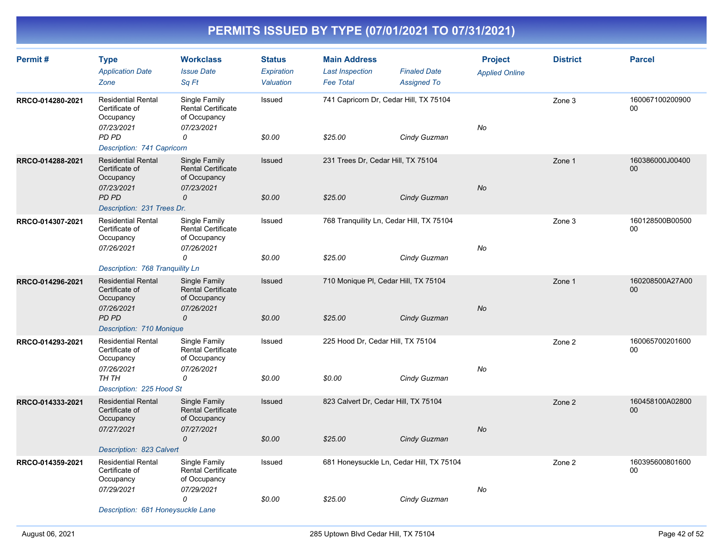| Permit#          | <b>Type</b><br><b>Application Date</b><br>Zone                         | <b>Workclass</b><br><b>Issue Date</b><br>Sq Ft                           | <b>Status</b><br><b>Expiration</b><br>Valuation | <b>Main Address</b><br><b>Last Inspection</b><br><b>Fee Total</b> | <b>Finaled Date</b><br><b>Assigned To</b> | <b>Project</b><br><b>Applied Online</b> | <b>District</b> | <b>Parcel</b>         |
|------------------|------------------------------------------------------------------------|--------------------------------------------------------------------------|-------------------------------------------------|-------------------------------------------------------------------|-------------------------------------------|-----------------------------------------|-----------------|-----------------------|
| RRCO-014280-2021 | <b>Residential Rental</b><br>Certificate of<br>Occupancy<br>07/23/2021 | Single Family<br><b>Rental Certificate</b><br>of Occupancy<br>07/23/2021 | Issued                                          | 741 Capricorn Dr, Cedar Hill, TX 75104                            |                                           | No                                      | Zone 3          | 160067100200900<br>00 |
|                  | PD PD<br>Description: 741 Capricorn                                    | 0                                                                        | \$0.00                                          | \$25.00                                                           | Cindy Guzman                              |                                         |                 |                       |
| RRCO-014288-2021 | <b>Residential Rental</b><br>Certificate of<br>Occupancy<br>07/23/2021 | Single Family<br><b>Rental Certificate</b><br>of Occupancy<br>07/23/2021 | Issued                                          | 231 Trees Dr, Cedar Hill, TX 75104                                |                                           | <b>No</b>                               | Zone 1          | 160386000J00400<br>00 |
|                  | PD PD<br>Description: 231 Trees Dr.                                    | 0                                                                        | \$0.00                                          | \$25.00                                                           | Cindy Guzman                              |                                         |                 |                       |
| RRCO-014307-2021 | <b>Residential Rental</b><br>Certificate of<br>Occupancy<br>07/26/2021 | Single Family<br><b>Rental Certificate</b><br>of Occupancy<br>07/26/2021 | Issued                                          | 768 Tranquility Ln, Cedar Hill, TX 75104                          |                                           | No                                      | Zone 3          | 160128500B00500<br>00 |
|                  |                                                                        | 0                                                                        | \$0.00                                          | \$25.00                                                           | Cindy Guzman                              |                                         |                 |                       |
|                  | Description: 768 Tranquility Ln                                        |                                                                          |                                                 |                                                                   |                                           |                                         |                 |                       |
| RRCO-014296-2021 | <b>Residential Rental</b><br>Certificate of<br>Occupancy<br>07/26/2021 | Single Family<br><b>Rental Certificate</b><br>of Occupancy<br>07/26/2021 | Issued                                          | 710 Monique PI, Cedar Hill, TX 75104                              |                                           | <b>No</b>                               | Zone 1          | 160208500A27A00<br>00 |
|                  | PD PD<br>Description: 710 Monique                                      | $\mathcal{O}$                                                            | \$0.00                                          | \$25.00                                                           | Cindy Guzman                              |                                         |                 |                       |
| RRCO-014293-2021 | <b>Residential Rental</b><br>Certificate of<br>Occupancy               | Single Family<br>Rental Certificate<br>of Occupancy                      | Issued                                          | 225 Hood Dr, Cedar Hill, TX 75104                                 |                                           |                                         | Zone 2          | 160065700201600<br>00 |
|                  | 07/26/2021<br>TH TH<br>Description: 225 Hood St                        | 07/26/2021<br>0                                                          | \$0.00                                          | \$0.00                                                            | Cindy Guzman                              | No                                      |                 |                       |
| RRCO-014333-2021 | <b>Residential Rental</b><br>Certificate of<br>Occupancy               | Single Family<br><b>Rental Certificate</b><br>of Occupancy               | Issued                                          | 823 Calvert Dr, Cedar Hill, TX 75104                              |                                           |                                         | Zone 2          | 160458100A02800<br>00 |
|                  | 07/27/2021<br>Description: 823 Calvert                                 | 07/27/2021<br>$\mathcal{O}$                                              | \$0.00                                          | \$25.00                                                           | Cindy Guzman                              | <b>No</b>                               |                 |                       |
| RRCO-014359-2021 | <b>Residential Rental</b><br>Certificate of<br>Occupancy               | Single Family<br><b>Rental Certificate</b><br>of Occupancy               | Issued                                          | 681 Honeysuckle Ln, Cedar Hill, TX 75104                          |                                           |                                         | Zone 2          | 160395600801600<br>00 |
|                  | 07/29/2021<br>Description: 681 Honeysuckle Lane                        | 07/29/2021<br>$\Omega$                                                   | \$0.00                                          | \$25.00                                                           | Cindy Guzman                              | No                                      |                 |                       |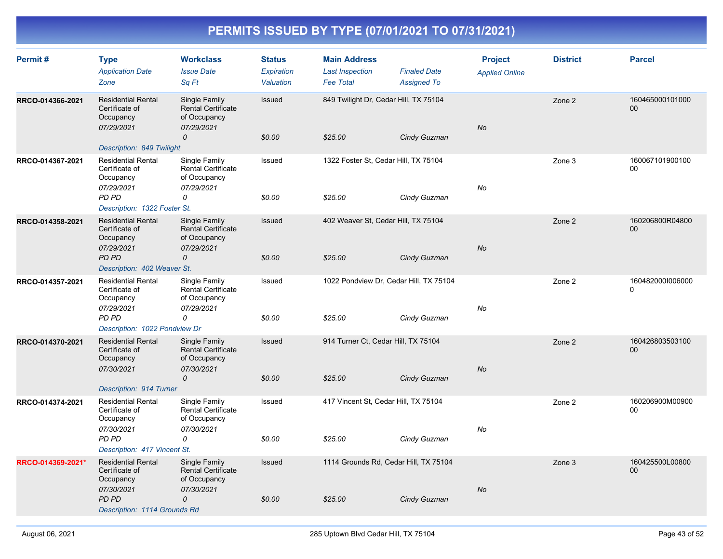| Permit#           | <b>Type</b><br><b>Application Date</b><br>Zone                                                                         | <b>Workclass</b><br><b>Issue Date</b><br>Sq Ft                                             | <b>Status</b><br>Expiration<br>Valuation | <b>Main Address</b><br><b>Last Inspection</b><br><b>Fee Total</b> | <b>Finaled Date</b><br><b>Assigned To</b> | <b>Project</b><br><b>Applied Online</b> | <b>District</b> | <b>Parcel</b>                |
|-------------------|------------------------------------------------------------------------------------------------------------------------|--------------------------------------------------------------------------------------------|------------------------------------------|-------------------------------------------------------------------|-------------------------------------------|-----------------------------------------|-----------------|------------------------------|
| RRCO-014366-2021  | <b>Residential Rental</b><br>Certificate of<br>Occupancy<br>07/29/2021<br>Description: 849 Twilight                    | Single Family<br><b>Rental Certificate</b><br>of Occupancy<br>07/29/2021<br>0              | <b>Issued</b><br>\$0.00                  | 849 Twilight Dr, Cedar Hill, TX 75104<br>\$25.00                  | Cindy Guzman                              | No                                      | Zone 2          | 160465000101000<br>00        |
| RRCO-014367-2021  | <b>Residential Rental</b><br>Certificate of<br>Occupancy<br>07/29/2021<br>PD PD<br>Description: 1322 Foster St.        | Single Family<br>Rental Certificate<br>of Occupancy<br>07/29/2021<br>0                     | Issued<br>\$0.00                         | 1322 Foster St, Cedar Hill, TX 75104<br>\$25.00                   | Cindy Guzman                              | No                                      | Zone 3          | 160067101900100<br>00        |
| RRCO-014358-2021  | <b>Residential Rental</b><br>Certificate of<br>Occupancy<br>07/29/2021<br>PD PD<br>Description: 402 Weaver St.         | Single Family<br><b>Rental Certificate</b><br>of Occupancy<br>07/29/2021<br>0              | Issued<br>\$0.00                         | 402 Weaver St, Cedar Hill, TX 75104<br>\$25.00                    | Cindy Guzman                              | <b>No</b>                               | Zone 2          | 160206800R04800<br>00        |
| RRCO-014357-2021  | <b>Residential Rental</b><br>Certificate of<br>Occupancy<br>07/29/2021<br>PD PD<br>Description: 1022 Pondview Dr       | Single Family<br>Rental Certificate<br>of Occupancy<br>07/29/2021<br>0                     | Issued<br>\$0.00                         | 1022 Pondview Dr, Cedar Hill, TX 75104<br>\$25.00                 | Cindy Guzman                              | No                                      | Zone 2          | 1604820001006000<br>$\Omega$ |
| RRCO-014370-2021  | <b>Residential Rental</b><br>Certificate of<br>Occupancy<br>07/30/2021<br>Description: 914 Turner                      | Single Family<br><b>Rental Certificate</b><br>of Occupancy<br>07/30/2021<br>$\mathcal{O}$  | Issued<br>\$0.00                         | 914 Turner Ct, Cedar Hill, TX 75104<br>\$25.00                    | Cindy Guzman                              | <b>No</b>                               | Zone 2          | 160426803503100<br>00        |
| RRCO-014374-2021  | <b>Residential Rental</b><br>Certificate of<br>Occupancy<br>07/30/2021<br>PD PD<br>Description: 417 Vincent St.        | Single Family<br><b>Rental Certificate</b><br>of Occupancy<br>07/30/2021<br>0              | Issued<br>\$0.00                         | 417 Vincent St, Cedar Hill, TX 75104<br>\$25.00                   | Cindy Guzman                              | No                                      | Zone 2          | 160206900M00900<br>00        |
| RRCO-014369-2021* | <b>Residential Rental</b><br>Certificate of<br>Occupancy<br>07/30/2021<br><b>PD PD</b><br>Description: 1114 Grounds Rd | Single Family<br><b>Rental Certificate</b><br>of Occupancy<br>07/30/2021<br>$\overline{O}$ | Issued<br>\$0.00                         | 1114 Grounds Rd, Cedar Hill, TX 75104<br>\$25.00                  | Cindy Guzman                              | No                                      | Zone 3          | 160425500L00800<br>00        |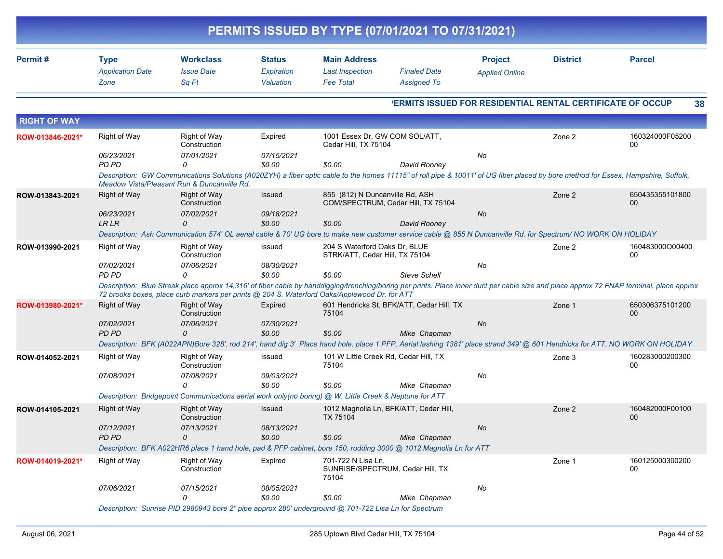|                     |                                                |                                                                                                                  |                                          |                                                                   | PERMITS ISSUED BY TYPE (07/01/2021 TO 07/31/2021) |                                                                                                                                                               |                 |                                                                                                                                                                                          |
|---------------------|------------------------------------------------|------------------------------------------------------------------------------------------------------------------|------------------------------------------|-------------------------------------------------------------------|---------------------------------------------------|---------------------------------------------------------------------------------------------------------------------------------------------------------------|-----------------|------------------------------------------------------------------------------------------------------------------------------------------------------------------------------------------|
| Permit#             | <b>Type</b><br><b>Application Date</b><br>Zone | <b>Workclass</b><br><b>Issue Date</b><br>Sq Ft                                                                   | <b>Status</b><br>Expiration<br>Valuation | <b>Main Address</b><br><b>Last Inspection</b><br><b>Fee Total</b> | <b>Finaled Date</b><br><b>Assigned To</b>         | <b>Project</b><br><b>Applied Online</b>                                                                                                                       | <b>District</b> | <b>Parcel</b>                                                                                                                                                                            |
|                     |                                                |                                                                                                                  |                                          |                                                                   |                                                   | <b>'ERMITS ISSUED FOR RESIDENTIAL RENTAL CERTIFICATE OF OCCUP</b>                                                                                             |                 | 38                                                                                                                                                                                       |
| <b>RIGHT OF WAY</b> |                                                |                                                                                                                  |                                          |                                                                   |                                                   |                                                                                                                                                               |                 |                                                                                                                                                                                          |
| ROW-013846-2021*    | Right of Way                                   | Right of Way<br>Construction                                                                                     | Expired                                  | 1001 Essex Dr, GW COM SOL/ATT,<br>Cedar Hill, TX 75104            |                                                   |                                                                                                                                                               | Zone 2          | 160324000F05200<br>00                                                                                                                                                                    |
|                     | 06/23/2021<br>PD PD                            | 07/01/2021<br>0                                                                                                  | 07/15/2021<br>\$0.00                     | \$0.00                                                            | David Rooney                                      | No                                                                                                                                                            |                 |                                                                                                                                                                                          |
|                     |                                                | Meadow Vista/Pleasant Run & Duncanville Rd.                                                                      |                                          |                                                                   |                                                   |                                                                                                                                                               |                 | Description: GW Communications Solutions (A020ZYH) a fiber optic cable to the homes 11115" of roll pipe & 10011' of UG fiber placed by bore method for Essex, Hampshire, Suffolk,        |
| ROW-013843-2021     | <b>Right of Way</b>                            | Right of Way<br>Construction                                                                                     | Issued                                   | 855 (812) N Duncanville Rd, ASH                                   | COM/SPECTRUM, Cedar Hill, TX 75104                |                                                                                                                                                               | Zone 2          | 650435355101800<br>00                                                                                                                                                                    |
|                     | 06/23/2021<br><b>LRLR</b>                      | 07/02/2021<br>$\Omega$                                                                                           | 09/18/2021<br>\$0.00                     | \$0.00                                                            | David Rooney                                      | No                                                                                                                                                            |                 |                                                                                                                                                                                          |
|                     |                                                |                                                                                                                  |                                          |                                                                   |                                                   | Description: Ash Communication 574' OL aerial cable & 70' UG bore to make new customer service cable @ 855 N Duncanville Rd. for Spectrum/ NO WORK ON HOLIDAY |                 |                                                                                                                                                                                          |
| ROW-013990-2021     | Right of Way                                   | Right of Way<br>Construction                                                                                     | Issued                                   | 204 S Waterford Oaks Dr. BLUE<br>STRK/ATT, Cedar Hill, TX 75104   |                                                   |                                                                                                                                                               | Zone 2          | 160483000O00400<br>00                                                                                                                                                                    |
|                     | 07/02/2021<br>PD PD                            | 07/06/2021<br>$\Omega$                                                                                           | 08/30/2021<br>\$0.00                     | \$0.00                                                            | <b>Steve Schell</b>                               | No                                                                                                                                                            |                 |                                                                                                                                                                                          |
|                     |                                                | 72 brooks boxes, place curb markers per prints @ 204 S. Waterford Oaks/Applewood Dr. for ATT                     |                                          |                                                                   |                                                   |                                                                                                                                                               |                 | Description: Blue Streak place approx 14,316' of fiber cable by handdigging/trenching/boring per prints. Place inner duct per cable size and place approx 72 FNAP terminal, place approx |
| ROW-013980-2021*    | <b>Right of Way</b>                            | Right of Way<br>Construction                                                                                     | Expired                                  | 75104                                                             | 601 Hendricks St, BFK/ATT, Cedar Hill, TX         |                                                                                                                                                               | Zone 1          | 650306375101200<br>00                                                                                                                                                                    |
|                     | 07/02/2021<br><b>PD PD</b>                     | 07/06/2021<br>$\Omega$                                                                                           | 07/30/2021<br>\$0.00                     | \$0.00                                                            | Mike Chapman                                      | No                                                                                                                                                            |                 |                                                                                                                                                                                          |
|                     |                                                |                                                                                                                  |                                          |                                                                   |                                                   |                                                                                                                                                               |                 | Description: BFK (A022APN)Bore 328', rod 214', hand dig 3' Place hand hole, place 1 PFP, Aerial lashing 1381' place strand 349' @ 601 Hendricks for ATT. NO WORK ON HOLIDAY              |
| ROW-014052-2021     | <b>Right of Way</b>                            | Right of Way<br>Construction                                                                                     | Issued                                   | 101 W Little Creek Rd, Cedar Hill, TX<br>75104                    |                                                   |                                                                                                                                                               | Zone 3          | 160283000200300<br>00                                                                                                                                                                    |
|                     | 07/08/2021                                     | 07/08/2021<br>$\Omega$                                                                                           | 09/03/2021<br>\$0.00                     | \$0.00                                                            | Mike Chapman                                      | No                                                                                                                                                            |                 |                                                                                                                                                                                          |
|                     |                                                | Description: Bridgepoint Communications aerial work only(no boring) @ W. Little Creek & Neptune for ATT          |                                          |                                                                   |                                                   |                                                                                                                                                               |                 |                                                                                                                                                                                          |
| ROW-014105-2021     | <b>Right of Way</b>                            | Right of Way<br>Construction                                                                                     | Issued                                   | <b>TX 75104</b>                                                   | 1012 Magnolia Ln, BFK/ATT, Cedar Hill,            |                                                                                                                                                               | Zone 2          | 160482000F00100<br>00                                                                                                                                                                    |
|                     | 07/12/2021<br>PD PD                            | 07/13/2021<br>0                                                                                                  | 08/13/2021<br>\$0.00                     | \$0.00                                                            | Mike Chapman                                      | No                                                                                                                                                            |                 |                                                                                                                                                                                          |
|                     |                                                | Description: BFK A022HR6 place 1 hand hole, pad & PFP cabinet, bore 150, rodding 3000 @ 1012 Magnolia Ln for ATT |                                          |                                                                   |                                                   |                                                                                                                                                               |                 |                                                                                                                                                                                          |
| ROW-014019-2021*    | Right of Way                                   | Right of Way<br>Construction                                                                                     | Expired                                  | 701-722 N Lisa Ln,<br>75104                                       | SUNRISE/SPECTRUM, Cedar Hill, TX                  |                                                                                                                                                               | Zone 1          | 160125000300200<br>00                                                                                                                                                                    |
|                     | 07/06/2021                                     | 07/15/2021<br>0                                                                                                  | 08/05/2021<br>\$0.00                     | \$0.00                                                            | Mike Chapman                                      | No                                                                                                                                                            |                 |                                                                                                                                                                                          |
|                     |                                                | Description: Sunrise PID 2980943 bore 2" pipe approx 280' underground @ 701-722 Lisa Ln for Spectrum             |                                          |                                                                   |                                                   |                                                                                                                                                               |                 |                                                                                                                                                                                          |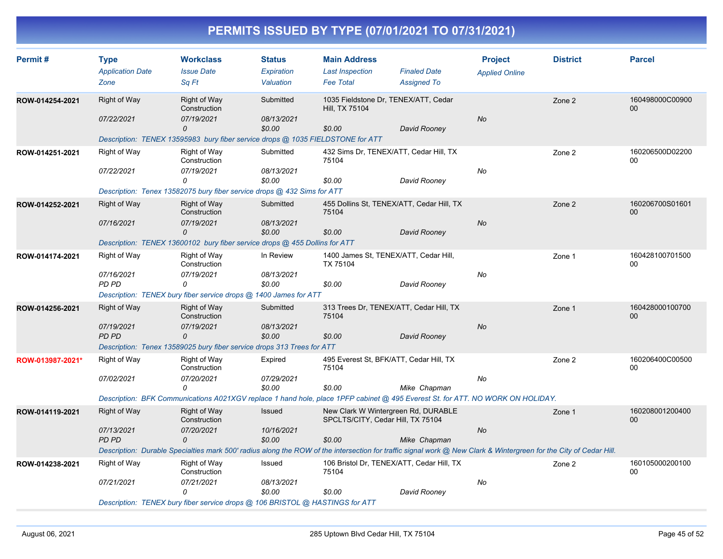| Permit#          | <b>Type</b>                     | <b>Workclass</b>                                                                                                                                                  | <b>Status</b>           | <b>Main Address</b>                                                      |                                           | <b>Project</b>        | <b>District</b> | <b>Parcel</b>             |
|------------------|---------------------------------|-------------------------------------------------------------------------------------------------------------------------------------------------------------------|-------------------------|--------------------------------------------------------------------------|-------------------------------------------|-----------------------|-----------------|---------------------------|
|                  | <b>Application Date</b><br>Zone | <b>Issue Date</b><br>Sa Ft                                                                                                                                        | Expiration<br>Valuation | <b>Last Inspection</b><br><b>Fee Total</b>                               | <b>Finaled Date</b><br><b>Assigned To</b> | <b>Applied Online</b> |                 |                           |
| ROW-014254-2021  | Right of Way                    | Right of Way<br>Construction                                                                                                                                      | Submitted               | 1035 Fieldstone Dr, TENEX/ATT, Cedar<br>Hill, TX 75104                   |                                           |                       | Zone 2          | 160498000C00900<br>$00\,$ |
|                  | 07/22/2021                      | 07/19/2021<br>0                                                                                                                                                   | 08/13/2021<br>\$0.00    | \$0.00                                                                   | David Rooney                              | <b>No</b>             |                 |                           |
|                  |                                 | Description: TENEX 13595983 bury fiber service drops @ 1035 FIELDSTONE for ATT                                                                                    |                         |                                                                          |                                           |                       |                 |                           |
| ROW-014251-2021  | Right of Way                    | Right of Way<br>Construction                                                                                                                                      | Submitted               | 432 Sims Dr, TENEX/ATT, Cedar Hill, TX<br>75104                          |                                           |                       | Zone 2          | 160206500D02200<br>00     |
|                  | 07/22/2021                      | 07/19/2021<br>0                                                                                                                                                   | 08/13/2021<br>\$0.00    | \$0.00                                                                   | David Rooney                              | No                    |                 |                           |
|                  |                                 | Description: Tenex 13582075 bury fiber service drops @ 432 Sims for ATT                                                                                           |                         |                                                                          |                                           |                       |                 |                           |
| ROW-014252-2021  | <b>Right of Way</b>             | Right of Way<br>Construction                                                                                                                                      | Submitted               | 455 Dollins St, TENEX/ATT, Cedar Hill, TX<br>75104                       |                                           |                       | Zone 2          | 160206700S01601<br>00     |
|                  | 07/16/2021                      | 07/19/2021<br>$\Omega$                                                                                                                                            | 08/13/2021<br>\$0.00    | \$0.00                                                                   | David Rooney                              | <b>No</b>             |                 |                           |
|                  |                                 | Description: TENEX 13600102 bury fiber service drops @ 455 Dollins for ATT                                                                                        |                         |                                                                          |                                           |                       |                 |                           |
| ROW-014174-2021  | Right of Way                    | Right of Way<br>Construction                                                                                                                                      | In Review               | 1400 James St, TENEX/ATT, Cedar Hill,<br>TX 75104                        |                                           |                       | Zone 1          | 160428100701500<br>00     |
|                  | 07/16/2021<br>PD PD             | 07/19/2021<br>0                                                                                                                                                   | 08/13/2021<br>\$0.00    | \$0.00                                                                   | David Rooney                              | No                    |                 |                           |
|                  |                                 | Description: TENEX bury fiber service drops @ 1400 James for ATT                                                                                                  |                         |                                                                          |                                           |                       |                 |                           |
| ROW-014256-2021  | Right of Way                    | Right of Way<br>Construction                                                                                                                                      | Submitted               | 313 Trees Dr, TENEX/ATT, Cedar Hill, TX<br>75104                         |                                           |                       | Zone 1          | 160428000100700<br>$00\,$ |
|                  | 07/19/2021<br><b>PD PD</b>      | 07/19/2021<br>0                                                                                                                                                   | 08/13/2021<br>\$0.00    | \$0.00                                                                   | David Rooney                              | <b>No</b>             |                 |                           |
|                  |                                 | Description: Tenex 13589025 bury fiber service drops 313 Trees for ATT                                                                                            |                         |                                                                          |                                           |                       |                 |                           |
| ROW-013987-2021* | <b>Right of Way</b>             | Right of Way<br>Construction                                                                                                                                      | Expired                 | 495 Everest St, BFK/ATT, Cedar Hill, TX<br>75104                         |                                           |                       | Zone 2          | 160206400C00500<br>00     |
|                  | 07/02/2021                      | 07/20/2021<br>0                                                                                                                                                   | 07/29/2021<br>\$0.00    | \$0.00                                                                   | Mike Chapman                              | No                    |                 |                           |
|                  |                                 | Description: BFK Communications A021XGV replace 1 hand hole, place 1PFP cabinet @ 495 Everest St. for ATT. NO WORK ON HOLIDAY.                                    |                         |                                                                          |                                           |                       |                 |                           |
| ROW-014119-2021  | Right of Way                    | Right of Way<br>Construction                                                                                                                                      | Issued                  | New Clark W Wintergreen Rd, DURABLE<br>SPCLTS/CITY, Cedar Hill, TX 75104 |                                           |                       | Zone 1          | 160208001200400<br>00     |
|                  | 07/13/2021<br><b>PD PD</b>      | 07/20/2021<br>0                                                                                                                                                   | 10/16/2021<br>\$0.00    | \$0.00                                                                   | Mike Chapman                              | No                    |                 |                           |
|                  |                                 | Description: Durable Specialties mark 500' radius along the ROW of the intersection for traffic signal work @ New Clark & Wintergreen for the City of Cedar Hill. |                         |                                                                          |                                           |                       |                 |                           |
| ROW-014238-2021  | Right of Way                    | Right of Way<br>Construction                                                                                                                                      | Issued                  | 106 Bristol Dr, TENEX/ATT, Cedar Hill, TX<br>75104                       |                                           |                       | Zone 2          | 160105000200100<br>00     |
|                  | 07/21/2021                      | 07/21/2021<br>$\Omega$                                                                                                                                            | 08/13/2021<br>\$0.00    | \$0.00                                                                   | David Rooney                              | No                    |                 |                           |
|                  |                                 | Description: TENEX bury fiber service drops @ 106 BRISTOL @ HASTINGS for ATT                                                                                      |                         |                                                                          |                                           |                       |                 |                           |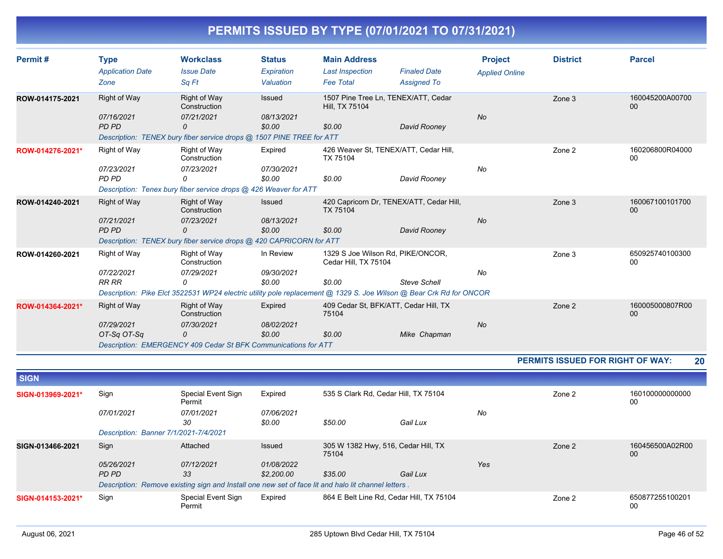| Permit#          | Type                       | <b>Workclass</b>                                                                                                   | <b>Status</b>        | <b>Main Address</b><br><b>Project</b>                       |                     |                       | <b>District</b> | <b>Parcel</b>         |  |  |  |
|------------------|----------------------------|--------------------------------------------------------------------------------------------------------------------|----------------------|-------------------------------------------------------------|---------------------|-----------------------|-----------------|-----------------------|--|--|--|
|                  | <b>Application Date</b>    | <b>Issue Date</b>                                                                                                  | Expiration           | <b>Last Inspection</b>                                      | <b>Finaled Date</b> | <b>Applied Online</b> |                 |                       |  |  |  |
|                  | Zone                       | Sq Ft                                                                                                              | Valuation            | <b>Fee Total</b>                                            | <b>Assigned To</b>  |                       |                 |                       |  |  |  |
| ROW-014175-2021  | Right of Way               | <b>Right of Way</b><br>Construction                                                                                | Issued               | 1507 Pine Tree Ln, TENEX/ATT, Cedar<br>Hill, TX 75104       |                     |                       | Zone 3          | 160045200A00700<br>00 |  |  |  |
|                  | 07/16/2021<br>PD PD        | 07/21/2021<br>0                                                                                                    | 08/13/2021<br>\$0.00 | \$0.00                                                      | David Rooney        | <b>No</b>             |                 |                       |  |  |  |
|                  |                            | Description: TENEX bury fiber service drops @ 1507 PINE TREE for ATT                                               |                      |                                                             |                     |                       |                 |                       |  |  |  |
| ROW-014276-2021* | Right of Way               | Right of Way<br>Construction                                                                                       | Expired              | 426 Weaver St, TENEX/ATT, Cedar Hill,<br>TX 75104           |                     |                       | Zone 2          | 160206800R04000<br>00 |  |  |  |
|                  | 07/23/2021<br><b>PD PD</b> | 07/23/2021<br>0                                                                                                    | 07/30/2021<br>\$0.00 | \$0.00                                                      | David Rooney        | No                    |                 |                       |  |  |  |
|                  |                            | Description: Tenex bury fiber service drops @ 426 Weaver for ATT                                                   |                      |                                                             |                     |                       |                 |                       |  |  |  |
| ROW-014240-2021  | Right of Way               | <b>Right of Way</b><br>Construction                                                                                | Issued               | 420 Capricorn Dr, TENEX/ATT, Cedar Hill,<br><b>TX 75104</b> |                     |                       | Zone 3          | 160067100101700<br>00 |  |  |  |
|                  | 07/21/2021<br>PD PD        | 07/23/2021<br>$\Omega$                                                                                             | 08/13/2021<br>\$0.00 | \$0.00                                                      | David Rooney        | <b>No</b>             |                 |                       |  |  |  |
|                  |                            | Description: TENEX bury fiber service drops @ 420 CAPRICORN for ATT                                                |                      |                                                             |                     |                       |                 |                       |  |  |  |
| ROW-014260-2021  | Right of Way               | Right of Way<br>Construction                                                                                       | In Review            | 1329 S Joe Wilson Rd, PIKE/ONCOR,<br>Cedar Hill, TX 75104   |                     |                       | Zone 3          | 650925740100300<br>00 |  |  |  |
|                  | 07/22/2021<br><b>RR RR</b> | 07/29/2021<br>0                                                                                                    | 09/30/2021<br>\$0.00 | \$0.00                                                      | <b>Steve Schell</b> | No                    |                 |                       |  |  |  |
|                  |                            | Description: Pike Elct 3522531 WP24 electric utility pole replacement @ 1329 S. Joe Wilson @ Bear Crk Rd for ONCOR |                      |                                                             |                     |                       |                 |                       |  |  |  |
| ROW-014364-2021* | Right of Way               | <b>Right of Way</b><br>Construction                                                                                | Expired              | 409 Cedar St, BFK/ATT, Cedar Hill, TX<br>75104              |                     |                       | Zone 2          | 160005000807R00<br>00 |  |  |  |
|                  | 07/29/2021                 | 07/30/2021                                                                                                         | 08/02/2021           |                                                             |                     | <b>No</b>             |                 |                       |  |  |  |
|                  | OT-Sq OT-Sq                | 0                                                                                                                  | \$0.00               | \$0.00                                                      | Mike Chapman        |                       |                 |                       |  |  |  |
|                  |                            | Description: EMERGENCY 409 Cedar St BFK Communications for ATT                                                     |                      |                                                             |                     |                       |                 |                       |  |  |  |

**PERMITS ISSUED FOR RIGHT OF WAY: 20**

| <b>SIGN</b>       |                                       |                                                                                                     |                             |                                              |          |     |        |                       |
|-------------------|---------------------------------------|-----------------------------------------------------------------------------------------------------|-----------------------------|----------------------------------------------|----------|-----|--------|-----------------------|
| SIGN-013969-2021* | Sign                                  | Special Event Sign<br>Permit                                                                        | Expired                     | 535 S Clark Rd, Cedar Hill, TX 75104         |          |     | Zone 2 | 160100000000000<br>00 |
|                   | 07/01/2021                            | 07/01/2021<br>30                                                                                    | <i>07/06/2021</i><br>\$0.00 | \$50.00                                      | Gail Lux | No  |        |                       |
|                   | Description: Banner 7/1/2021-7/4/2021 |                                                                                                     |                             |                                              |          |     |        |                       |
| SIGN-013466-2021  | Sign                                  | Attached                                                                                            | Issued                      | 305 W 1382 Hwy, 516, Cedar Hill, TX<br>75104 |          |     | Zone 2 | 160456500A02R00<br>00 |
|                   | 05/26/2021                            | 07/12/2021                                                                                          | 01/08/2022                  |                                              |          | Yes |        |                       |
|                   | PD PD                                 | 33                                                                                                  | \$2,200.00                  | \$35.00                                      | Gail Lux |     |        |                       |
|                   |                                       | Description: Remove existing sign and Install one new set of face lit and halo lit channel letters. |                             |                                              |          |     |        |                       |
| SIGN-014153-2021* | Sign                                  | Special Event Sign<br>Permit                                                                        | Expired                     | 864 E Belt Line Rd, Cedar Hill, TX 75104     |          |     | Zone 2 | 650877255100201<br>00 |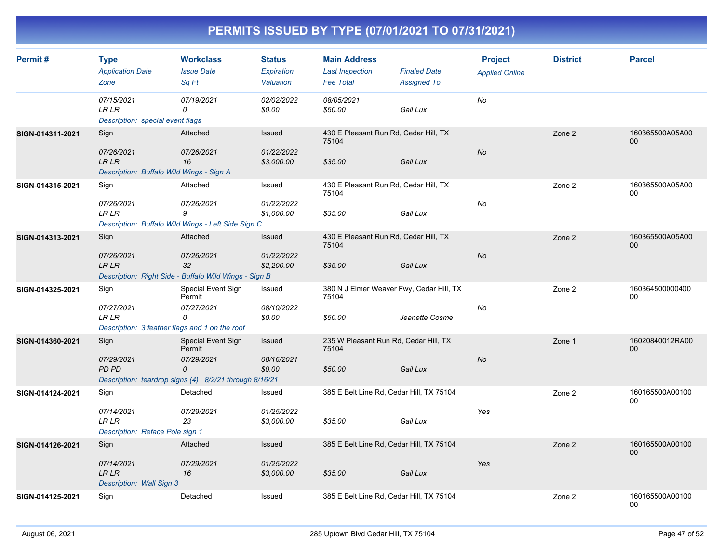| Permit#          | <b>Type</b><br><b>Application Date</b><br>Zone                                       | <b>Workclass</b><br><b>Issue Date</b><br>Sq Ft                                                            | <b>Status</b><br>Expiration<br>Valuation | <b>Main Address</b><br><b>Last Inspection</b><br><b>Fee Total</b> | <b>Finaled Date</b><br><b>Assigned To</b> | <b>Project</b><br><b>Applied Online</b> | <b>District</b> | <b>Parcel</b>             |
|------------------|--------------------------------------------------------------------------------------|-----------------------------------------------------------------------------------------------------------|------------------------------------------|-------------------------------------------------------------------|-------------------------------------------|-----------------------------------------|-----------------|---------------------------|
|                  | 07/15/2021<br><b>LRLR</b><br>Description: special event flags                        | 07/19/2021<br>0                                                                                           | 02/02/2022<br>\$0.00                     | 08/05/2021<br>\$50.00                                             | Gail Lux                                  | No                                      |                 |                           |
| SIGN-014311-2021 | Sign<br>07/26/2021<br><b>LR LR</b><br>Description: Buffalo Wild Wings - Sign A       | Attached<br>07/26/2021<br>16                                                                              | Issued<br>01/22/2022<br>\$3,000.00       | 430 E Pleasant Run Rd, Cedar Hill, TX<br>75104<br>\$35.00         | Gail Lux                                  | No                                      | Zone 2          | 160365500A05A00<br>$00\,$ |
| SIGN-014315-2021 | Sign<br>07/26/2021<br><b>LR LR</b>                                                   | Attached<br>07/26/2021<br>9<br>Description: Buffalo Wild Wings - Left Side Sign C                         | Issued<br>01/22/2022<br>\$1,000.00       | 430 E Pleasant Run Rd, Cedar Hill, TX<br>75104<br>\$35.00         | Gail Lux                                  | No                                      | Zone 2          | 160365500A05A00<br>00     |
| SIGN-014313-2021 | Sign<br>07/26/2021<br><b>LRLR</b>                                                    | Attached<br>07/26/2021<br>32<br>Description: Right Side - Buffalo Wild Wings - Sign B                     | Issued<br>01/22/2022<br>\$2,200.00       | 430 E Pleasant Run Rd, Cedar Hill, TX<br>75104<br>\$35.00         | Gail Lux                                  | No                                      | Zone 2          | 160365500A05A00<br>00     |
| SIGN-014325-2021 | Sign<br>07/27/2021<br><b>LR LR</b><br>Description: 3 feather flags and 1 on the roof | Special Event Sign<br>Permit<br>07/27/2021<br>0                                                           | Issued<br>08/10/2022<br>\$0.00           | 380 N J Elmer Weaver Fwy, Cedar Hill, TX<br>75104<br>\$50.00      | Jeanette Cosme                            | No                                      | Zone 2          | 160364500000400<br>00     |
| SIGN-014360-2021 | Sign<br>07/29/2021<br><b>PD PD</b>                                                   | Special Event Sign<br>Permit<br>07/29/2021<br>0<br>Description: teardrop signs (4) 8/2/21 through 8/16/21 | Issued<br>08/16/2021<br>\$0.00           | 235 W Pleasant Run Rd, Cedar Hill, TX<br>75104<br>\$50.00         | Gail Lux                                  | No                                      | Zone 1          | 16020840012RA00<br>00     |
| SIGN-014124-2021 | Sign<br>07/14/2021<br><b>LR LR</b><br>Description: Reface Pole sign 1                | Detached<br>07/29/2021<br>23                                                                              | Issued<br>01/25/2022<br>\$3,000.00       | 385 E Belt Line Rd, Cedar Hill, TX 75104<br>\$35.00               | Gail Lux                                  | Yes                                     | Zone 2          | 160165500A00100<br>00     |
| SIGN-014126-2021 | Sign<br>07/14/2021<br><b>LR LR</b><br>Description: Wall Sign 3                       | Attached<br>07/29/2021<br>16                                                                              | Issued<br>01/25/2022<br>\$3,000.00       | 385 E Belt Line Rd, Cedar Hill, TX 75104<br>\$35.00               | Gail Lux                                  | Yes                                     | Zone 2          | 160165500A00100<br>00     |
| SIGN-014125-2021 | Sign                                                                                 | Detached                                                                                                  | Issued                                   | 385 E Belt Line Rd, Cedar Hill, TX 75104                          |                                           |                                         | Zone 2          | 160165500A00100<br>00     |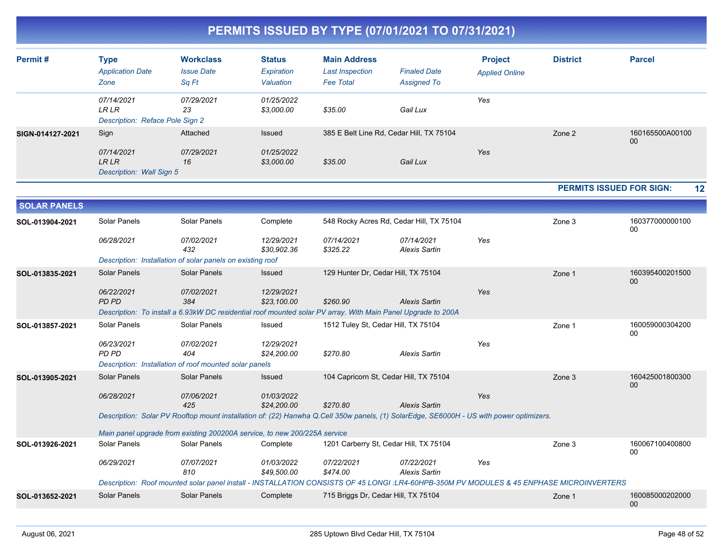| PERMITS ISSUED BY TYPE (07/01/2021 TO 07/31/2021) |
|---------------------------------------------------|
|---------------------------------------------------|

| Permit#             | <b>Type</b><br><b>Application Date</b><br>Zone               | <b>Workclass</b><br><b>Issue Date</b><br>Sq Ft                                                                                          | <b>Status</b><br>Expiration<br>Valuation | <b>Main Address</b><br><b>Last Inspection</b><br><b>Fee Total</b> | <b>Finaled Date</b><br><b>Assigned To</b> | <b>Project</b><br><b>Applied Online</b> | <b>District</b>                                                                                                                          | <b>Parcel</b>         |
|---------------------|--------------------------------------------------------------|-----------------------------------------------------------------------------------------------------------------------------------------|------------------------------------------|-------------------------------------------------------------------|-------------------------------------------|-----------------------------------------|------------------------------------------------------------------------------------------------------------------------------------------|-----------------------|
|                     | 07/14/2021<br><b>LRLR</b><br>Description: Reface Pole Sign 2 | 07/29/2021<br>23                                                                                                                        | 01/25/2022<br>\$3,000.00                 | \$35.00                                                           | Gail Lux                                  | Yes                                     |                                                                                                                                          |                       |
| SIGN-014127-2021    | Sign                                                         | Attached                                                                                                                                | Issued                                   |                                                                   | 385 E Belt Line Rd, Cedar Hill, TX 75104  |                                         | Zone 2                                                                                                                                   | 160165500A00100       |
|                     | 07/14/2021<br><b>LRLR</b><br>Description: Wall Sign 5        | 07/29/2021<br>16                                                                                                                        | 01/25/2022<br>\$3,000.00                 | \$35.00                                                           | Gail Lux                                  | Yes                                     |                                                                                                                                          | 00                    |
|                     |                                                              |                                                                                                                                         |                                          |                                                                   |                                           |                                         | <b>PERMITS ISSUED FOR SIGN:</b>                                                                                                          | 12                    |
| <b>SOLAR PANELS</b> |                                                              |                                                                                                                                         |                                          |                                                                   |                                           |                                         |                                                                                                                                          |                       |
| SOL-013904-2021     | Solar Panels                                                 | Solar Panels                                                                                                                            | Complete                                 |                                                                   | 548 Rocky Acres Rd, Cedar Hill, TX 75104  |                                         | Zone 3                                                                                                                                   | 160377000000100<br>00 |
|                     | 06/28/2021                                                   | 07/02/2021<br>432                                                                                                                       | 12/29/2021<br>\$30,902.36                | 07/14/2021<br>\$325.22                                            | 07/14/2021<br><b>Alexis Sartin</b>        | Yes                                     |                                                                                                                                          |                       |
|                     |                                                              | Description: Installation of solar panels on existing roof                                                                              |                                          |                                                                   |                                           |                                         |                                                                                                                                          |                       |
| SOL-013835-2021     | <b>Solar Panels</b>                                          | <b>Solar Panels</b>                                                                                                                     | Issued                                   | 129 Hunter Dr, Cedar Hill, TX 75104                               |                                           |                                         | Zone 1                                                                                                                                   | 160395400201500<br>00 |
|                     | 06/22/2021<br>PD PD                                          | 07/02/2021<br>384                                                                                                                       | 12/29/2021<br>\$23,100.00                | \$260.90                                                          | <b>Alexis Sartin</b>                      | Yes                                     |                                                                                                                                          |                       |
|                     |                                                              | Description: To install a 6.93kW DC residential roof mounted solar PV array. With Main Panel Upgrade to 200A                            |                                          |                                                                   |                                           |                                         |                                                                                                                                          |                       |
| SOL-013857-2021     | Solar Panels                                                 | Solar Panels                                                                                                                            | Issued                                   | 1512 Tuley St, Cedar Hill, TX 75104                               |                                           |                                         | Zone 1                                                                                                                                   | 160059000304200<br>00 |
|                     | 06/23/2021<br><b>PD PD</b>                                   | 07/02/2021<br>404                                                                                                                       | 12/29/2021<br>\$24,200.00                | \$270.80                                                          | <b>Alexis Sartin</b>                      | Yes                                     |                                                                                                                                          |                       |
|                     |                                                              | Description: Installation of roof mounted solar panels                                                                                  |                                          |                                                                   |                                           |                                         |                                                                                                                                          |                       |
| SOL-013905-2021     | <b>Solar Panels</b>                                          | Solar Panels                                                                                                                            | Issued                                   |                                                                   | 104 Capricorn St, Cedar Hill, TX 75104    |                                         | Zone 3                                                                                                                                   | 160425001800300<br>00 |
|                     | 06/28/2021                                                   | 07/06/2021<br>425                                                                                                                       | 01/03/2022<br>\$24,200.00                | \$270.80                                                          | <b>Alexis Sartin</b>                      | Yes                                     |                                                                                                                                          |                       |
|                     |                                                              | Description: Solar PV Rooftop mount installation of: (22) Hanwha Q.Cell 350w panels, (1) SolarEdge, SE6000H - US with power optimizers. |                                          |                                                                   |                                           |                                         |                                                                                                                                          |                       |
|                     |                                                              | Main panel upgrade from existing 200200A service, to new 200/225A service                                                               |                                          |                                                                   |                                           |                                         |                                                                                                                                          |                       |
| SOL-013926-2021     | Solar Panels                                                 | Solar Panels                                                                                                                            | Complete                                 |                                                                   | 1201 Carberry St, Cedar Hill, TX 75104    |                                         | Zone 3                                                                                                                                   | 160067100400800<br>00 |
|                     | 06/29/2021                                                   | 07/07/2021<br>810                                                                                                                       | 01/03/2022<br>\$49,500.00                | 07/22/2021<br>\$474.00                                            | 07/22/2021<br><b>Alexis Sartin</b>        | Yes                                     |                                                                                                                                          |                       |
|                     |                                                              |                                                                                                                                         |                                          |                                                                   |                                           |                                         | Description: Roof mounted solar panel install - INSTALLATION CONSISTS OF 45 LONGI :LR4-60HPB-350M PV MODULES & 45 ENPHASE MICROINVERTERS |                       |
| SOL-013652-2021     | Solar Panels                                                 | Solar Panels                                                                                                                            | Complete                                 | 715 Briggs Dr, Cedar Hill, TX 75104                               |                                           |                                         | Zone 1                                                                                                                                   | 160085000202000<br>00 |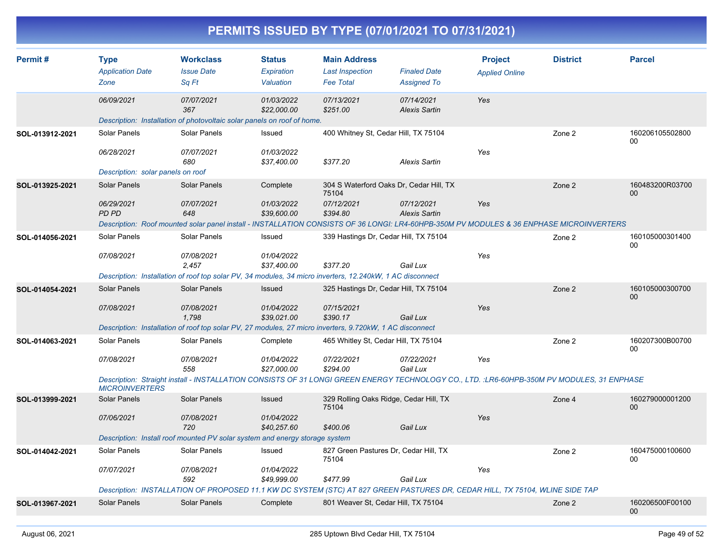|                 |                                                                 |                                                                                                                                                        |                                            |                                                                   | PERMITS ISSUED BY TYPE (07/01/2021 TO 07/31/2021)                                                                                                                                                                         |                                         |                 |                           |
|-----------------|-----------------------------------------------------------------|--------------------------------------------------------------------------------------------------------------------------------------------------------|--------------------------------------------|-------------------------------------------------------------------|---------------------------------------------------------------------------------------------------------------------------------------------------------------------------------------------------------------------------|-----------------------------------------|-----------------|---------------------------|
| Permit#         | <b>Type</b><br><b>Application Date</b><br>Zone                  | <b>Workclass</b><br><b>Issue Date</b><br>Sq Ft                                                                                                         | <b>Status</b><br>Expiration<br>Valuation   | <b>Main Address</b><br><b>Last Inspection</b><br><b>Fee Total</b> | <b>Finaled Date</b><br><b>Assigned To</b>                                                                                                                                                                                 | <b>Project</b><br><b>Applied Online</b> | <b>District</b> | <b>Parcel</b>             |
|                 | 06/09/2021                                                      | 07/07/2021<br>367<br>Description: Installation of photovoltaic solar panels on roof of home.                                                           | 01/03/2022<br>\$22,000.00                  | 07/13/2021<br>\$251.00                                            | 07/14/2021<br><b>Alexis Sartin</b>                                                                                                                                                                                        | Yes                                     |                 |                           |
| SOL-013912-2021 | Solar Panels<br>06/28/2021<br>Description: solar panels on roof | Solar Panels<br>07/07/2021<br>680                                                                                                                      | Issued<br>01/03/2022<br>\$37,400.00        | \$377.20                                                          | 400 Whitney St, Cedar Hill, TX 75104<br><b>Alexis Sartin</b>                                                                                                                                                              | Yes                                     | Zone 2          | 160206105502800<br>00     |
| SOL-013925-2021 | Solar Panels<br>06/29/2021<br>PD PD                             | Solar Panels<br>07/07/2021<br>648                                                                                                                      | Complete<br>01/03/2022<br>\$39,600.00      | 75104<br>07/12/2021<br>\$394.80                                   | 304 S Waterford Oaks Dr, Cedar Hill, TX<br>07/12/2021<br><b>Alexis Sartin</b><br>Description: Roof mounted solar panel install - INSTALLATION CONSISTS OF 36 LONGI: LR4-60HPB-350M PV MODULES & 36 ENPHASE MICROINVERTERS | Yes                                     | Zone 2          | 160483200R03700<br>00     |
| SOL-014056-2021 | Solar Panels<br>07/08/2021                                      | Solar Panels<br>07/08/2021<br>2,457<br>Description: Installation of roof top solar PV, 34 modules, 34 micro inverters, 12.240kW, 1 AC disconnect       | Issued<br>01/04/2022<br>\$37,400.00        | \$377.20                                                          | 339 Hastings Dr, Cedar Hill, TX 75104<br>Gail Lux                                                                                                                                                                         | Yes                                     | Zone 2          | 160105000301400<br>00     |
| SOL-014054-2021 | Solar Panels<br>07/08/2021                                      | <b>Solar Panels</b><br>07/08/2021<br>1,798<br>Description: Installation of roof top solar PV, 27 modules, 27 micro inverters, 9.720kW, 1 AC disconnect | <b>Issued</b><br>01/04/2022<br>\$39,021.00 | 07/15/2021<br>\$390.17                                            | 325 Hastings Dr. Cedar Hill, TX 75104<br>Gail Lux                                                                                                                                                                         | Yes                                     | Zone 2          | 160105000300700<br>00     |
| SOL-014063-2021 | Solar Panels<br>07/08/2021<br><b>MICROINVERTERS</b>             | Solar Panels<br>07/08/2021<br>558                                                                                                                      | Complete<br>01/04/2022<br>\$27,000.00      | 07/22/2021<br>\$294.00                                            | 465 Whitley St, Cedar Hill, TX 75104<br>07/22/2021<br>Gail Lux<br>Description: Straight install - INSTALLATION CONSISTS OF 31 LONGI GREEN ENERGY TECHNOLOGY CO., LTD. :LR6-60HPB-350M PV MODULES, 31 ENPHASE              | Yes                                     | Zone 2          | 160207300B00700<br>00     |
| SOL-013999-2021 | Solar Panels<br>07/06/2021                                      | <b>Solar Panels</b><br>07/08/2021<br>720<br>Description: Install roof mounted PV solar system and energy storage system                                | <b>Issued</b><br>01/04/2022<br>\$40,257.60 | 75104<br>\$400.06                                                 | 329 Rolling Oaks Ridge, Cedar Hill, TX<br>Gail Lux                                                                                                                                                                        | Yes                                     | Zone 4          | 160279000001200<br>00     |
| SOL-014042-2021 | Solar Panels<br>07/07/2021                                      | Solar Panels<br>07/08/2021<br>592                                                                                                                      | Issued<br>01/04/2022<br>\$49,999.00        | 75104<br>\$477.99                                                 | 827 Green Pastures Dr, Cedar Hill, TX<br>Gail Lux<br>Description: INSTALLATION OF PROPOSED 11.1 KW DC SYSTEM (STC) AT 827 GREEN PASTURES DR, CEDAR HILL, TX 75104, WLINE SIDE TAP                                         | Yes                                     | Zone 2          | 160475000100600<br>00     |
| SOL-013967-2021 | Solar Panels                                                    | Solar Panels                                                                                                                                           | Complete                                   |                                                                   | 801 Weaver St, Cedar Hill, TX 75104                                                                                                                                                                                       |                                         | Zone 2          | 160206500F00100<br>$00\,$ |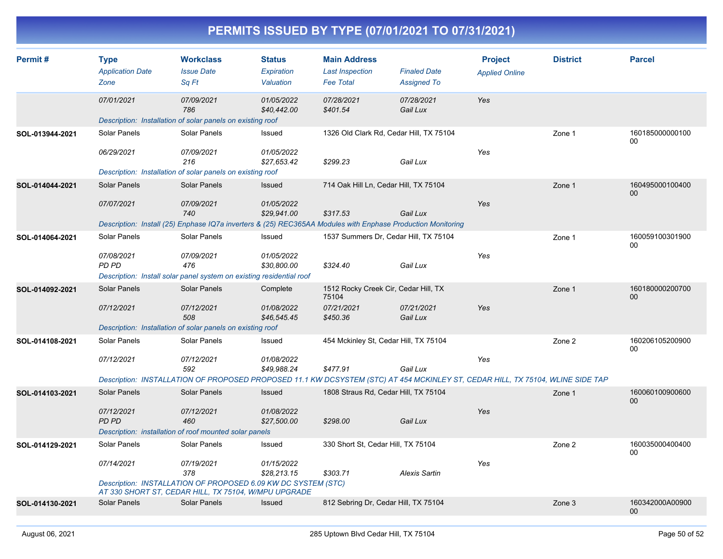| Permit#         | <b>Type</b><br><b>Application Date</b> | <b>Workclass</b><br><b>Issue Date</b>                                                                                          | <b>Status</b><br>Expiration | <b>Main Address</b><br><b>Last Inspection</b> | <b>Finaled Date</b>    | <b>Project</b><br><b>Applied Online</b> | <b>District</b> | <b>Parcel</b>                      |
|-----------------|----------------------------------------|--------------------------------------------------------------------------------------------------------------------------------|-----------------------------|-----------------------------------------------|------------------------|-----------------------------------------|-----------------|------------------------------------|
|                 | Zone                                   | Sa Ft                                                                                                                          | Valuation                   | <b>Fee Total</b>                              | <b>Assigned To</b>     |                                         |                 |                                    |
|                 | 07/01/2021                             | 07/09/2021<br>786                                                                                                              | 01/05/2022<br>\$40,442.00   | 07/28/2021<br>\$401.54                        | 07/28/2021<br>Gail Lux | Yes                                     |                 |                                    |
|                 |                                        | Description: Installation of solar panels on existing roof                                                                     |                             |                                               |                        |                                         |                 |                                    |
| SOL-013944-2021 | Solar Panels                           | Solar Panels                                                                                                                   | Issued                      | 1326 Old Clark Rd, Cedar Hill, TX 75104       |                        |                                         | Zone 1          | 160185000000100<br>$00\,$          |
|                 | 06/29/2021                             | 07/09/2021<br>216                                                                                                              | 01/05/2022<br>\$27,653.42   | \$299.23                                      | Gail Lux               | Yes                                     |                 |                                    |
|                 |                                        | Description: Installation of solar panels on existing roof                                                                     |                             |                                               |                        |                                         |                 |                                    |
| SOL-014044-2021 | <b>Solar Panels</b>                    | Solar Panels                                                                                                                   | <b>Issued</b>               | 714 Oak Hill Ln, Cedar Hill, TX 75104         |                        |                                         | Zone 1          | 160495000100400<br>00 <sup>°</sup> |
|                 | 07/07/2021                             | 07/09/2021<br>740                                                                                                              | 01/05/2022<br>\$29.941.00   | \$317.53                                      | Gail Lux               | Yes                                     |                 |                                    |
|                 |                                        | Description: Install (25) Enphase IQ7a inverters & (25) REC365AA Modules with Enphase Production Monitoring                    |                             |                                               |                        |                                         |                 |                                    |
| SOL-014064-2021 | Solar Panels                           | Solar Panels                                                                                                                   | Issued                      | 1537 Summers Dr, Cedar Hill, TX 75104         |                        |                                         | Zone 1          | 160059100301900<br>00              |
|                 | 07/08/2021<br>PD PD                    | 07/09/2021<br>476<br>Description: Install solar panel system on existing residential roof                                      | 01/05/2022<br>\$30,800.00   | \$324.40                                      | Gail Lux               | Yes                                     |                 |                                    |
|                 |                                        |                                                                                                                                |                             |                                               |                        |                                         |                 |                                    |
| SOL-014092-2021 | <b>Solar Panels</b>                    | <b>Solar Panels</b>                                                                                                            | Complete                    | 1512 Rocky Creek Cir, Cedar Hill, TX<br>75104 |                        |                                         | Zone 1          | 160180000200700<br>00 <sup>°</sup> |
|                 | 07/12/2021                             | 07/12/2021<br>508                                                                                                              | 01/08/2022<br>\$46,545.45   | 07/21/2021<br>\$450.36                        | 07/21/2021<br>Gail Lux | Yes                                     |                 |                                    |
|                 |                                        | Description: Installation of solar panels on existing roof                                                                     |                             |                                               |                        |                                         |                 |                                    |
| SOL-014108-2021 | <b>Solar Panels</b>                    | Solar Panels                                                                                                                   | Issued                      | 454 Mckinley St, Cedar Hill, TX 75104         |                        |                                         | Zone 2          | 160206105200900<br>00              |
|                 | 07/12/2021                             | 07/12/2021<br>592                                                                                                              | 01/08/2022<br>\$49,988.24   | \$477.91                                      | Gail Lux               | Yes                                     |                 |                                    |
|                 |                                        | Description: INSTALLATION OF PROPOSED PROPOSED 11.1 KW DCSYSTEM (STC) AT 454 MCKINLEY ST, CEDAR HILL, TX 75104, WLINE SIDE TAP |                             |                                               |                        |                                         |                 |                                    |
| SOL-014103-2021 | <b>Solar Panels</b>                    | Solar Panels                                                                                                                   | <b>Issued</b>               | 1808 Straus Rd, Cedar Hill, TX 75104          |                        |                                         | Zone 1          | 160060100900600<br>00 <sup>°</sup> |
|                 | 07/12/2021<br>PD PD                    | 07/12/2021<br>460                                                                                                              | 01/08/2022<br>\$27,500.00   | \$298.00                                      | Gail Lux               | Yes                                     |                 |                                    |
|                 |                                        | Description: installation of roof mounted solar panels                                                                         |                             |                                               |                        |                                         |                 |                                    |
| SOL-014129-2021 | <b>Solar Panels</b>                    | Solar Panels                                                                                                                   | Issued                      | 330 Short St, Cedar Hill, TX 75104            |                        |                                         | Zone 2          | 160035000400400<br>00              |
|                 | 07/14/2021                             | 07/19/2021<br>378                                                                                                              | 01/15/2022<br>\$28,213.15   | \$303.71                                      | <b>Alexis Sartin</b>   | Yes                                     |                 |                                    |
|                 |                                        | Description: INSTALLATION OF PROPOSED 6.09 KW DC SYSTEM (STC)<br>AT 330 SHORT ST, CEDAR HILL, TX 75104, W/MPU UPGRADE          |                             |                                               |                        |                                         |                 |                                    |
| SOL-014130-2021 | <b>Solar Panels</b>                    | <b>Solar Panels</b>                                                                                                            | <b>Issued</b>               | 812 Sebring Dr, Cedar Hill, TX 75104          |                        |                                         | Zone 3          | 160342000A00900<br>$00\,$          |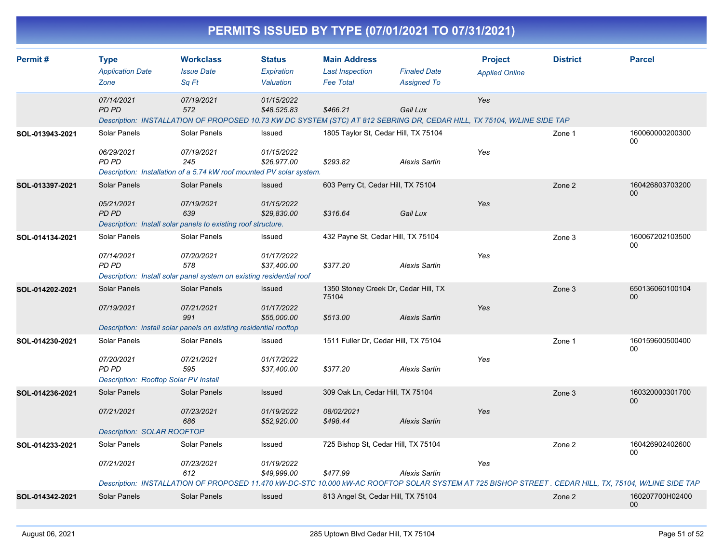|                 |                                                                              |                                                                                                           |                                          |                                                                   | PERMITS ISSUED BY TYPE (07/01/2021 TO 07/31/2021) |                                                                                                                                |                 |                                                                                                                                                                                 |
|-----------------|------------------------------------------------------------------------------|-----------------------------------------------------------------------------------------------------------|------------------------------------------|-------------------------------------------------------------------|---------------------------------------------------|--------------------------------------------------------------------------------------------------------------------------------|-----------------|---------------------------------------------------------------------------------------------------------------------------------------------------------------------------------|
| Permit#         | <b>Type</b><br><b>Application Date</b><br>Zone                               | <b>Workclass</b><br><b>Issue Date</b><br>Sq Ft                                                            | <b>Status</b><br>Expiration<br>Valuation | <b>Main Address</b><br><b>Last Inspection</b><br><b>Fee Total</b> | <b>Finaled Date</b><br><b>Assigned To</b>         | <b>Project</b><br><b>Applied Online</b>                                                                                        | <b>District</b> | <b>Parcel</b>                                                                                                                                                                   |
|                 | 07/14/2021<br><b>PD PD</b>                                                   | 07/19/2021<br>572                                                                                         | 01/15/2022<br>\$48,525.83                | \$466.21                                                          | Gail Lux                                          | Yes<br>Description: INSTALLATION OF PROPOSED 10.73 KW DC SYSTEM (STC) AT 812 SEBRING DR, CEDAR HILL, TX 75104, W/LINE SIDE TAP |                 |                                                                                                                                                                                 |
| SOL-013943-2021 | Solar Panels<br>06/29/2021<br>PD PD                                          | Solar Panels<br>07/19/2021<br>245<br>Description: Installation of a 5.74 kW roof mounted PV solar system. | Issued<br>01/15/2022<br>\$26,977.00      | 1805 Taylor St, Cedar Hill, TX 75104<br>\$293.82                  | <b>Alexis Sartin</b>                              | Yes                                                                                                                            | Zone 1          | 160060000200300<br>00                                                                                                                                                           |
| SOL-013397-2021 | <b>Solar Panels</b><br>05/21/2021<br>PD PD                                   | Solar Panels<br>07/19/2021<br>639<br>Description: Install solar panels to existing roof structure.        | Issued<br>01/15/2022<br>\$29,830.00      | 603 Perry Ct, Cedar Hill, TX 75104<br>\$316.64                    | Gail Lux                                          | Yes                                                                                                                            | Zone 2          | 160426803703200<br>00                                                                                                                                                           |
| SOL-014134-2021 | Solar Panels<br>07/14/2021<br>PD PD                                          | Solar Panels<br>07/20/2021<br>578<br>Description: Install solar panel system on existing residential roof | Issued<br>01/17/2022<br>\$37,400.00      | 432 Payne St, Cedar Hill, TX 75104<br>\$377.20                    | <b>Alexis Sartin</b>                              | Yes                                                                                                                            | Zone 3          | 160067202103500<br>00                                                                                                                                                           |
| SOL-014202-2021 | Solar Panels<br>07/19/2021                                                   | Solar Panels<br>07/21/2021<br>991<br>Description: install solar panels on existing residential rooftop    | Issued<br>01/17/2022<br>\$55,000.00      | 1350 Stoney Creek Dr, Cedar Hill, TX<br>75104<br>\$513.00         | <b>Alexis Sartin</b>                              | Yes                                                                                                                            | Zone 3          | 650136060100104<br>00                                                                                                                                                           |
| SOL-014230-2021 | Solar Panels<br>07/20/2021<br>PD PD<br>Description: Rooftop Solar PV Install | Solar Panels<br>07/21/2021<br>595                                                                         | Issued<br>01/17/2022<br>\$37,400.00      | 1511 Fuller Dr, Cedar Hill, TX 75104<br>\$377.20                  | <b>Alexis Sartin</b>                              | Yes                                                                                                                            | Zone 1          | 160159600500400<br>00                                                                                                                                                           |
| SOL-014236-2021 | Solar Panels<br>07/21/2021<br><b>Description: SOLAR ROOFTOP</b>              | Solar Panels<br>07/23/2021<br>686                                                                         | Issued<br>01/19/2022<br>\$52,920.00      | 309 Oak Ln, Cedar Hill, TX 75104<br>08/02/2021<br>\$498.44        | <b>Alexis Sartin</b>                              | Yes                                                                                                                            | Zone 3          | 160320000301700<br>00                                                                                                                                                           |
| SOL-014233-2021 | Solar Panels<br>07/21/2021                                                   | Solar Panels<br>07/23/2021<br>612                                                                         | Issued<br>01/19/2022<br>\$49,999.00      | 725 Bishop St, Cedar Hill, TX 75104<br>\$477.99                   | <b>Alexis Sartin</b>                              | Yes                                                                                                                            | Zone 2          | 160426902402600<br>00<br>Description: INSTALLATION OF PROPOSED 11.470 kW-DC-STC 10.000 kW-AC ROOFTOP SOLAR SYSTEM AT 725 BISHOP STREET . CEDAR HILL, TX, 75104, W/LINE SIDE TAP |
| SOL-014342-2021 | Solar Panels                                                                 | Solar Panels                                                                                              | Issued                                   | 813 Angel St, Cedar Hill, TX 75104                                |                                                   |                                                                                                                                | Zone 2          | 160207700H02400<br>00                                                                                                                                                           |